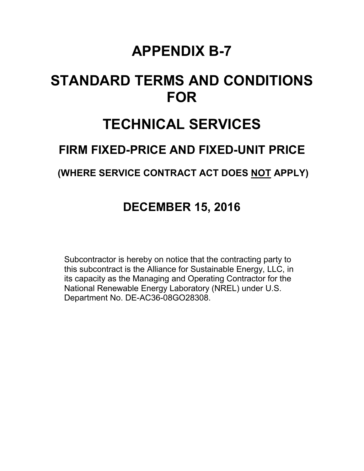## **APPENDIX B-7**

# **STANDARD TERMS AND CONDITIONS FOR**

## **TECHNICAL SERVICES**

## **FIRM FIXED-PRICE AND FIXED-UNIT PRICE**

### **(WHERE SERVICE CONTRACT ACT DOES NOT APPLY)**

## **DECEMBER 15, 2016**

Subcontractor is hereby on notice that the contracting party to this subcontract is the Alliance for Sustainable Energy, LLC, in its capacity as the Managing and Operating Contractor for the National Renewable Energy Laboratory (NREL) under U.S. Department No. DE-AC36-08GO28308.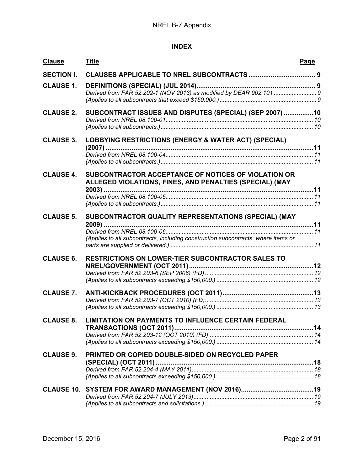#### **INDEX**

| <b>Clause</b>     | <b>Title</b>                                                                                                   | Page |
|-------------------|----------------------------------------------------------------------------------------------------------------|------|
| <b>SECTION I.</b> |                                                                                                                |      |
| <b>CLAUSE 1.</b>  |                                                                                                                |      |
|                   |                                                                                                                |      |
|                   |                                                                                                                |      |
| <b>CLAUSE 2.</b>  | SUBCONTRACT ISSUES AND DISPUTES (SPECIAL) (SEP 2007) 10                                                        |      |
|                   |                                                                                                                |      |
|                   |                                                                                                                |      |
| <b>CLAUSE 3.</b>  | LOBBYING RESTRICTIONS (ENERGY & WATER ACT) (SPECIAL)                                                           |      |
|                   |                                                                                                                |      |
|                   |                                                                                                                |      |
|                   |                                                                                                                |      |
| <b>CLAUSE 4.</b>  | SUBCONTRACTOR ACCEPTANCE OF NOTICES OF VIOLATION OR<br>ALLEGED VIOLATIONS, FINES, AND PENALTIES (SPECIAL) (MAY |      |
|                   |                                                                                                                |      |
|                   |                                                                                                                |      |
|                   |                                                                                                                |      |
| <b>CLAUSE 5.</b>  | SUBCONTRACTOR QUALITY REPRESENTATIONS (SPECIAL) (MAY                                                           |      |
|                   |                                                                                                                |      |
|                   | (Applies to all subcontracts, including construction subcontracts, where items or                              |      |
|                   |                                                                                                                |      |
| <b>CLAUSE 6.</b>  | <b>RESTRICTIONS ON LOWER-TIER SUBCONTRACTOR SALES TO</b>                                                       |      |
|                   |                                                                                                                |      |
|                   |                                                                                                                |      |
|                   |                                                                                                                |      |
| <b>CLAUSE 7.</b>  |                                                                                                                |      |
|                   |                                                                                                                |      |
|                   |                                                                                                                |      |
| <b>CLAUSE 8.</b>  | <b>LIMITATION ON PAYMENTS TO INFLUENCE CERTAIN FEDERAL</b>                                                     |      |
|                   |                                                                                                                |      |
|                   |                                                                                                                |      |
|                   |                                                                                                                |      |
| <b>CLAUSE 9.</b>  | PRINTED OR COPIED DOUBLE-SIDED ON RECYCLED PAPER                                                               |      |
|                   |                                                                                                                |      |
|                   |                                                                                                                |      |
|                   |                                                                                                                |      |
|                   |                                                                                                                |      |
|                   |                                                                                                                |      |
|                   |                                                                                                                |      |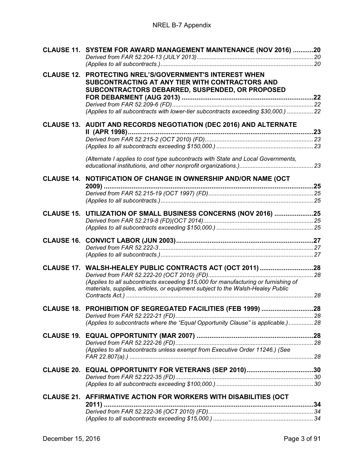|                   | CLAUSE 11. SYSTEM FOR AWARD MANAGEMENT MAINTENANCE (NOV 2016) 20                                                                                                                                                                                           |  |
|-------------------|------------------------------------------------------------------------------------------------------------------------------------------------------------------------------------------------------------------------------------------------------------|--|
|                   | <b>CLAUSE 12. PROTECTING NREL'S/GOVERNMENT'S INTEREST WHEN</b><br>SUBCONTRACTING AT ANY TIER WITH CONTRACTORS AND<br>SUBCONTRACTORS DEBARRED, SUSPENDED, OR PROPOSED<br>(Applies to all subcontracts with lower-tier subcontracts exceeding \$30,000.)  22 |  |
|                   | CLAUSE 13. AUDIT AND RECORDS NEGOTIATION (DEC 2016) AND ALTERNATE                                                                                                                                                                                          |  |
|                   |                                                                                                                                                                                                                                                            |  |
|                   |                                                                                                                                                                                                                                                            |  |
|                   |                                                                                                                                                                                                                                                            |  |
|                   | (Alternate I applies to cost type subcontracts with State and Local Governments,                                                                                                                                                                           |  |
|                   |                                                                                                                                                                                                                                                            |  |
|                   | CLAUSE 14. NOTIFICATION OF CHANGE IN OWNERSHIP AND/OR NAME (OCT                                                                                                                                                                                            |  |
|                   |                                                                                                                                                                                                                                                            |  |
|                   |                                                                                                                                                                                                                                                            |  |
|                   |                                                                                                                                                                                                                                                            |  |
| <b>CLAUSE 15.</b> | UTILIZATION OF SMALL BUSINESS CONCERNS (NOV 2016) 25                                                                                                                                                                                                       |  |
|                   |                                                                                                                                                                                                                                                            |  |
|                   |                                                                                                                                                                                                                                                            |  |
|                   |                                                                                                                                                                                                                                                            |  |
|                   |                                                                                                                                                                                                                                                            |  |
|                   |                                                                                                                                                                                                                                                            |  |
|                   | CLAUSE 17. WALSH-HEALEY PUBLIC CONTRACTS ACT (OCT 2011)28                                                                                                                                                                                                  |  |
|                   |                                                                                                                                                                                                                                                            |  |
|                   | (Applies to all subcontracts exceeding \$15,000 for manufacturing or furnishing of<br>materials, supplies, articles, or equipment subject to the Walsh-Healey Public                                                                                       |  |
|                   |                                                                                                                                                                                                                                                            |  |
|                   | CLAUSE 18. PROHIBITION OF SEGREGATED FACILITIES (FEB 1999) 28                                                                                                                                                                                              |  |
|                   |                                                                                                                                                                                                                                                            |  |
|                   | (Applies to subcontracts where the "Equal Opportunity Clause" is applicable.) 28                                                                                                                                                                           |  |
|                   |                                                                                                                                                                                                                                                            |  |
|                   |                                                                                                                                                                                                                                                            |  |
|                   | (Applies to all subcontracts unless exempt from Executive Order 11246.) (See                                                                                                                                                                               |  |
|                   |                                                                                                                                                                                                                                                            |  |
|                   | CLAUSE 20. EQUAL OPPORTUNITY FOR VETERANS (SEP 2010)30                                                                                                                                                                                                     |  |
|                   |                                                                                                                                                                                                                                                            |  |
|                   |                                                                                                                                                                                                                                                            |  |
|                   | CLAUSE 21. AFFIRMATIVE ACTION FOR WORKERS WITH DISABILITIES (OCT                                                                                                                                                                                           |  |
|                   |                                                                                                                                                                                                                                                            |  |
|                   |                                                                                                                                                                                                                                                            |  |
|                   |                                                                                                                                                                                                                                                            |  |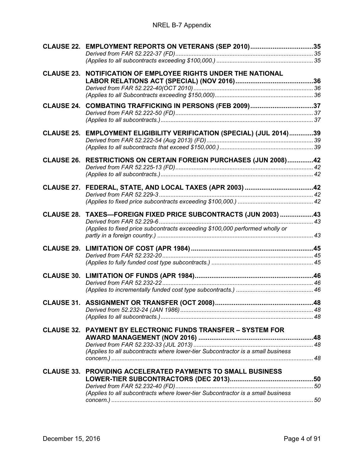#### NREL B-7 Appendix

|                   | CLAUSE 22. EMPLOYMENT REPORTS ON VETERANS (SEP 2010)35                          |  |
|-------------------|---------------------------------------------------------------------------------|--|
|                   |                                                                                 |  |
|                   | <b>CLAUSE 23. NOTIFICATION OF EMPLOYEE RIGHTS UNDER THE NATIONAL</b>            |  |
|                   |                                                                                 |  |
|                   |                                                                                 |  |
|                   |                                                                                 |  |
| <b>CLAUSE 24.</b> | COMBATING TRAFFICKING IN PERSONS (FEB 2009)37                                   |  |
|                   |                                                                                 |  |
|                   |                                                                                 |  |
| <b>CLAUSE 25.</b> | EMPLOYMENT ELIGIBILITY VERIFICATION (SPECIAL) (JUL 2014)39                      |  |
|                   |                                                                                 |  |
|                   |                                                                                 |  |
|                   |                                                                                 |  |
| <b>CLAUSE 26.</b> | RESTRICTIONS ON CERTAIN FOREIGN PURCHASES (JUN 2008)42                          |  |
|                   |                                                                                 |  |
|                   |                                                                                 |  |
|                   | CLAUSE 27. FEDERAL, STATE, AND LOCAL TAXES (APR 2003) 42                        |  |
|                   |                                                                                 |  |
|                   |                                                                                 |  |
|                   |                                                                                 |  |
|                   | CLAUSE 28. TAXES-FOREIGN FIXED PRICE SUBCONTRACTS (JUN 2003) 43                 |  |
|                   | (Applies to fixed price subcontracts exceeding \$100,000 performed wholly or    |  |
|                   |                                                                                 |  |
|                   |                                                                                 |  |
|                   |                                                                                 |  |
|                   |                                                                                 |  |
|                   |                                                                                 |  |
|                   |                                                                                 |  |
|                   |                                                                                 |  |
|                   |                                                                                 |  |
|                   |                                                                                 |  |
|                   |                                                                                 |  |
|                   |                                                                                 |  |
|                   |                                                                                 |  |
|                   | <b>CLAUSE 32. PAYMENT BY ELECTRONIC FUNDS TRANSFER - SYSTEM FOR</b>             |  |
|                   |                                                                                 |  |
|                   |                                                                                 |  |
|                   | (Applies to all subcontracts where lower-tier Subcontractor is a small business |  |
|                   |                                                                                 |  |
|                   | <b>CLAUSE 33. PROVIDING ACCELERATED PAYMENTS TO SMALL BUSINESS</b>              |  |
|                   |                                                                                 |  |
|                   |                                                                                 |  |
|                   | (Applies to all subcontracts where lower-tier Subcontractor is a small business |  |
|                   |                                                                                 |  |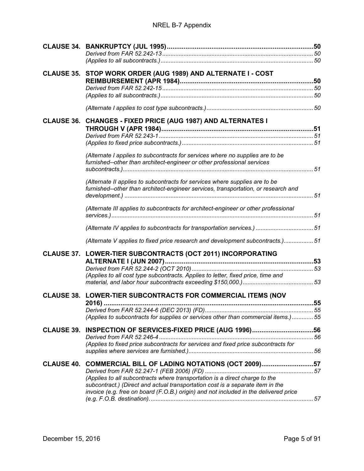|  | CLAUSE 35. STOP WORK ORDER (AUG 1989) AND ALTERNATE I - COST                                                                                                      |  |
|--|-------------------------------------------------------------------------------------------------------------------------------------------------------------------|--|
|  |                                                                                                                                                                   |  |
|  |                                                                                                                                                                   |  |
|  |                                                                                                                                                                   |  |
|  | CLAUSE 36. CHANGES - FIXED PRICE (AUG 1987) AND ALTERNATES I                                                                                                      |  |
|  |                                                                                                                                                                   |  |
|  |                                                                                                                                                                   |  |
|  | (Alternate I applies to subcontracts for services where no supplies are to be                                                                                     |  |
|  | furnished--other than architect-engineer or other professional services                                                                                           |  |
|  |                                                                                                                                                                   |  |
|  | (Alternate II applies to subcontracts for services where supplies are to be<br>furnished--other than architect-engineer services, transportation, or research and |  |
|  |                                                                                                                                                                   |  |
|  | (Alternate III applies to subcontracts for architect-engineer or other professional                                                                               |  |
|  |                                                                                                                                                                   |  |
|  | (Alternate V applies to fixed price research and development subcontracts.) 51                                                                                    |  |
|  | CLAUSE 37. LOWER-TIER SUBCONTRACTS (OCT 2011) INCORPORATING                                                                                                       |  |
|  |                                                                                                                                                                   |  |
|  | (Applies to all cost type subcontracts. Applies to letter, fixed price, time and                                                                                  |  |
|  |                                                                                                                                                                   |  |
|  | CLAUSE 38. LOWER-TIER SUBCONTRACTS FOR COMMERCIAL ITEMS (NOV                                                                                                      |  |
|  |                                                                                                                                                                   |  |
|  |                                                                                                                                                                   |  |
|  | (Applies to subcontracts for supplies or services other than commercial items.) 55                                                                                |  |
|  |                                                                                                                                                                   |  |
|  |                                                                                                                                                                   |  |
|  | (Applies to fixed price subcontracts for services and fixed price subcontracts for                                                                                |  |
|  | CLAUSE 40. COMMERCIAL BILL OF LADING NOTATIONS (OCT 2009)57                                                                                                       |  |
|  |                                                                                                                                                                   |  |
|  | (Applies to all subcontracts where transportation is a direct charge to the<br>subcontract.) (Direct and actual transportation cost is a separate item in the     |  |
|  | invoice (e.g. free on board (F.O.B.) origin) and not included in the delivered price                                                                              |  |
|  |                                                                                                                                                                   |  |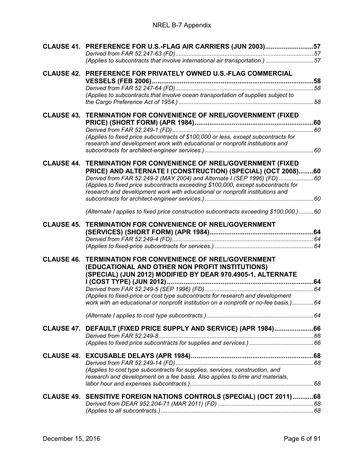#### NREL B-7 Appendix

| (Applies to subcontracts that involve international air transportation.)  57<br>CLAUSE 42. PREFERENCE FOR PRIVATELY OWNED U.S.-FLAG COMMERCIAL<br>(Applies to subcontracts that involve ocean transportation of supplies subject to<br>CLAUSE 43. TERMINATION FOR CONVENIENCE OF NREL/GOVERNMENT (FIXED<br>(Applies to fixed price subcontracts of \$100,000 or less, except subcontracts for<br>research and development work with educational or nonprofit institutions and<br><b>CLAUSE 44. TERMINATION FOR CONVENIENCE OF NREL/GOVERNMENT (FIXED</b><br>PRICE) AND ALTERNATE I (CONSTRUCTION) (SPECIAL) (OCT 2008)60<br>Derived from FAR 52.249-2 (MAY 2004) and Alternate I (SEP 1996) (FD)  60<br>(Applies to fixed price subcontracts exceeding \$100,000, except subcontracts for<br>research and development work with educational or nonprofit institutions and<br>(Alternate I applies to fixed price construction subcontracts exceeding \$100,000.)60<br><b>CLAUSE 45. TERMINATION FOR CONVENIENCE OF NREL/GOVERNMENT</b><br><b>TERMINATION FOR CONVENIENCE OF NREL/GOVERNMENT</b><br>(EDUCATIONAL AND OTHER NON PROFIT INSTITUTIONS)<br>(SPECIAL) (JUN 2012) MODIFIED BY DEAR 970.4905-1, ALTERNATE<br>(Applies to fixed-price or cost type subcontracts for research and development<br>work with an educational or nonprofit institution on a nonprofit or no-fee basis.) 64<br>CLAUSE 47. DEFAULT (FIXED PRICE SUPPLY AND SERVICE) (APR 1984)66<br>(Applies to cost type subcontracts for supplies, services, construction, and<br>research and development on a fee basis. Also applies to time and materials,<br>CLAUSE 49. SENSITIVE FOREIGN NATIONS CONTROLS (SPECIAL) (OCT 2011) 68 |                   | CLAUSE 41. PREFERENCE FOR U.S.-FLAG AIR CARRIERS (JUN 2003)57 |  |
|-----------------------------------------------------------------------------------------------------------------------------------------------------------------------------------------------------------------------------------------------------------------------------------------------------------------------------------------------------------------------------------------------------------------------------------------------------------------------------------------------------------------------------------------------------------------------------------------------------------------------------------------------------------------------------------------------------------------------------------------------------------------------------------------------------------------------------------------------------------------------------------------------------------------------------------------------------------------------------------------------------------------------------------------------------------------------------------------------------------------------------------------------------------------------------------------------------------------------------------------------------------------------------------------------------------------------------------------------------------------------------------------------------------------------------------------------------------------------------------------------------------------------------------------------------------------------------------------------------------------------------------------------------------------------------------------------------------|-------------------|---------------------------------------------------------------|--|
|                                                                                                                                                                                                                                                                                                                                                                                                                                                                                                                                                                                                                                                                                                                                                                                                                                                                                                                                                                                                                                                                                                                                                                                                                                                                                                                                                                                                                                                                                                                                                                                                                                                                                                           |                   |                                                               |  |
|                                                                                                                                                                                                                                                                                                                                                                                                                                                                                                                                                                                                                                                                                                                                                                                                                                                                                                                                                                                                                                                                                                                                                                                                                                                                                                                                                                                                                                                                                                                                                                                                                                                                                                           |                   |                                                               |  |
|                                                                                                                                                                                                                                                                                                                                                                                                                                                                                                                                                                                                                                                                                                                                                                                                                                                                                                                                                                                                                                                                                                                                                                                                                                                                                                                                                                                                                                                                                                                                                                                                                                                                                                           |                   |                                                               |  |
|                                                                                                                                                                                                                                                                                                                                                                                                                                                                                                                                                                                                                                                                                                                                                                                                                                                                                                                                                                                                                                                                                                                                                                                                                                                                                                                                                                                                                                                                                                                                                                                                                                                                                                           |                   |                                                               |  |
|                                                                                                                                                                                                                                                                                                                                                                                                                                                                                                                                                                                                                                                                                                                                                                                                                                                                                                                                                                                                                                                                                                                                                                                                                                                                                                                                                                                                                                                                                                                                                                                                                                                                                                           |                   |                                                               |  |
|                                                                                                                                                                                                                                                                                                                                                                                                                                                                                                                                                                                                                                                                                                                                                                                                                                                                                                                                                                                                                                                                                                                                                                                                                                                                                                                                                                                                                                                                                                                                                                                                                                                                                                           |                   |                                                               |  |
|                                                                                                                                                                                                                                                                                                                                                                                                                                                                                                                                                                                                                                                                                                                                                                                                                                                                                                                                                                                                                                                                                                                                                                                                                                                                                                                                                                                                                                                                                                                                                                                                                                                                                                           |                   |                                                               |  |
|                                                                                                                                                                                                                                                                                                                                                                                                                                                                                                                                                                                                                                                                                                                                                                                                                                                                                                                                                                                                                                                                                                                                                                                                                                                                                                                                                                                                                                                                                                                                                                                                                                                                                                           |                   |                                                               |  |
|                                                                                                                                                                                                                                                                                                                                                                                                                                                                                                                                                                                                                                                                                                                                                                                                                                                                                                                                                                                                                                                                                                                                                                                                                                                                                                                                                                                                                                                                                                                                                                                                                                                                                                           |                   |                                                               |  |
|                                                                                                                                                                                                                                                                                                                                                                                                                                                                                                                                                                                                                                                                                                                                                                                                                                                                                                                                                                                                                                                                                                                                                                                                                                                                                                                                                                                                                                                                                                                                                                                                                                                                                                           |                   |                                                               |  |
|                                                                                                                                                                                                                                                                                                                                                                                                                                                                                                                                                                                                                                                                                                                                                                                                                                                                                                                                                                                                                                                                                                                                                                                                                                                                                                                                                                                                                                                                                                                                                                                                                                                                                                           |                   |                                                               |  |
|                                                                                                                                                                                                                                                                                                                                                                                                                                                                                                                                                                                                                                                                                                                                                                                                                                                                                                                                                                                                                                                                                                                                                                                                                                                                                                                                                                                                                                                                                                                                                                                                                                                                                                           |                   |                                                               |  |
|                                                                                                                                                                                                                                                                                                                                                                                                                                                                                                                                                                                                                                                                                                                                                                                                                                                                                                                                                                                                                                                                                                                                                                                                                                                                                                                                                                                                                                                                                                                                                                                                                                                                                                           |                   |                                                               |  |
|                                                                                                                                                                                                                                                                                                                                                                                                                                                                                                                                                                                                                                                                                                                                                                                                                                                                                                                                                                                                                                                                                                                                                                                                                                                                                                                                                                                                                                                                                                                                                                                                                                                                                                           |                   |                                                               |  |
|                                                                                                                                                                                                                                                                                                                                                                                                                                                                                                                                                                                                                                                                                                                                                                                                                                                                                                                                                                                                                                                                                                                                                                                                                                                                                                                                                                                                                                                                                                                                                                                                                                                                                                           |                   |                                                               |  |
|                                                                                                                                                                                                                                                                                                                                                                                                                                                                                                                                                                                                                                                                                                                                                                                                                                                                                                                                                                                                                                                                                                                                                                                                                                                                                                                                                                                                                                                                                                                                                                                                                                                                                                           |                   |                                                               |  |
|                                                                                                                                                                                                                                                                                                                                                                                                                                                                                                                                                                                                                                                                                                                                                                                                                                                                                                                                                                                                                                                                                                                                                                                                                                                                                                                                                                                                                                                                                                                                                                                                                                                                                                           |                   |                                                               |  |
|                                                                                                                                                                                                                                                                                                                                                                                                                                                                                                                                                                                                                                                                                                                                                                                                                                                                                                                                                                                                                                                                                                                                                                                                                                                                                                                                                                                                                                                                                                                                                                                                                                                                                                           |                   |                                                               |  |
|                                                                                                                                                                                                                                                                                                                                                                                                                                                                                                                                                                                                                                                                                                                                                                                                                                                                                                                                                                                                                                                                                                                                                                                                                                                                                                                                                                                                                                                                                                                                                                                                                                                                                                           |                   |                                                               |  |
|                                                                                                                                                                                                                                                                                                                                                                                                                                                                                                                                                                                                                                                                                                                                                                                                                                                                                                                                                                                                                                                                                                                                                                                                                                                                                                                                                                                                                                                                                                                                                                                                                                                                                                           |                   |                                                               |  |
|                                                                                                                                                                                                                                                                                                                                                                                                                                                                                                                                                                                                                                                                                                                                                                                                                                                                                                                                                                                                                                                                                                                                                                                                                                                                                                                                                                                                                                                                                                                                                                                                                                                                                                           |                   |                                                               |  |
|                                                                                                                                                                                                                                                                                                                                                                                                                                                                                                                                                                                                                                                                                                                                                                                                                                                                                                                                                                                                                                                                                                                                                                                                                                                                                                                                                                                                                                                                                                                                                                                                                                                                                                           | <b>CLAUSE 46.</b> |                                                               |  |
|                                                                                                                                                                                                                                                                                                                                                                                                                                                                                                                                                                                                                                                                                                                                                                                                                                                                                                                                                                                                                                                                                                                                                                                                                                                                                                                                                                                                                                                                                                                                                                                                                                                                                                           |                   |                                                               |  |
|                                                                                                                                                                                                                                                                                                                                                                                                                                                                                                                                                                                                                                                                                                                                                                                                                                                                                                                                                                                                                                                                                                                                                                                                                                                                                                                                                                                                                                                                                                                                                                                                                                                                                                           |                   |                                                               |  |
|                                                                                                                                                                                                                                                                                                                                                                                                                                                                                                                                                                                                                                                                                                                                                                                                                                                                                                                                                                                                                                                                                                                                                                                                                                                                                                                                                                                                                                                                                                                                                                                                                                                                                                           |                   |                                                               |  |
|                                                                                                                                                                                                                                                                                                                                                                                                                                                                                                                                                                                                                                                                                                                                                                                                                                                                                                                                                                                                                                                                                                                                                                                                                                                                                                                                                                                                                                                                                                                                                                                                                                                                                                           |                   |                                                               |  |
|                                                                                                                                                                                                                                                                                                                                                                                                                                                                                                                                                                                                                                                                                                                                                                                                                                                                                                                                                                                                                                                                                                                                                                                                                                                                                                                                                                                                                                                                                                                                                                                                                                                                                                           |                   |                                                               |  |
|                                                                                                                                                                                                                                                                                                                                                                                                                                                                                                                                                                                                                                                                                                                                                                                                                                                                                                                                                                                                                                                                                                                                                                                                                                                                                                                                                                                                                                                                                                                                                                                                                                                                                                           |                   |                                                               |  |
|                                                                                                                                                                                                                                                                                                                                                                                                                                                                                                                                                                                                                                                                                                                                                                                                                                                                                                                                                                                                                                                                                                                                                                                                                                                                                                                                                                                                                                                                                                                                                                                                                                                                                                           |                   |                                                               |  |
|                                                                                                                                                                                                                                                                                                                                                                                                                                                                                                                                                                                                                                                                                                                                                                                                                                                                                                                                                                                                                                                                                                                                                                                                                                                                                                                                                                                                                                                                                                                                                                                                                                                                                                           |                   |                                                               |  |
|                                                                                                                                                                                                                                                                                                                                                                                                                                                                                                                                                                                                                                                                                                                                                                                                                                                                                                                                                                                                                                                                                                                                                                                                                                                                                                                                                                                                                                                                                                                                                                                                                                                                                                           |                   |                                                               |  |
|                                                                                                                                                                                                                                                                                                                                                                                                                                                                                                                                                                                                                                                                                                                                                                                                                                                                                                                                                                                                                                                                                                                                                                                                                                                                                                                                                                                                                                                                                                                                                                                                                                                                                                           |                   |                                                               |  |
|                                                                                                                                                                                                                                                                                                                                                                                                                                                                                                                                                                                                                                                                                                                                                                                                                                                                                                                                                                                                                                                                                                                                                                                                                                                                                                                                                                                                                                                                                                                                                                                                                                                                                                           |                   |                                                               |  |
|                                                                                                                                                                                                                                                                                                                                                                                                                                                                                                                                                                                                                                                                                                                                                                                                                                                                                                                                                                                                                                                                                                                                                                                                                                                                                                                                                                                                                                                                                                                                                                                                                                                                                                           |                   |                                                               |  |
|                                                                                                                                                                                                                                                                                                                                                                                                                                                                                                                                                                                                                                                                                                                                                                                                                                                                                                                                                                                                                                                                                                                                                                                                                                                                                                                                                                                                                                                                                                                                                                                                                                                                                                           |                   |                                                               |  |
|                                                                                                                                                                                                                                                                                                                                                                                                                                                                                                                                                                                                                                                                                                                                                                                                                                                                                                                                                                                                                                                                                                                                                                                                                                                                                                                                                                                                                                                                                                                                                                                                                                                                                                           |                   |                                                               |  |
|                                                                                                                                                                                                                                                                                                                                                                                                                                                                                                                                                                                                                                                                                                                                                                                                                                                                                                                                                                                                                                                                                                                                                                                                                                                                                                                                                                                                                                                                                                                                                                                                                                                                                                           |                   |                                                               |  |
|                                                                                                                                                                                                                                                                                                                                                                                                                                                                                                                                                                                                                                                                                                                                                                                                                                                                                                                                                                                                                                                                                                                                                                                                                                                                                                                                                                                                                                                                                                                                                                                                                                                                                                           |                   |                                                               |  |
|                                                                                                                                                                                                                                                                                                                                                                                                                                                                                                                                                                                                                                                                                                                                                                                                                                                                                                                                                                                                                                                                                                                                                                                                                                                                                                                                                                                                                                                                                                                                                                                                                                                                                                           |                   |                                                               |  |
|                                                                                                                                                                                                                                                                                                                                                                                                                                                                                                                                                                                                                                                                                                                                                                                                                                                                                                                                                                                                                                                                                                                                                                                                                                                                                                                                                                                                                                                                                                                                                                                                                                                                                                           |                   |                                                               |  |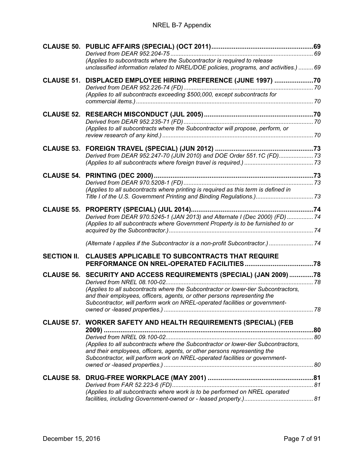|                    | (Applies to subcontracts where the Subcontractor is required to release<br>unclassified information related to NREL/DOE policies, programs, and activities.)  69 |  |
|--------------------|------------------------------------------------------------------------------------------------------------------------------------------------------------------|--|
| <b>CLAUSE 51.</b>  | DISPLACED EMPLOYEE HIRING PREFERENCE (JUNE 1997)  70                                                                                                             |  |
|                    | (Applies to all subcontracts exceeding \$500,000, except subcontracts for                                                                                        |  |
|                    |                                                                                                                                                                  |  |
|                    |                                                                                                                                                                  |  |
|                    | (Applies to all subcontracts where the Subcontractor will propose, perform, or                                                                                   |  |
|                    |                                                                                                                                                                  |  |
|                    | Derived from DEAR 952.247-70 (JUN 2010) and DOE Order 551.1C (FD) 73                                                                                             |  |
|                    |                                                                                                                                                                  |  |
|                    |                                                                                                                                                                  |  |
|                    |                                                                                                                                                                  |  |
|                    | (Applies to all subcontracts where printing is required as this term is defined in                                                                               |  |
|                    | Title I of the U.S. Government Printing and Binding Regulations.) 73                                                                                             |  |
| <b>CLAUSE 55.</b>  |                                                                                                                                                                  |  |
|                    | Derived from DEAR 970.5245-1 (JAN 2013) and Alternate I (Dec 2000) (FD)  74                                                                                      |  |
|                    | (Applies to all subcontracts where Government Property is to be furnished to or                                                                                  |  |
|                    | (Alternate I applies if the Subcontractor is a non-profit Subcontractor.)  74                                                                                    |  |
| <b>SECTION II.</b> | <b>CLAUSES APPLICABLE TO SUBCONTRACTS THAT REQUIRE</b>                                                                                                           |  |
|                    | CLAUSE 56. SECURITY AND ACCESS REQUIREMENTS (SPECIAL) (JAN 2009)78                                                                                               |  |
|                    |                                                                                                                                                                  |  |
|                    | (Applies to all subcontracts where the Subcontractor or lower-tier Subcontractors,                                                                               |  |
|                    | and their employees, officers, agents, or other persons representing the                                                                                         |  |
|                    | Subcontractor, will perform work on NREL-operated facilities or government-                                                                                      |  |
|                    |                                                                                                                                                                  |  |
|                    | CLAUSE 57. WORKER SAFETY AND HEALTH REQUIREMENTS (SPECIAL) (FEB                                                                                                  |  |
|                    |                                                                                                                                                                  |  |
|                    | (Applies to all subcontracts where the Subcontractor or lower-tier Subcontractors,                                                                               |  |
|                    | and their employees, officers, agents, or other persons representing the                                                                                         |  |
|                    | Subcontractor, will perform work on NREL-operated facilities or government-                                                                                      |  |
|                    |                                                                                                                                                                  |  |
| <b>CLAUSE 58.</b>  |                                                                                                                                                                  |  |
|                    | (Applies to all subcontracts where work is to be performed on NREL operated                                                                                      |  |
|                    |                                                                                                                                                                  |  |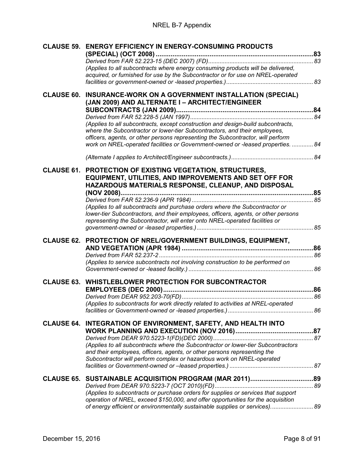| <b>CLAUSE 59.</b> | <b>ENERGY EFFICIENCY IN ENERGY-CONSUMING PRODUCTS</b>                                                                                                                                                                                            |  |
|-------------------|--------------------------------------------------------------------------------------------------------------------------------------------------------------------------------------------------------------------------------------------------|--|
|                   |                                                                                                                                                                                                                                                  |  |
|                   | (Applies to all subcontracts where energy consuming products will be delivered,<br>acquired, or furnished for use by the Subcontractor or for use on NREL-operated                                                                               |  |
|                   |                                                                                                                                                                                                                                                  |  |
| <b>CLAUSE 60.</b> | INSURANCE-WORK ON A GOVERNMENT INSTALLATION (SPECIAL)<br>(JAN 2009) AND ALTERNATE I - ARCHITECT/ENGINEER                                                                                                                                         |  |
|                   |                                                                                                                                                                                                                                                  |  |
|                   | (Applies to all subcontracts, except construction and design-build subcontracts,<br>where the Subcontractor or lower-tier Subcontractors, and their employees,                                                                                   |  |
|                   | officers, agents, or other persons representing the Subcontractor, will perform                                                                                                                                                                  |  |
|                   | work on NREL-operated facilities or Government-owned or -leased properties.  84                                                                                                                                                                  |  |
|                   |                                                                                                                                                                                                                                                  |  |
|                   | <b>CLAUSE 61. PROTECTION OF EXISTING VEGETATION, STRUCTURES,</b><br><b>EQUIPMENT, UTILITIES, AND IMPROVEMENTS AND SET OFF FOR</b><br>HAZARDOUS MATERIALS RESPONSE, CLEANUP, AND DISPOSAL                                                         |  |
|                   |                                                                                                                                                                                                                                                  |  |
|                   |                                                                                                                                                                                                                                                  |  |
|                   | (Applies to all subcontracts and purchase orders where the Subcontractor or<br>lower-tier Subcontractors, and their employees, officers, agents, or other persons<br>representing the Subcontractor, will enter onto NREL-operated facilities or |  |
|                   |                                                                                                                                                                                                                                                  |  |
|                   | CLAUSE 62. PROTECTION OF NREL/GOVERNMENT BUILDINGS, EQUIPMENT,                                                                                                                                                                                   |  |
|                   |                                                                                                                                                                                                                                                  |  |
|                   |                                                                                                                                                                                                                                                  |  |
|                   | (Applies to service subcontracts not involving construction to be performed on                                                                                                                                                                   |  |
|                   |                                                                                                                                                                                                                                                  |  |
| <b>CLAUSE 63.</b> | <b>WHISTLEBLOWER PROTECTION FOR SUBCONTRACTOR</b>                                                                                                                                                                                                |  |
|                   |                                                                                                                                                                                                                                                  |  |
|                   | (Applies to subcontracts for work directly related to activities at NREL-operated                                                                                                                                                                |  |
|                   |                                                                                                                                                                                                                                                  |  |
|                   | CLAUSE 64. INTEGRATION OF ENVIRONMENT, SAFETY, AND HEALTH INTO                                                                                                                                                                                   |  |
|                   |                                                                                                                                                                                                                                                  |  |
|                   | (Applies to all subcontracts where the Subcontractor or lower-tier Subcontractors                                                                                                                                                                |  |
|                   | and their employees, officers, agents, or other persons representing the                                                                                                                                                                         |  |
|                   | Subcontractor will perform complex or hazardous work on NREL-operated                                                                                                                                                                            |  |
|                   |                                                                                                                                                                                                                                                  |  |
|                   |                                                                                                                                                                                                                                                  |  |
|                   |                                                                                                                                                                                                                                                  |  |
|                   | (Applies to subcontracts or purchase orders for supplies or services that support<br>operation of NREL, exceed \$150,000, and offer opportunities for the acquisition                                                                            |  |
|                   | of energy efficient or environmentally sustainable supplies or services) 89                                                                                                                                                                      |  |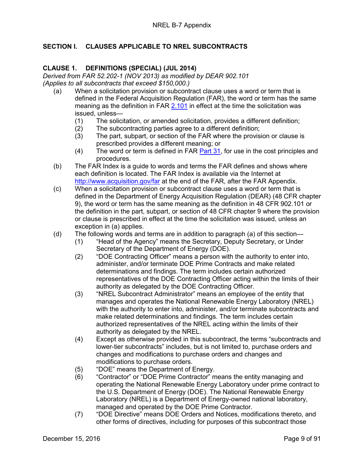#### <span id="page-8-1"></span><span id="page-8-0"></span>**SECTION I. CLAUSES APPLICABLE TO NREL SUBCONTRACTS**

#### **CLAUSE 1. DEFINITIONS (SPECIAL) (JUL 2014)**

<span id="page-8-3"></span><span id="page-8-2"></span>*Derived from FAR 52.202-1 (NOV 2013) as modified by DEAR 902.101 (Applies to all subcontracts that exceed \$150,000.)*

- (a) When a solicitation provision or subcontract clause uses a word or term that is defined in the Federal Acquisition Regulation (FAR), the word or term has the same meaning as the definition in FAR [2.101](https://www.acquisition.gov/far/current/html/Subpart%202_1.html#wp1145508) in effect at the time the solicitation was issued, unless—
	- (1) The solicitation, or amended solicitation, provides a different definition;<br>(2) The subcontracting parties agree to a different definition;
	- (2) The subcontracting parties agree to a different definition;<br>(3) The part, subpart, or section of the FAR where the provis
	- The part, subpart, or section of the FAR where the provision or clause is prescribed provides a different meaning; or
	- (4) The word or term is defined in FAR [Part 31,](https://www.acquisition.gov/far/current/html/FARTOCP31.html#wp253693) for use in the cost principles and procedures.
- (b) The FAR Index is a guide to words and terms the FAR defines and shows where each definition is located. The FAR Index is available via the Internet at <http://www.acquisition.gov/far> at the end of the FAR, after the FAR Appendix.
- (c) When a solicitation provision or subcontract clause uses a word or term that is defined in the Department of Energy Acquisition Regulation (DEAR) (48 CFR chapter 9), the word or term has the same meaning as the definition in 48 CFR 902.101 or the definition in the part, subpart, or section of 48 CFR chapter 9 where the provision or clause is prescribed in effect at the time the solicitation was issued, unless an exception in (a) applies.
- (d) The following words and terms are in addition to paragraph (a) of this section—
	- (1) "Head of the Agency" means the Secretary, Deputy Secretary, or Under Secretary of the Department of Energy (DOE).
	- (2) "DOE Contracting Officer" means a person with the authority to enter into, administer, and/or terminate DOE Prime Contracts and make related determinations and findings. The term includes certain authorized representatives of the DOE Contracting Officer acting within the limits of their authority as delegated by the DOE Contracting Officer.
	- (3) "NREL Subcontract Administrator" means an employee of the entity that manages and operates the National Renewable Energy Laboratory (NREL) with the authority to enter into, administer, and/or terminate subcontracts and make related determinations and findings. The term includes certain authorized representatives of the NREL acting within the limits of their authority as delegated by the NREL.
	- (4) Except as otherwise provided in this subcontract, the terms "subcontracts and lower-tier subcontracts" includes, but is not limited to, purchase orders and changes and modifications to purchase orders and changes and modifications to purchase orders.
	- (5) "DOE" means the Department of Energy.
	- (6) "Contractor" or "DOE Prime Contractor" means the entity managing and operating the National Renewable Energy Laboratory under prime contract to the U.S. Department of Energy (DOE). The National Renewable Energy Laboratory (NREL) is a Department of Energy-owned national laboratory, managed and operated by the DOE Prime Contractor.
	- (7) "DOE Directive" means DOE Orders and Notices, modifications thereto, and other forms of directives, including for purposes of this subcontract those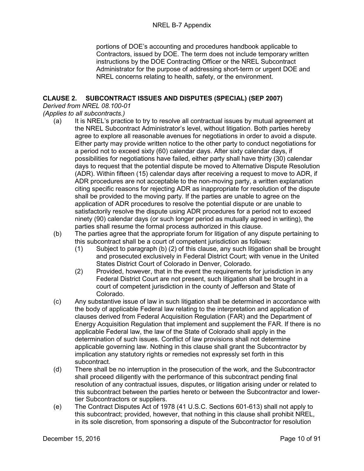portions of DOE's accounting and procedures handbook applicable to Contractors, issued by DOE. The term does not include temporary written instructions by the DOE Contracting Officer or the NREL Subcontract Administrator for the purpose of addressing short-term or urgent DOE and NREL concerns relating to health, safety, or the environment.

#### <span id="page-9-0"></span>**CLAUSE 2. SUBCONTRACT ISSUES AND DISPUTES (SPECIAL) (SEP 2007)**

<span id="page-9-1"></span>*Derived from NREL 08.100-01*

<span id="page-9-2"></span>*(Applies to all subcontracts.)*

- (a) It is NREL's practice to try to resolve all contractual issues by mutual agreement at the NREL Subcontract Administrator's level, without litigation. Both parties hereby agree to explore all reasonable avenues for negotiations in order to avoid a dispute. Either party may provide written notice to the other party to conduct negotiations for a period not to exceed sixty (60) calendar days. After sixty calendar days, if possibilities for negotiations have failed, either party shall have thirty (30) calendar days to request that the potential dispute be moved to Alternative Dispute Resolution (ADR). Within fifteen (15) calendar days after receiving a request to move to ADR, if ADR procedures are not acceptable to the non-moving party, a written explanation citing specific reasons for rejecting ADR as inappropriate for resolution of the dispute shall be provided to the moving party. If the parties are unable to agree on the application of ADR procedures to resolve the potential dispute or are unable to satisfactorily resolve the dispute using ADR procedures for a period not to exceed ninety (90) calendar days (or such longer period as mutually agreed in writing), the parties shall resume the formal process authorized in this clause.
- (b) The parties agree that the appropriate forum for litigation of any dispute pertaining to this subcontract shall be a court of competent jurisdiction as follows:
	- (1) Subject to paragraph (b) (2) of this clause, any such litigation shall be brought and prosecuted exclusively in Federal District Court; with venue in the United States District Court of Colorado in Denver, Colorado.
	- (2) Provided, however, that in the event the requirements for jurisdiction in any Federal District Court are not present, such litigation shall be brought in a court of competent jurisdiction in the county of Jefferson and State of Colorado.
- (c) Any substantive issue of law in such litigation shall be determined in accordance with the body of applicable Federal law relating to the interpretation and application of clauses derived from Federal Acquisition Regulation (FAR) and the Department of Energy Acquisition Regulation that implement and supplement the FAR. If there is no applicable Federal law, the law of the State of Colorado shall apply in the determination of such issues. Conflict of law provisions shall not determine applicable governing law. Nothing in this clause shall grant the Subcontractor by implication any statutory rights or remedies not expressly set forth in this subcontract.
- (d) There shall be no interruption in the prosecution of the work, and the Subcontractor shall proceed diligently with the performance of this subcontract pending final resolution of any contractual issues, disputes, or litigation arising under or related to this subcontract between the parties hereto or between the Subcontractor and lowertier Subcontractors or suppliers.
- (e) The Contract Disputes Act of 1978 (41 U.S.C. Sections 601-613) shall not apply to this subcontract; provided, however, that nothing in this clause shall prohibit NREL, in its sole discretion, from sponsoring a dispute of the Subcontractor for resolution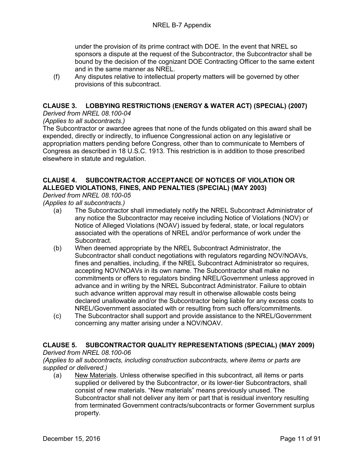under the provision of its prime contract with DOE. In the event that NREL so sponsors a dispute at the request of the Subcontractor, the Subcontractor shall be bound by the decision of the cognizant DOE Contracting Officer to the same extent and in the same manner as NREL.

(f) Any disputes relative to intellectual property matters will be governed by other provisions of this subcontract.

#### <span id="page-10-0"></span>**CLAUSE 3. LOBBYING RESTRICTIONS (ENERGY & WATER ACT) (SPECIAL) (2007)**

<span id="page-10-1"></span>*Derived from NREL 08.100-04*

#### <span id="page-10-2"></span>*(Applies to all subcontracts.)*

The Subcontractor or awardee agrees that none of the funds obligated on this award shall be expended, directly or indirectly, to influence Congressional action on any legislative or appropriation matters pending before Congress, other than to communicate to Members of Congress as described in 18 U.S.C. 1913. This restriction is in addition to those prescribed elsewhere in statute and regulation.

#### <span id="page-10-3"></span>**CLAUSE 4. SUBCONTRACTOR ACCEPTANCE OF NOTICES OF VIOLATION OR ALLEGED VIOLATIONS, FINES, AND PENALTIES (SPECIAL) (MAY 2003)**

<span id="page-10-4"></span>*Derived from NREL 08.100-05*

<span id="page-10-5"></span>*(Applies to all subcontracts.)*

- (a) The Subcontractor shall immediately notify the NREL Subcontract Administrator of any notice the Subcontractor may receive including Notice of Violations (NOV) or Notice of Alleged Violations (NOAV) issued by federal, state, or local regulators associated with the operations of NREL and/or performance of work under the Subcontract.
- (b) When deemed appropriate by the NREL Subcontract Administrator, the Subcontractor shall conduct negotiations with regulators regarding NOV/NOAVs, fines and penalties, including, if the NREL Subcontract Administrator so requires, accepting NOV/NOAVs in its own name. The Subcontractor shall make no commitments or offers to regulators binding NREL/Government unless approved in advance and in writing by the NREL Subcontract Administrator. Failure to obtain such advance written approval may result in otherwise allowable costs being declared unallowable and/or the Subcontractor being liable for any excess costs to NREL/Government associated with or resulting from such offers/commitments.
- (c) The Subcontractor shall support and provide assistance to the NREL/Government concerning any matter arising under a NOV/NOAV.

#### <span id="page-10-6"></span>**CLAUSE 5. SUBCONTRACTOR QUALITY REPRESENTATIONS (SPECIAL) (MAY 2009)**

#### <span id="page-10-7"></span>*Derived from NREL 08.100-06*

<span id="page-10-8"></span>*(Applies to all subcontracts, including construction subcontracts, where items or parts are supplied or delivered.)*

(a) New Materials. Unless otherwise specified in this subcontract, all items or parts supplied or delivered by the Subcontractor, or its lower-tier Subcontractors, shall consist of new materials. "New materials" means previously unused. The Subcontractor shall not deliver any item or part that is residual inventory resulting from terminated Government contracts/subcontracts or former Government surplus property.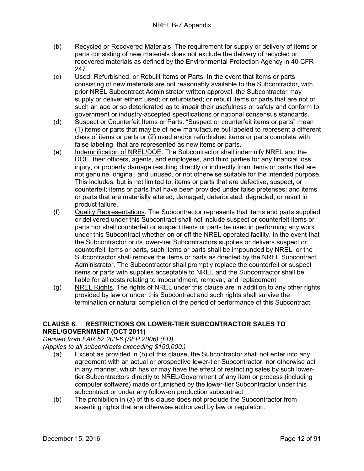- (b) Recycled or Recovered Materials. The requirement for supply or delivery of items or parts consisting of new materials does not exclude the delivery of recycled or recovered materials as defined by the Environmental Protection Agency in 40 CFR 247.
- (c) Used, Refurbished, or Rebuilt Items or Parts. In the event that items or parts consisting of new materials are not reasonably available to the Subcontractor, with prior NREL Subcontract Administrator written approval, the Subcontractor may supply or deliver either: used; or refurbished; or rebuilt items or parts that are not of such an age or so deteriorated as to impair their usefulness or safety and conform to government or industry-accepted specifications or national consensus standards.
- (d) Suspect or Counterfeit Items or Parts. "Suspect or counterfeit items or parts" mean (1) items or parts that may be of new manufacture but labeled to represent a different class of items or parts or (2) used and/or refurbished items or parts complete with false labeling, that are represented as new items or parts.
- (e) Indemnification of NREL/DOE. The Subcontractor shall indemnify NREL and the DOE, their officers, agents, and employees, and third parties for any financial loss, injury, or property damage resulting directly or indirectly from items or parts that are not genuine, original, and unused, or not otherwise suitable for the intended purpose. This includes, but is not limited to, items or parts that are defective, suspect, or counterfeit; items or parts that have been provided under false pretenses; and items or parts that are materially altered, damaged, deteriorated, degraded, or result in product failure.
- (f) Quality Representations. The Subcontractor represents that items and parts supplied or delivered under this Subcontract shall not include suspect or counterfeit items or parts nor shall counterfeit or suspect items or parts be used in performing any work under this Subcontract whether on or off the NREL operated facility. In the event that the Subcontractor or its lower-tier Subcontractors supplies or delivers suspect or counterfeit items or parts, such items or parts shall be impounded by NREL, or the Subcontractor shall remove the items or parts as directed by the NREL Subcontract Administrator. The Subcontractor shall promptly replace the counterfeit or suspect items or parts with supplies acceptable to NREL and the Subcontractor shall be liable for all costs relating to impoundment, removal, and replacement.
- (g) NREL Rights. The rights of NREL under this clause are in addition to any other rights provided by law or under this Subcontract and such rights shall survive the termination or natural completion of the period of performance of this Subcontract.

#### <span id="page-11-0"></span>**CLAUSE 6. RESTRICTIONS ON LOWER-TIER SUBCONTRACTOR SALES TO NREL/GOVERNMENT (OCT 2011)**

<span id="page-11-2"></span><span id="page-11-1"></span>*Derived from FAR 52.203-6 (SEP 2006) (FD)*

- (a) Except as provided in (b) of this clause, the Subcontractor shall not enter into any agreement with an actual or prospective lower-tier Subcontractor, nor otherwise act in any manner, which has or may have the effect of restricting sales by such lowertier Subcontractors directly to NREL/Government of any item or process (including computer software) made or furnished by the lower-tier Subcontractor under this subcontract or under any follow-on production subcontract.
- (b) The prohibition in (a) of this clause does not preclude the Subcontractor from asserting rights that are otherwise authorized by law or regulation.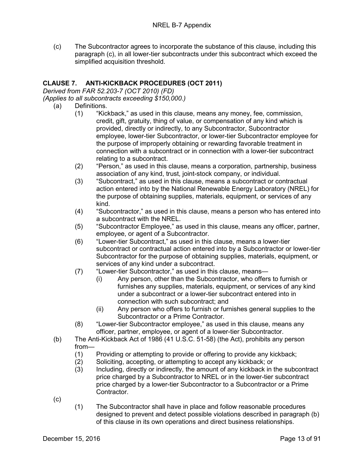(c) The Subcontractor agrees to incorporate the substance of this clause, including this paragraph (c), in all lower-tier subcontracts under this subcontract which exceed the simplified acquisition threshold.

#### <span id="page-12-0"></span>**CLAUSE 7. ANTI-KICKBACK PROCEDURES (OCT 2011)**

<span id="page-12-2"></span><span id="page-12-1"></span>*Derived from FAR 52.203-7 (OCT 2010) (FD)*

- (a) Definitions.
	- (1) "Kickback," as used in this clause, means any money, fee, commission, credit, gift, gratuity, thing of value, or compensation of any kind which is provided, directly or indirectly, to any Subcontractor, Subcontractor employee, lower-tier Subcontractor, or lower-tier Subcontractor employee for the purpose of improperly obtaining or rewarding favorable treatment in connection with a subcontract or in connection with a lower-tier subcontract relating to a subcontract.
	- (2) "Person," as used in this clause, means a corporation, partnership, business association of any kind, trust, joint-stock company, or individual.
	- (3) "Subcontract," as used in this clause, means a subcontract or contractual action entered into by the National Renewable Energy Laboratory (NREL) for the purpose of obtaining supplies, materials, equipment, or services of any kind.
	- (4) "Subcontractor," as used in this clause, means a person who has entered into a subcontract with the NREL.
	- (5) "Subcontractor Employee," as used in this clause, means any officer, partner, employee, or agent of a Subcontractor.
	- (6) "Lower-tier Subcontract," as used in this clause, means a lower-tier subcontract or contractual action entered into by a Subcontractor or lower-tier Subcontractor for the purpose of obtaining supplies, materials, equipment, or services of any kind under a subcontract.
	- (7) "Lower-tier Subcontractor," as used in this clause, means—
		- (i) Any person, other than the Subcontractor, who offers to furnish or furnishes any supplies, materials, equipment, or services of any kind under a subcontract or a lower-tier subcontract entered into in connection with such subcontract; and
		- (ii) Any person who offers to furnish or furnishes general supplies to the Subcontractor or a Prime Contractor.
	- (8) "Lower-tier Subcontractor employee," as used in this clause, means any officer, partner, employee, or agent of a lower-tier Subcontractor.
- (b) The Anti-Kickback Act of 1986 (41 U.S.C. 51-58) (the Act), prohibits any person from—
	- (1) Providing or attempting to provide or offering to provide any kickback;
	- (2) Soliciting, accepting, or attempting to accept any kickback; or
	- (3) Including, directly or indirectly, the amount of any kickback in the subcontract price charged by a Subcontractor to NREL or in the lower-tier subcontract price charged by a lower-tier Subcontractor to a Subcontractor or a Prime Contractor.
- (c)
- (1) The Subcontractor shall have in place and follow reasonable procedures designed to prevent and detect possible violations described in paragraph (b) of this clause in its own operations and direct business relationships.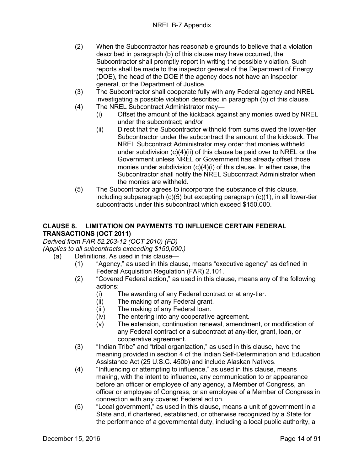- (2) When the Subcontractor has reasonable grounds to believe that a violation described in paragraph (b) of this clause may have occurred, the Subcontractor shall promptly report in writing the possible violation. Such reports shall be made to the inspector general of the Department of Energy (DOE), the head of the DOE if the agency does not have an inspector general, or the Department of Justice.
- (3) The Subcontractor shall cooperate fully with any Federal agency and NREL investigating a possible violation described in paragraph (b) of this clause.
- (4) The NREL Subcontract Administrator may—
	- (i) Offset the amount of the kickback against any monies owed by NREL under the subcontract; and/or
	- (ii) Direct that the Subcontractor withhold from sums owed the lower-tier Subcontractor under the subcontract the amount of the kickback. The NREL Subcontract Administrator may order that monies withheld under subdivision (c)(4)(ii) of this clause be paid over to NREL or the Government unless NREL or Government has already offset those monies under subdivision (c)(4)(i) of this clause. In either case, the Subcontractor shall notify the NREL Subcontract Administrator when the monies are withheld.
- (5) The Subcontractor agrees to incorporate the substance of this clause, including subparagraph (c)(5) but excepting paragraph (c)(1), in all lower-tier subcontracts under this subcontract which exceed \$150,000.

#### <span id="page-13-0"></span>**CLAUSE 8. LIMITATION ON PAYMENTS TO INFLUENCE CERTAIN FEDERAL TRANSACTIONS (OCT 2011)**

<span id="page-13-2"></span><span id="page-13-1"></span>*Derived from FAR 52.203-12 (OCT 2010) (FD)*

- (a) Definitions. As used in this clause—
	- (1) "Agency," as used in this clause, means "executive agency" as defined in Federal Acquisition Regulation (FAR) 2.101.
	- (2) "Covered Federal action," as used in this clause, means any of the following actions:
		- (i) The awarding of any Federal contract or at any-tier.
		- (ii) The making of any Federal grant.
		- (iii) The making of any Federal loan.
		- (iv) The entering into any cooperative agreement.
		- (v) The extension, continuation renewal, amendment, or modification of any Federal contract or a subcontract at any-tier, grant, loan, or cooperative agreement.
	- (3) "Indian Tribe" and "tribal organization," as used in this clause, have the meaning provided in section 4 of the Indian Self-Determination and Education Assistance Act (25 U.S.C. 450b) and include Alaskan Natives.
	- (4) "Influencing or attempting to influence," as used in this clause, means making, with the intent to influence, any communication to or appearance before an officer or employee of any agency, a Member of Congress, an officer or employee of Congress, or an employee of a Member of Congress in connection with any covered Federal action.
	- (5) "Local government," as used in this clause, means a unit of government in a State and, if chartered, established, or otherwise recognized by a State for the performance of a governmental duty, including a local public authority, a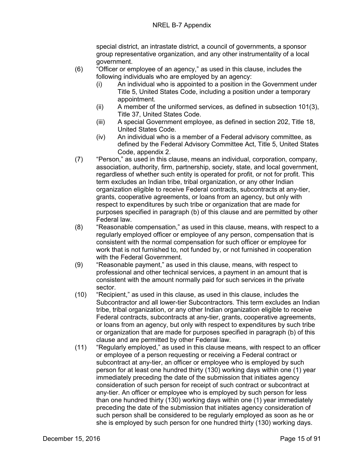special district, an intrastate district, a council of governments, a sponsor group representative organization, and any other instrumentality of a local government.

- (6) "Officer or employee of an agency," as used in this clause, includes the following individuals who are employed by an agency:
	- (i) An individual who is appointed to a position in the Government under Title 5, United States Code, including a position under a temporary appointment.
	- (ii) A member of the uniformed services, as defined in subsection 101(3), Title 37, United States Code.
	- (iii) A special Government employee, as defined in section 202, Title 18, United States Code.
	- (iv) An individual who is a member of a Federal advisory committee, as defined by the Federal Advisory Committee Act, Title 5, United States Code, appendix 2.
- (7) "Person," as used in this clause, means an individual, corporation, company, association, authority, firm, partnership, society, state, and local government, regardless of whether such entity is operated for profit, or not for profit. This term excludes an Indian tribe, tribal organization, or any other Indian organization eligible to receive Federal contracts, subcontracts at any-tier, grants, cooperative agreements, or loans from an agency, but only with respect to expenditures by such tribe or organization that are made for purposes specified in paragraph (b) of this clause and are permitted by other Federal law.
- (8) "Reasonable compensation," as used in this clause, means, with respect to a regularly employed officer or employee of any person, compensation that is consistent with the normal compensation for such officer or employee for work that is not furnished to, not funded by, or not furnished in cooperation with the Federal Government.
- (9) "Reasonable payment," as used in this clause, means, with respect to professional and other technical services, a payment in an amount that is consistent with the amount normally paid for such services in the private sector.
- (10) "Recipient," as used in this clause, as used in this clause, includes the Subcontractor and all lower-tier Subcontractors. This term excludes an Indian tribe, tribal organization, or any other Indian organization eligible to receive Federal contracts, subcontracts at any-tier, grants, cooperative agreements, or loans from an agency, but only with respect to expenditures by such tribe or organization that are made for purposes specified in paragraph (b) of this clause and are permitted by other Federal law.
- (11) "Regularly employed," as used in this clause means, with respect to an officer or employee of a person requesting or receiving a Federal contract or subcontract at any-tier, an officer or employee who is employed by such person for at least one hundred thirty (130) working days within one (1) year immediately preceding the date of the submission that initiates agency consideration of such person for receipt of such contract or subcontract at any-tier. An officer or employee who is employed by such person for less than one hundred thirty (130) working days within one (1) year immediately preceding the date of the submission that initiates agency consideration of such person shall be considered to be regularly employed as soon as he or she is employed by such person for one hundred thirty (130) working days.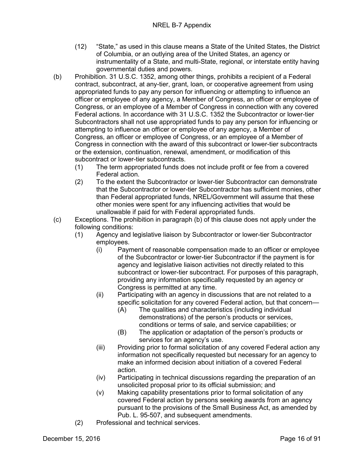- (12) "State," as used in this clause means a State of the United States, the District of Columbia, or an outlying area of the United States, an agency or instrumentality of a State, and multi-State, regional, or interstate entity having governmental duties and powers.
- (b) Prohibition. 31 U.S.C. 1352, among other things, prohibits a recipient of a Federal contract, subcontract, at any-tier, grant, loan, or cooperative agreement from using appropriated funds to pay any person for influencing or attempting to influence an officer or employee of any agency, a Member of Congress, an officer or employee of Congress, or an employee of a Member of Congress in connection with any covered Federal actions. In accordance with 31 U.S.C. 1352 the Subcontractor or lower-tier Subcontractors shall not use appropriated funds to pay any person for influencing or attempting to influence an officer or employee of any agency, a Member of Congress, an officer or employee of Congress, or an employee of a Member of Congress in connection with the award of this subcontract or lower-tier subcontracts or the extension, continuation, renewal, amendment, or modification of this subcontract or lower-tier subcontracts.
	- (1) The term appropriated funds does not include profit or fee from a covered Federal action.
	- (2) To the extent the Subcontractor or lower-tier Subcontractor can demonstrate that the Subcontractor or lower-tier Subcontractor has sufficient monies, other than Federal appropriated funds, NREL/Government will assume that these other monies were spent for any influencing activities that would be unallowable if paid for with Federal appropriated funds.
- (c) Exceptions. The prohibition in paragraph (b) of this clause does not apply under the following conditions:
	- (1) Agency and legislative liaison by Subcontractor or lower-tier Subcontractor employees.
		- (i) Payment of reasonable compensation made to an officer or employee of the Subcontractor or lower-tier Subcontractor if the payment is for agency and legislative liaison activities not directly related to this subcontract or lower-tier subcontract. For purposes of this paragraph, providing any information specifically requested by an agency or Congress is permitted at any time.
		- (ii) Participating with an agency in discussions that are not related to a specific solicitation for any covered Federal action, but that concern—
			- (A) The qualities and characteristics (including individual demonstrations) of the person's products or services, conditions or terms of sale, and service capabilities; or
			- (B) The application or adaptation of the person's products or services for an agency's use.
		- (iii) Providing prior to formal solicitation of any covered Federal action any information not specifically requested but necessary for an agency to make an informed decision about initiation of a covered Federal action.
		- (iv) Participating in technical discussions regarding the preparation of an unsolicited proposal prior to its official submission; and
		- (v) Making capability presentations prior to formal solicitation of any covered Federal action by persons seeking awards from an agency pursuant to the provisions of the Small Business Act, as amended by Pub. L. 95-507, and subsequent amendments.
	- (2) Professional and technical services.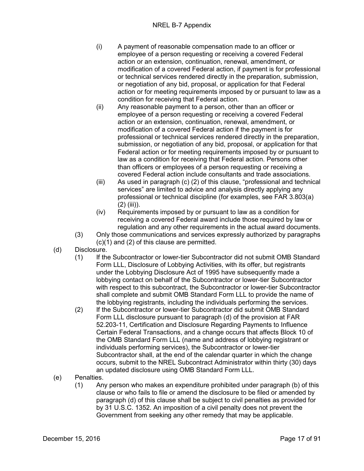- (i) A payment of reasonable compensation made to an officer or employee of a person requesting or receiving a covered Federal action or an extension, continuation, renewal, amendment, or modification of a covered Federal action, if payment is for professional or technical services rendered directly in the preparation, submission, or negotiation of any bid, proposal, or application for that Federal action or for meeting requirements imposed by or pursuant to law as a condition for receiving that Federal action.
- (ii) Any reasonable payment to a person, other than an officer or employee of a person requesting or receiving a covered Federal action or an extension, continuation, renewal, amendment, or modification of a covered Federal action if the payment is for professional or technical services rendered directly in the preparation, submission, or negotiation of any bid, proposal, or application for that Federal action or for meeting requirements imposed by or pursuant to law as a condition for receiving that Federal action. Persons other than officers or employees of a person requesting or receiving a covered Federal action include consultants and trade associations.
- (iii) As used in paragraph (c) (2) of this clause, "professional and technical services" are limited to advice and analysis directly applying any professional or technical discipline (for examples, see FAR 3.803(a) (2) (iii)).
- (iv) Requirements imposed by or pursuant to law as a condition for receiving a covered Federal award include those required by law or regulation and any other requirements in the actual award documents.
- (3) Only those communications and services expressly authorized by paragraphs (c)(1) and (2) of this clause are permitted.
- (d) Disclosure.
	- (1) If the Subcontractor or lower-tier Subcontractor did not submit OMB Standard Form LLL, Disclosure of Lobbying Activities, with its offer, but registrants under the Lobbying Disclosure Act of 1995 have subsequently made a lobbying contact on behalf of the Subcontractor or lower-tier Subcontractor with respect to this subcontract, the Subcontractor or lower-tier Subcontractor shall complete and submit OMB Standard Form LLL to provide the name of the lobbying registrants, including the individuals performing the services.
	- (2) If the Subcontractor or lower-tier Subcontractor did submit OMB Standard Form LLL disclosure pursuant to paragraph (d) of the provision at FAR 52.203-11, Certification and Disclosure Regarding Payments to Influence Certain Federal Transactions, and a change occurs that affects Block 10 of the OMB Standard Form LLL (name and address of lobbying registrant or individuals performing services), the Subcontractor or lower-tier Subcontractor shall, at the end of the calendar quarter in which the change occurs, submit to the NREL Subcontract Administrator within thirty (30) days an updated disclosure using OMB Standard Form LLL.
- (e) Penalties.
	- (1) Any person who makes an expenditure prohibited under paragraph (b) of this clause or who fails to file or amend the disclosure to be filed or amended by paragraph (d) of this clause shall be subject to civil penalties as provided for by 31 U.S.C. 1352. An imposition of a civil penalty does not prevent the Government from seeking any other remedy that may be applicable.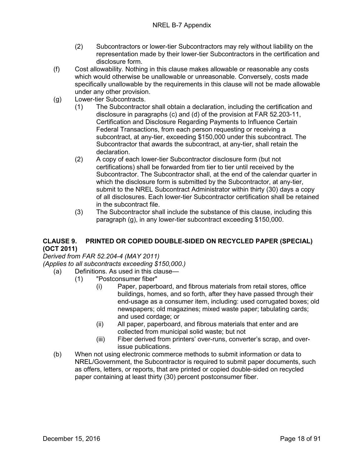- (2) Subcontractors or lower-tier Subcontractors may rely without liability on the representation made by their lower-tier Subcontractors in the certification and disclosure form.
- (f) Cost allowability. Nothing in this clause makes allowable or reasonable any costs which would otherwise be unallowable or unreasonable. Conversely, costs made specifically unallowable by the requirements in this clause will not be made allowable under any other provision.
- (g) Lower-tier Subcontracts.
	- (1) The Subcontractor shall obtain a declaration, including the certification and disclosure in paragraphs (c) and (d) of the provision at FAR 52.203-11, Certification and Disclosure Regarding Payments to Influence Certain Federal Transactions, from each person requesting or receiving a subcontract, at any-tier, exceeding \$150,000 under this subcontract. The Subcontractor that awards the subcontract, at any-tier, shall retain the declaration.
	- (2) A copy of each lower-tier Subcontractor disclosure form (but not certifications) shall be forwarded from tier to tier until received by the Subcontractor. The Subcontractor shall, at the end of the calendar quarter in which the disclosure form is submitted by the Subcontractor, at any-tier, submit to the NREL Subcontract Administrator within thirty (30) days a copy of all disclosures. Each lower-tier Subcontractor certification shall be retained in the subcontract file.
	- (3) The Subcontractor shall include the substance of this clause, including this paragraph (g), in any lower-tier subcontract exceeding \$150,000.

#### <span id="page-17-0"></span>**CLAUSE 9. PRINTED OR COPIED DOUBLE-SIDED ON RECYCLED PAPER (SPECIAL) (OCT 2011)**

<span id="page-17-2"></span><span id="page-17-1"></span>*Derived from FAR 52.204-4 (MAY 2011)*

- (a) Definitions. As used in this clause—
	- (1) "Postconsumer fiber"
		- (i) Paper, paperboard, and fibrous materials from retail stores, office buildings, homes, and so forth, after they have passed through their end-usage as a consumer item, including: used corrugated boxes; old newspapers; old magazines; mixed waste paper; tabulating cards; and used cordage; or
		- (ii) All paper, paperboard, and fibrous materials that enter and are collected from municipal solid waste; but not
		- (iii) Fiber derived from printers' over-runs, converter's scrap, and overissue publications.
- (b) When not using electronic commerce methods to submit information or data to NREL/Government, the Subcontractor is required to submit paper documents, such as offers, letters, or reports, that are printed or copied double-sided on recycled paper containing at least thirty (30) percent postconsumer fiber.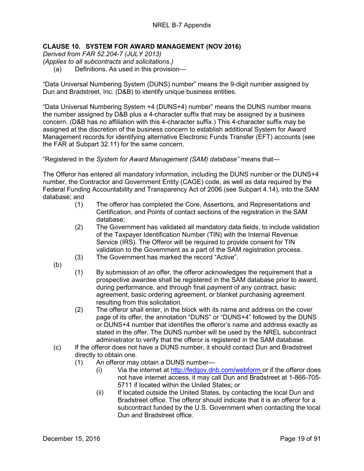#### <span id="page-18-0"></span>**CLAUSE 10. SYSTEM FOR AWARD MANAGEMENT (NOV 2016)**

<span id="page-18-1"></span>*Derived from FAR 52.204-7 (JULY 2013)*

<span id="page-18-2"></span>*(Applies to all subcontracts and solicitations.)*

(a) Definitions. As used in this provision—

"Data Universal Numbering System (DUNS) number" means the 9-digit number assigned by Dun and Bradstreet, Inc. (D&B) to identify unique business entities.

"Data Universal Numbering System +4 (DUNS+4) number" means the DUNS number means the number assigned by D&B plus a 4-character suffix that may be assigned by a business concern. (D&B has no affiliation with this 4-character suffix.) This 4-character suffix may be assigned at the discretion of the business concern to establish additional System for Award Management records for identifying alternative Electronic Funds Transfer (EFT) accounts (see the FAR at Subpart 32.11) for the same concern.

"Registered in the *System for Award Management (SAM) database"* means that—

The Offeror has entered all mandatory information, including the DUNS number or the DUNS+4 number, the Contractor and Government Entity (CAGE) code, as well as data required by the Federal Funding Accountability and Transparency Act of 2006 (see Subpart 4.14), into the SAM database; and

- (1) The offeror has completed the Core, Assertions, and Representations and Certification, and Points of contact sections of the registration in the SAM database;
- (2) The Government has validated all mandatory data fields, to include validation of the Taxpayer Identification Number (TIN) with the Internal Revenue Service (IRS). The Offeror will be required to provide consent for TIN validation to the Government as a part of the SAM registration process.
- (3) The Government has marked the record "Active".
- (b)
- (1) By submission of an offer, the offeror acknowledges the requirement that a prospective awardee shall be registered in the SAM database prior to award, during performance, and through final payment of any contract, basic agreement, basic ordering agreement, or blanket purchasing agreement resulting from this solicitation.
- (2) The offeror shall enter, in the block with its name and address on the cover page of its offer, the annotation "DUNS" or "DUNS+4" followed by the DUNS or DUNS+4 number that identifies the offeror's name and address exactly as stated in the offer. The DUNS number will be used by the NREL subcontract administrator to verify that the offeror is registered in the SAM database.
- (c) If the offeror does not have a DUNS number, it should contact Dun and Bradstreet directly to obtain one.
	- (1) An offeror may obtain a DUNS number—
		- (i) Via the internet at [http://fedgov.dnb.com/webform o](http://fedgov.dnb.com/webform)r if the offeror does not have internet access, it may call Dun and Bradstreet at 1-866-705- 5711 if located within the United States; or
		- (ii) If located outside the United States, by contacting the local Dun and Bradstreet office. The offeror should indicate that it is an offeror for a subcontract funded by the U.S. Government when contacting the local Dun and Bradstreet office.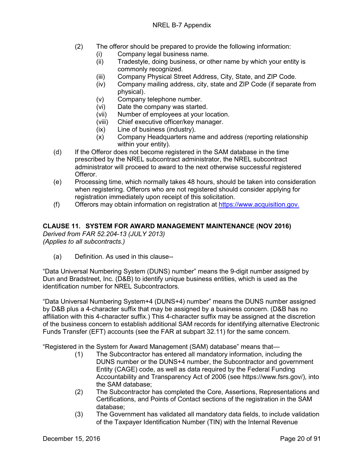- (2) The offeror should be prepared to provide the following information:
	- (i) Company legal business name.
	- (ii) Tradestyle, doing business, or other name by which your entity is commonly recognized.
	- (iii) Company Physical Street Address, City, State, and ZIP Code.
	- (iv) Company mailing address, city, state and ZIP Code (if separate from physical).
	- (v) Company telephone number.<br>(vi) Date the company was started
	- Date the company was started.
	- (vii) Number of employees at your location.
	- (viii) Chief executive officer/key manager.
	- (ix) Line of business (industry).
	- (x) Company Headquarters name and address (reporting relationship within your entity).
- (d) If the Offeror does not become registered in the SAM database in the time prescribed by the NREL subcontract administrator, the NREL subcontract administrator will proceed to award to the next otherwise successful registered Offeror.
- (e) Processing time, which normally takes 48 hours, should be taken into consideration when registering. Offerors who are not registered should consider applying for registration immediately upon receipt of this solicitation.
- <span id="page-19-0"></span>(f) Offerors may obtain information on registration at [https://www.acquisition.gov.](https://www.acquisition.gov/)

#### **CLAUSE 11. SYSTEM FOR AWARD MANAGEMENT MAINTENANCE (NOV 2016)**

<span id="page-19-2"></span><span id="page-19-1"></span>*Derived from FAR 52.204-13 (JULY 2013) (Applies to all subcontracts.)*

(a) Definition. As used in this clause--

"Data Universal Numbering System (DUNS) number" means the 9-digit number assigned by Dun and Bradstreet, Inc. (D&B) to identify unique business entities, which is used as the identification number for NREL Subcontractors.

"Data Universal Numbering System+4 (DUNS+4) number" means the DUNS number assigned by D&B plus a 4-character suffix that may be assigned by a business concern. (D&B has no affiliation with this 4-character suffix.) This 4-character suffix may be assigned at the discretion of the business concern to establish additional SAM records for identifying alternative Electronic Funds Transfer (EFT) accounts (see the FAR at subpart 32.11) for the same concern.

"Registered in the System for Award Management (SAM) database" means that—

- (1) The Subcontractor has entered all mandatory information, including the DUNS number or the DUNS+4 number, the Subcontractor and government Entity (CAGE) code, as well as data required by the Federal Funding Accountability and Transparency Act of 2006 (see https://www.fsrs.gov/), into the SAM database;
- (2) The Subcontractor has completed the Core, Assertions, Representations and Certifications, and Points of Contact sections of the registration in the SAM database;
- (3) The Government has validated all mandatory data fields, to include validation of the Taxpayer Identification Number (TIN) with the Internal Revenue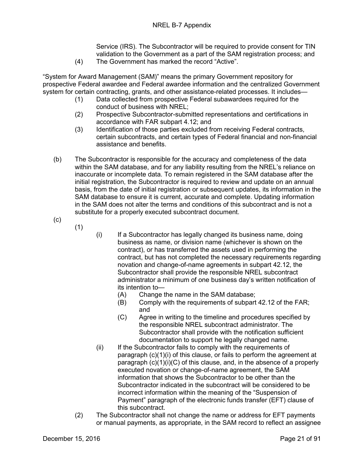Service (IRS). The Subcontractor will be required to provide consent for TIN validation to the Government as a part of the SAM registration process; and

(4) The Government has marked the record "Active".

"System for Award Management (SAM)" means the primary Government repository for prospective Federal awardee and Federal awardee information and the centralized Government system for certain contracting, grants, and other assistance-related processes. It includes—

- (1) Data collected from prospective Federal subawardees required for the conduct of business with NREL;
- (2) Prospective Subcontractor-submitted representations and certifications in accordance with FAR subpart 4.12; and
- (3) Identification of those parties excluded from receiving Federal contracts, certain subcontracts, and certain types of Federal financial and non-financial assistance and benefits.
- (b) The Subcontractor is responsible for the accuracy and completeness of the data within the SAM database, and for any liability resulting from the NREL's reliance on inaccurate or incomplete data. To remain registered in the SAM database after the initial registration, the Subcontractor is required to review and update on an annual basis, from the date of initial registration or subsequent updates, its information in the SAM database to ensure it is current, accurate and complete. Updating information in the SAM does not alter the terms and conditions of this subcontract and is not a substitute for a properly executed subcontract document.
- (c)

(1)

- (i) If a Subcontractor has legally changed its business name, doing business as name, or division name (whichever is shown on the contract), or has transferred the assets used in performing the contract, but has not completed the necessary requirements regarding novation and change-of-name agreements in subpart 42.12, the Subcontractor shall provide the responsible NREL subcontract administrator a minimum of one business day's written notification of its intention to—
	- (A) Change the name in the SAM database;
	- (B) Comply with the requirements of subpart 42.12 of the FAR; and
	- (C) Agree in writing to the timeline and procedures specified by the responsible NREL subcontract administrator. The Subcontractor shall provide with the notification sufficient documentation to support he legally changed name.
- (ii) If the Subcontractor fails to comply with the requirements of paragraph (c)(1)(i) of this clause, or fails to perform the agreement at paragraph  $(c)(1)(i)(C)$  of this clause, and, in the absence of a properly executed novation or change-of-name agreement, the SAM information that shows the Subcontractor to be other than the Subcontractor indicated in the subcontract will be considered to be incorrect information within the meaning of the "Suspension of Payment" paragraph of the electronic funds transfer (EFT) clause of this subcontract.
- (2) The Subcontractor shall not change the name or address for EFT payments or manual payments, as appropriate, in the SAM record to reflect an assignee

December 15, 2016 **Page 21 of 91**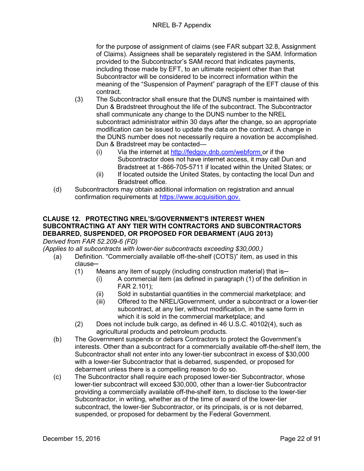for the purpose of assignment of claims (see FAR subpart 32.8, Assignment of Claims). Assignees shall be separately registered in the SAM. Information provided to the Subcontractor's SAM record that indicates payments, including those made by EFT, to an ultimate recipient other than that Subcontractor will be considered to be incorrect information within the meaning of the "Suspension of Payment" paragraph of the EFT clause of this contract.

- (3) The Subcontractor shall ensure that the DUNS number is maintained with Dun & Bradstreet throughout the life of the subcontract. The Subcontractor shall communicate any change to the DUNS number to the NREL subcontract administrator within 30 days after the change, so an appropriate modification can be issued to update the data on the contract. A change in the DUNS number does not necessarily require a novation be accomplished. Dun & Bradstreet may be contacted—
	- (i) Via the internet at [http://fedgov.dnb.com/webform o](http://fedgov.dnb.com/webform)r if the Subcontractor does not have internet access, it may call Dun and Bradstreet at 1-866-705-5711 if located within the United States; or
	- (ii) If located outside the United States, by contacting the local Dun and Bradstreet office.
- (d) Subcontractors may obtain additional information on registration and annual confirmation requirements at [https://www.acquisition.gov.](https://www.acquisition.gov/)

#### <span id="page-21-0"></span>**CLAUSE 12. PROTECTING NREL'S/GOVERNMENT'S INTEREST WHEN SUBCONTRACTING AT ANY TIER WITH CONTRACTORS AND SUBCONTRACTORS DEBARRED, SUSPENDED, OR PROPOSED FOR DEBARMENT (AUG 2013)** *Derived from FAR 52.209-6 (FD)*

<span id="page-21-2"></span><span id="page-21-1"></span>*(Applies to all subcontracts with lower-tier subcontracts exceeding \$30,000.)*

- (a) Definition. "Commercially available off-the-shelf (COTS)" item, as used in this clause─
	- $(1)$  Means any item of supply (including construction material) that is-
		- (i) A commercial item (as defined in paragraph (1) of the definition in FAR 2.101);
		- (ii) Sold in substantial quantities in the commercial marketplace; and
		- (iii) Offered to the NREL/Government, under a subcontract or a lower-tier subcontract, at any tier, without modification, in the same form in which it is sold in the commercial marketplace; and
	- (2) Does not include bulk cargo, as defined in 46 U.S.C. 40102(4), such as agricultural products and petroleum products.
- (b) The Government suspends or debars Contractors to protect the Government's interests. Other than a subcontract for a commercially available off-the-shelf item, the Subcontractor shall not enter into any lower-tier subcontract in excess of \$30,000 with a lower-tier Subcontractor that is debarred, suspended, or proposed for debarment unless there is a compelling reason to do so.
- (c) The Subcontractor shall require each proposed lower-tier Subcontractor, whose lower-tier subcontract will exceed \$30,000, other than a lower-tier Subcontractor providing a commercially available off-the-shelf item, to disclose to the lower-tier Subcontractor, in writing, whether as of the time of award of the lower-tier subcontract, the lower-tier Subcontractor, or its principals, is or is not debarred, suspended, or proposed for debarment by the Federal Government.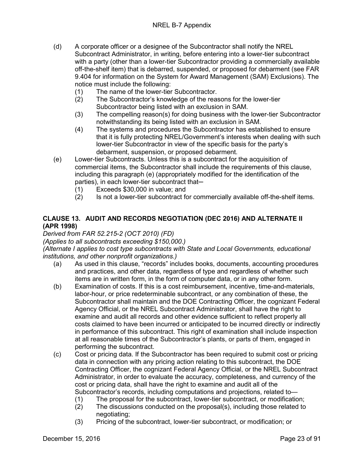- (d) A corporate officer or a designee of the Subcontractor shall notify the NREL Subcontract Administrator, in writing, before entering into a lower-tier subcontract with a party (other than a lower-tier Subcontractor providing a commercially available off-the-shelf item) that is debarred, suspended, or proposed for debarment (see FAR 9.404 for information on the System for Award Management (SAM) Exclusions). The notice must include the following:
	- (1) The name of the lower-tier Subcontractor.
	- (2) The Subcontractor's knowledge of the reasons for the lower-tier Subcontractor being listed with an exclusion in SAM.
	- (3) The compelling reason(s) for doing business with the lower-tier Subcontractor notwithstanding its being listed with an exclusion in SAM.
	- (4) The systems and procedures the Subcontractor has established to ensure that it is fully protecting NREL/Government's interests when dealing with such lower-tier Subcontractor in view of the specific basis for the party's debarment, suspension, or proposed debarment.
- (e) Lower-tier Subcontracts. Unless this is a subcontract for the acquisition of commercial items, the Subcontractor shall include the requirements of this clause, including this paragraph (e) (appropriately modified for the identification of the parties), in each lower-tier subcontract that-
	- (1) Exceeds \$30,000 in value; and
	- (2) Is not a lower-tier subcontract for commercially available off-the-shelf items.

#### <span id="page-22-0"></span>**CLAUSE 13. AUDIT AND RECORDS NEGOTIATION (DEC 2016) AND ALTERNATE II (APR 1998)**

<span id="page-22-1"></span>*Derived from FAR 52.215-2 (OCT 2010) (FD)*

<span id="page-22-2"></span>*(Applies to all subcontracts exceeding \$150,000.)*

<span id="page-22-3"></span>*(Alternate I applies to cost type subcontracts with State and Local Governments, educational institutions, and other nonprofit organizations.)*

- (a) As used in this clause, "records" includes books, documents, accounting procedures and practices, and other data, regardless of type and regardless of whether such items are in written form, in the form of computer data, or in any other form.
- (b) Examination of costs. If this is a cost reimbursement, incentive, time-and-materials, labor-hour, or price redeterminable subcontract, or any combination of these, the Subcontractor shall maintain and the DOE Contracting Officer, the cognizant Federal Agency Official, or the NREL Subcontract Administrator, shall have the right to examine and audit all records and other evidence sufficient to reflect properly all costs claimed to have been incurred or anticipated to be incurred directly or indirectly in performance of this subcontract. This right of examination shall include inspection at all reasonable times of the Subcontractor's plants, or parts of them, engaged in performing the subcontract.
- (c) Cost or pricing data. If the Subcontractor has been required to submit cost or pricing data in connection with any pricing action relating to this subcontract, the DOE Contracting Officer, the cognizant Federal Agency Official, or the NREL Subcontract Administrator, in order to evaluate the accuracy, completeness, and currency of the cost or pricing data, shall have the right to examine and audit all of the Subcontractor's records, including computations and projections, related to—
	- (1) The proposal for the subcontract, lower-tier subcontract, or modification;
	- (2) The discussions conducted on the proposal(s), including those related to negotiating;
	- (3) Pricing of the subcontract, lower-tier subcontract, or modification; or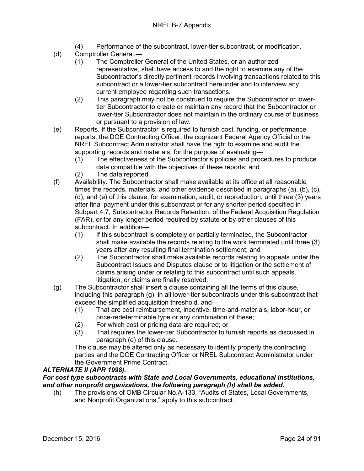- (4) Performance of the subcontract, lower-tier subcontract, or modification.
- (d) Comptroller General.—
	- (1) The Comptroller General of the United States, or an authorized representative, shall have access to and the right to examine any of the Subcontractor's directly pertinent records involving transactions related to this subcontract or a lower-tier subcontract hereunder and to interview any current employee regarding such transactions.
	- (2) This paragraph may not be construed to require the Subcontractor or lowertier Subcontractor to create or maintain any record that the Subcontractor or lower-tier Subcontractor does not maintain in the ordinary course of business or pursuant to a provision of law.
- (e) Reports. If the Subcontractor is required to furnish cost, funding, or performance reports, the DOE Contracting Officer, the cognizant Federal Agency Official or the NREL Subcontract Administrator shall have the right to examine and audit the supporting records and materials, for the purpose of evaluating—
	- (1) The effectiveness of the Subcontractor's policies and procedures to produce data compatible with the objectives of these reports; and
	- (2) The data reported.
- (f) Availability. The Subcontractor shall make available at its office at all reasonable times the records, materials, and other evidence described in paragraphs (a), (b), (c), (d), and (e) of this clause, for examination, audit, or reproduction, until three (3) years after final payment under this subcontract or for any shorter period specified in Subpart 4.7, Subcontractor Records Retention, of the Federal Acquisition Regulation (FAR), or for any longer period required by statute or by other clauses of this subcontract. In addition—
	- (1) If this subcontract is completely or partially terminated, the Subcontractor shall make available the records relating to the work terminated until three (3) years after any resulting final termination settlement; and
	- (2) The Subcontractor shall make available records relating to appeals under the Subcontract Issues and Disputes clause or to litigation or the settlement of claims arising under or relating to this subcontract until such appeals, litigation, or claims are finally resolved.
- (g) The Subcontractor shall insert a clause containing all the terms of this clause, including this paragraph (g), in all lower-tier subcontracts under this subcontract that exceed the simplified acquisition threshold, and—
	- (1) That are cost reimbursement, incentive, time-and-materials, labor-hour, or price-redeterminable type or any combination of these;
	- (2) For which cost or pricing data are required; or (3) That requires the lower-tier Subcontractor to fu
	- That requires the lower-tier Subcontractor to furnish reports as discussed in paragraph (e) of this clause.

The clause may be altered only as necessary to identify properly the contracting parties and the DOE Contracting Officer or NREL Subcontract Administrator under the Government Prime Contract.

#### *ALTERNATE II (APR 1998).*

#### *For cost type subcontracts with State and Local Governments, educational institutions, and other nonprofit organizations, the following paragraph (h) shall be added.*

(h) The provisions of OMB Circular No.A-133, "Audits of States, Local Governments, and Nonprofit Organizations," apply to this subcontract.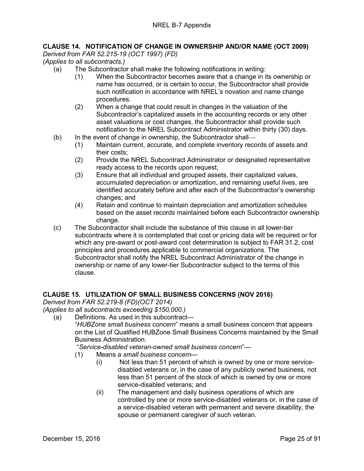#### <span id="page-24-0"></span>**CLAUSE 14. NOTIFICATION OF CHANGE IN OWNERSHIP AND/OR NAME (OCT 2009)**

<span id="page-24-1"></span>*Derived from FAR 52.215-19 (OCT 1997) (FD)*

<span id="page-24-2"></span>*(Applies to all subcontracts.)*

- (a) The Subcontractor shall make the following notifications in writing:
	- (1) When the Subcontractor becomes aware that a change in its ownership or name has occurred, or is certain to occur, the Subcontractor shall provide such notification in accordance with NREL's novation and name change procedures.
	- (2) When a change that could result in changes in the valuation of the Subcontractor's capitalized assets in the accounting records or any other asset valuations or cost changes, the Subcontractor shall provide such notification to the NREL Subcontract Administrator within thirty (30) days.
- (b) In the event of change in ownership, the Subcontractor shall
	- (1) Maintain current, accurate, and complete inventory records of assets and their costs;
	- (2) Provide the NREL Subcontract Administrator or designated representative ready access to the records upon request;
	- (3) Ensure that all individual and grouped assets, their capitalized values, accumulated depreciation or amortization, and remaining useful lives, are identified accurately before and after each of the Subcontractor's ownership changes; and
	- (4) Retain and continue to maintain depreciation and amortization schedules based on the asset records maintained before each Subcontractor ownership change.
- (c) The Subcontractor shall include the substance of this clause in all lower-tier subcontracts where it is contemplated that cost or pricing data will be required or for which any pre-award or post-award cost determination is subject to FAR 31.2, cost principles and procedures applicable to commercial organizations. The Subcontractor shall notify the NREL Subcontract Administrator of the change in ownership or name of any lower-tier Subcontractor subject to the terms of this clause.

#### <span id="page-24-3"></span>**CLAUSE 15. UTILIZATION OF SMALL BUSINESS CONCERNS (NOV 2016)**

<span id="page-24-4"></span>*Derived from FAR 52.219-8 (FD)(OCT 2014)*

<span id="page-24-5"></span>*(Applies to all subcontracts exceeding \$150,000.)*

(a) Definitions. As used in this subcontract—

"*HUBZone small business concern*" means a small business concern that appears on the List of Qualified HUBZone Small Business Concerns maintained by the Small Business Administration.

"*Service-disabled veteran-owned small business concern*"—

- (1) Means a *small business concern*
	- (i) Not less than 51 percent of which is owned by one or more servicedisabled veterans or, in the case of any publicly owned business, not less than 51 percent of the stock of which is owned by one or more service-disabled veterans; and
	- (ii) The management and daily business operations of which are controlled by one or more service-disabled veterans or, in the case of a service-disabled veteran with permanent and severe disability, the spouse or permanent caregiver of such veteran.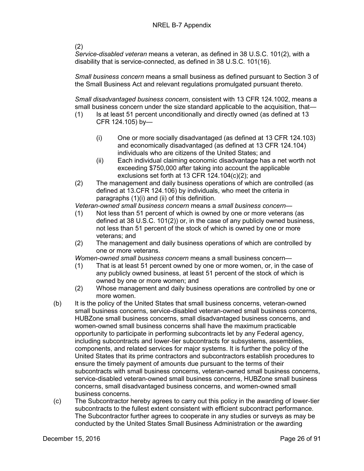(2)

*Service-disabled veteran* means a veteran, as defined in 38 U.S.C. 101(2), with a disability that is service-connected, as defined in 38 U.S.C. 101(16).

*Small business concern* means a small business as defined pursuant to Section 3 of the Small Business Act and relevant regulations promulgated pursuant thereto.

*Small disadvantaged business concern*, consistent with 13 CFR 124.1002, means a small business concern under the size standard applicable to the acquisition, that—

- (1) Is at least 51 percent unconditionally and directly owned (as defined at 13 CFR 124.105) by—
	- (i) One or more socially disadvantaged (as defined at 13 CFR 124.103) and economically disadvantaged (as defined at 13 CFR 124.104) individuals who are citizens of the United States; and
	- (ii) Each individual claiming economic disadvantage has a net worth not exceeding \$750,000 after taking into account the applicable exclusions set forth at 13 CFR 124.104(c)(2); and
- (2) The management and daily business operations of which are controlled (as defined at 13.CFR 124.106) by individuals, who meet the criteria in paragraphs (1)(i) and (ii) of this definition.

*Veteran-owned small business concern* means a *small business concern*—

- (1) Not less than 51 percent of which is owned by one or more veterans (as defined at 38 U.S.C. 101(2)) or, in the case of any publicly owned business, not less than 51 percent of the stock of which is owned by one or more veterans; and
- (2) The management and daily business operations of which are controlled by one or more veterans.

*Women-owned small business concern* means a small business concern—

- (1) That is at least 51 percent owned by one or more women, or, in the case of any publicly owned business, at least 51 percent of the stock of which is owned by one or more women; and
- (2) Whose management and daily business operations are controlled by one or more women.
- (b) It is the policy of the United States that small business concerns, veteran-owned small business concerns, service-disabled veteran-owned small business concerns, HUBZone small business concerns, small disadvantaged business concerns, and women-owned small business concerns shall have the maximum practicable opportunity to participate in performing subcontracts let by any Federal agency, including subcontracts and lower-tier subcontracts for subsystems, assemblies, components, and related services for major systems. It is further the policy of the United States that its prime contractors and subcontractors establish procedures to ensure the timely payment of amounts due pursuant to the terms of their subcontracts with small business concerns, veteran-owned small business concerns, service-disabled veteran-owned small business concerns, HUBZone small business concerns, small disadvantaged business concerns, and women-owned small business concerns.
- (c) The Subcontractor hereby agrees to carry out this policy in the awarding of lower-tier subcontracts to the fullest extent consistent with efficient subcontract performance. The Subcontractor further agrees to cooperate in any studies or surveys as may be conducted by the United States Small Business Administration or the awarding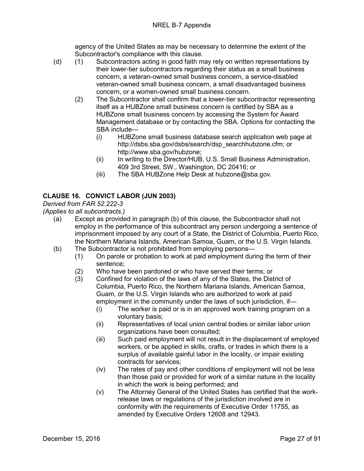agency of the United States as may be necessary to determine the extent of the Subcontractor's compliance with this clause.

- (d) (1) Subcontractors acting in good faith may rely on written representations by their lower-tier subcontractors regarding their status as a small business concern, a veteran-owned small business concern, a service-disabled veteran-owned small business concern, a small disadvantaged business concern, or a women-owned small business concern.
	- (2) The Subcontractor shall confirm that a lower-tier subcontractor representing itself as a HUBZone small business concern is certified by SBA as a HUBZone small business concern by accessing the System for Award Management database or by contacting the SBA. Options for contacting the SBA include—
		- (i) HUBZone small business database search application web page at [http://dsbs.sba.gov/dsbs/search/dsp\\_searchhubzone.cfm;](http://dsbs.sba.gov/dsbs/search/dsp_searchhubzone.cfm) or [http://www.sba.gov/hubzone;](http://www.sba.gov/hubzone)
		- (ii) In writing to the Director/HUB, U.S. Small Business Administration, 409 3rd Street, SW., Washington, DC 20416; or
		- (iii) The SBA HUBZone Help Desk at hubzone@sba.gov.

#### <span id="page-26-0"></span>**CLAUSE 16. CONVICT LABOR (JUN 2003)**

#### <span id="page-26-1"></span>*Derived from FAR 52.222-3*

<span id="page-26-2"></span>*(Applies to all subcontracts.)*

- (a) Except as provided in paragraph (b) of this clause, the Subcontractor shall not employ in the performance of this subcontract any person undergoing a sentence of imprisonment imposed by any court of a State, the District of Columbia, Puerto Rico, the Northern Mariana Islands, American Samoa, Guam, or the U.S. Virgin Islands.
- (b) The Subcontractor is not prohibited from employing persons—
	- (1) On parole or probation to work at paid employment during the term of their sentence;
	- (2) Who have been pardoned or who have served their terms; or
	- (3) Confined for violation of the laws of any of the States, the District of Columbia, Puerto Rico, the Northern Mariana Islands, American Samoa, Guam, or the U.S. Virgin Islands who are authorized to work at paid employment in the community under the laws of such jurisdiction, if—
		- (i) The worker is paid or is in an approved work training program on a voluntary basis;
		- (ii) Representatives of local union central bodies or similar labor union organizations have been consulted;
		- (iii) Such paid employment will not result in the displacement of employed workers, or be applied in skills, crafts, or trades in which there is a surplus of available gainful labor in the locality, or impair existing contracts for services;
		- (iv) The rates of pay and other conditions of employment will not be less than those paid or provided for work of a similar nature in the locality in which the work is being performed; and
		- (v) The Attorney General of the United States has certified that the workrelease laws or regulations of the jurisdiction involved are in conformity with the requirements of Executive Order 11755, as amended by Executive Orders 12608 and 12943.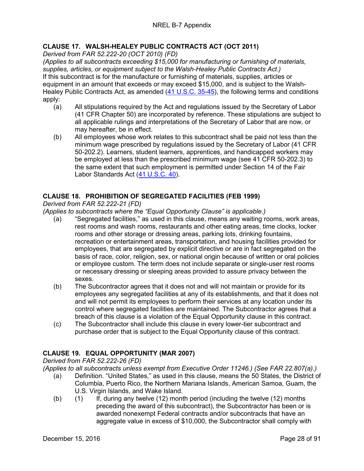#### <span id="page-27-0"></span>**CLAUSE 17. WALSH-HEALEY PUBLIC CONTRACTS ACT (OCT 2011)**

<span id="page-27-1"></span>*Derived from FAR 52.222-20 (OCT 2010) (FD)*

<span id="page-27-2"></span>*(Applies to all subcontracts exceeding \$15,000 for manufacturing or furnishing of materials, supplies, articles, or equipment subject to the Walsh-Healey Public Contracts Act.)* If this subcontract is for the manufacture or furnishing of materials, supplies, articles or equipment in an amount that exceeds or may exceed \$15,000, and is subject to the Walsh-Healey Public Contracts Act, as amended [\(41 U.S.C. 35-45\)](http://uscode.house.gov/uscode-cgi/fastweb.exe?getdoc+uscview+t41t42+2+13++%2841%29%20%20AND%20%28%2841%29%20ADJ%20USC%29%3ACITE%20%20%20%20%20%20%20%20%20), the following terms and conditions apply:

- (a) All stipulations required by the Act and regulations issued by the Secretary of Labor (41 CFR Chapter 50) are incorporated by reference. These stipulations are subject to all applicable rulings and interpretations of the Secretary of Labor that are now, or may hereafter, be in effect.
- (b) All employees whose work relates to this subcontract shall be paid not less than the minimum wage prescribed by regulations issued by the Secretary of Labor (41 CFR 50-202.2). Learners, student learners, apprentices, and handicapped workers may be employed at less than the prescribed minimum wage (see 41 CFR 50-202.3) to the same extent that such employment is permitted under Section 14 of the Fair Labor Standards Act [\(41 U.S.C. 40\)](http://uscode.house.gov/uscode-cgi/fastweb.exe?getdoc+uscview+t41t42+2+13++%2841%29%20%20AND%20%28%2841%29%20ADJ%20USC%29%3ACITE%20%20%20%20%20%20%20%20%20).

#### <span id="page-27-3"></span>**CLAUSE 18. PROHIBITION OF SEGREGATED FACILITIES (FEB 1999)**

<span id="page-27-4"></span>*Derived from FAR 52.222-21 (FD)*

<span id="page-27-5"></span>*(Applies to subcontracts where the "Equal Opportunity Clause" is applicable.)*

- (a) "Segregated facilities," as used in this clause, means any waiting rooms, work areas, rest rooms and wash rooms, restaurants and other eating areas, time clocks, locker rooms and other storage or dressing areas, parking lots, drinking fountains, recreation or entertainment areas, transportation, and housing facilities provided for employees, that are segregated by explicit directive or are in fact segregated on the basis of race, color, religion, sex, or national origin because of written or oral policies or employee custom. The term does not include separate or single-user rest rooms or necessary dressing or sleeping areas provided to assure privacy between the sexes.
- (b) The Subcontractor agrees that it does not and will not maintain or provide for its employees any segregated facilities at any of its establishments, and that it does not and will not permit its employees to perform their services at any location under its control where segregated facilities are maintained. The Subcontractor agrees that a breach of this clause is a violation of the Equal Opportunity clause in this contract.
- (c) The Subcontractor shall include this clause in every lower-tier subcontract and purchase order that is subject to the Equal Opportunity clause of this contract.

#### <span id="page-27-6"></span>**CLAUSE 19. EQUAL OPPORTUNITY (MAR 2007)**

<span id="page-27-7"></span>*Derived from FAR 52.222-26 (FD)* 

<span id="page-27-8"></span>*(Applies to all subcontracts unless exempt from Executive Order 11246.) (See FAR 22.807(a).)*

- (a) Definition. "United States," as used in this clause, means the 50 States, the District of Columbia, Puerto Rico, the Northern Mariana Islands, American Samoa, Guam, the U.S. Virgin Islands, and Wake Island.
- (b) (1) If, during any twelve (12) month period (including the twelve (12) months preceding the award of this subcontract), the Subcontractor has been or is awarded nonexempt Federal contracts and/or subcontracts that have an aggregate value in excess of \$10,000, the Subcontractor shall comply with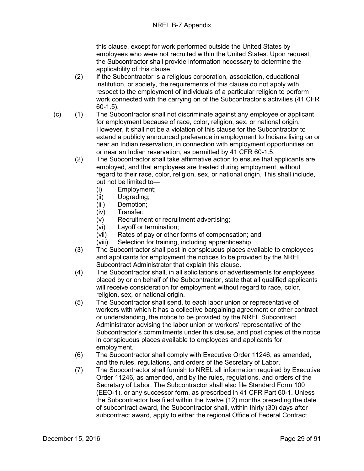this clause, except for work performed outside the United States by employees who were not recruited within the United States. Upon request, the Subcontractor shall provide information necessary to determine the applicability of this clause.

- (2) If the Subcontractor is a religious corporation, association, educational institution, or society, the requirements of this clause do not apply with respect to the employment of individuals of a particular religion to perform work connected with the carrying on of the Subcontractor's activities (41 CFR 60-1.5).
- (c) (1) The Subcontractor shall not discriminate against any employee or applicant for employment because of race, color, religion, sex, or national origin. However, it shall not be a violation of this clause for the Subcontractor to extend a publicly announced preference in employment to Indians living on or near an Indian reservation, in connection with employment opportunities on or near an Indian reservation, as permitted by 41 CFR 60-1.5.
	- (2) The Subcontractor shall take affirmative action to ensure that applicants are employed, and that employees are treated during employment, without regard to their race, color, religion, sex, or national origin. This shall include, but not be limited to—
		- (i) Employment;
		- (ii) Upgrading;
		- (iii) Demotion;
		- (iv) Transfer;
		- (v) Recruitment or recruitment advertising;
		- (vi) Layoff or termination;
		- (vii) Rates of pay or other forms of compensation; and
		- (viii) Selection for training, including apprenticeship.
	- (3) The Subcontractor shall post in conspicuous places available to employees and applicants for employment the notices to be provided by the NREL Subcontract Administrator that explain this clause.
	- (4) The Subcontractor shall, in all solicitations or advertisements for employees placed by or on behalf of the Subcontractor, state that all qualified applicants will receive consideration for employment without regard to race, color, religion, sex, or national origin.
	- (5) The Subcontractor shall send, to each labor union or representative of workers with which it has a collective bargaining agreement or other contract or understanding, the notice to be provided by the NREL Subcontract Administrator advising the labor union or workers' representative of the Subcontractor's commitments under this clause, and post copies of the notice in conspicuous places available to employees and applicants for employment.
	- (6) The Subcontractor shall comply with Executive Order 11246, as amended, and the rules, regulations, and orders of the Secretary of Labor.
	- (7) The Subcontractor shall furnish to NREL all information required by Executive Order 11246, as amended, and by the rules, regulations, and orders of the Secretary of Labor. The Subcontractor shall also file Standard Form 100 (EEO-1), or any successor form, as prescribed in 41 CFR Part 60-1. Unless the Subcontractor has filed within the twelve (12) months preceding the date of subcontract award, the Subcontractor shall, within thirty (30) days after subcontract award, apply to either the regional Office of Federal Contract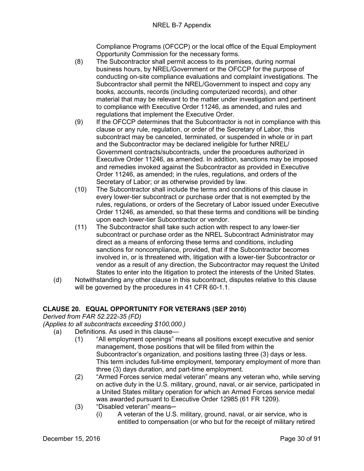Compliance Programs (OFCCP) or the local office of the Equal Employment Opportunity Commission for the necessary forms.

- (8) The Subcontractor shall permit access to its premises, during normal business hours, by NREL/Government or the OFCCP for the purpose of conducting on-site compliance evaluations and complaint investigations. The Subcontractor shall permit the NREL/Government to inspect and copy any books, accounts, records (including computerized records), and other material that may be relevant to the matter under investigation and pertinent to compliance with Executive Order 11246, as amended, and rules and regulations that implement the Executive Order.
- (9) If the OFCCP determines that the Subcontractor is not in compliance with this clause or any rule, regulation, or order of the Secretary of Labor, this subcontract may be canceled, terminated, or suspended in whole or in part and the Subcontractor may be declared ineligible for further NREL/ Government contracts/subcontracts, under the procedures authorized in Executive Order 11246, as amended. In addition, sanctions may be imposed and remedies invoked against the Subcontractor as provided in Executive Order 11246, as amended; in the rules, regulations, and orders of the Secretary of Labor; or as otherwise provided by law.
- (10) The Subcontractor shall include the terms and conditions of this clause in every lower-tier subcontract or purchase order that is not exempted by the rules, regulations, or orders of the Secretary of Labor issued under Executive Order 11246, as amended, so that these terms and conditions will be binding upon each lower-tier Subcontractor or vendor.
- (11) The Subcontractor shall take such action with respect to any lower-tier subcontract or purchase order as the NREL Subcontract Administrator may direct as a means of enforcing these terms and conditions, including sanctions for noncompliance, provided, that if the Subcontractor becomes involved in, or is threatened with, litigation with a lower-tier Subcontractor or vendor as a result of any direction, the Subcontractor may request the United States to enter into the litigation to protect the interests of the United States.
- (d) Notwithstanding any other clause in this subcontract, disputes relative to this clause will be governed by the procedures in 41 CFR 60-1.1.

#### <span id="page-29-0"></span>**CLAUSE 20. EQUAL OPPORTUNITY FOR VETERANS (SEP 2010)**

<span id="page-29-2"></span><span id="page-29-1"></span>*Derived from FAR 52.222-35 (FD)*

- (a) Definitions. As used in this clause—
	- (1) "All employment openings" means all positions except executive and senior management, those positions that will be filled from within the Subcontractor's organization, and positions lasting three (3) days or less. This term includes full-time employment, temporary employment of more than three (3) days duration, and part-time employment.
		- (2) "Armed Forces service medal veteran" means any veteran who, while serving on active duty in the U.S. military, ground, naval, or air service, participated in a United States military operation for which an Armed Forces service medal was awarded pursuant to Executive Order 12985 (61 FR 1209).
		- (3) "Disabled veteran" means-
			- (i) A veteran of the U.S. military, ground, naval, or air service, who is entitled to compensation (or who but for the receipt of military retired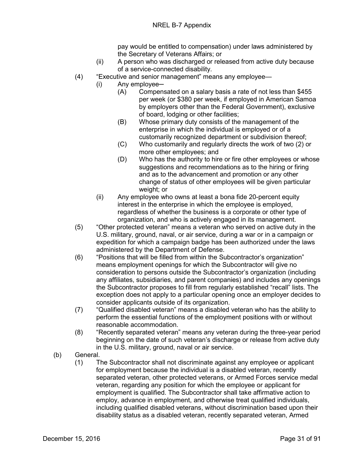pay would be entitled to compensation) under laws administered by the Secretary of Veterans Affairs; or

- (ii) A person who was discharged or released from active duty because of a service-connected disability.
- (4) "Executive and senior management" means any employee—
	- $(i)$  Any employee $-$ 
		- (A) Compensated on a salary basis a rate of not less than \$455 per week (or \$380 per week, if employed in American Samoa by employers other than the Federal Government), exclusive of board, lodging or other facilities;
		- (B) Whose primary duty consists of the management of the enterprise in which the individual is employed or of a customarily recognized department or subdivision thereof;
		- (C) Who customarily and regularly directs the work of two (2) or more other employees; and
		- (D) Who has the authority to hire or fire other employees or whose suggestions and recommendations as to the hiring or firing and as to the advancement and promotion or any other change of status of other employees will be given particular weight; or
	- (ii) Any employee who owns at least a bona fide 20-percent equity interest in the enterprise in which the employee is employed, regardless of whether the business is a corporate or other type of organization, and who is actively engaged in its management.
- (5) "Other protected veteran" means a veteran who served on active duty in the U.S. military, ground, naval, or air service, during a war or in a campaign or expedition for which a campaign badge has been authorized under the laws administered by the Department of Defense.
- (6) "Positions that will be filled from within the Subcontractor's organization" means employment openings for which the Subcontractor will give no consideration to persons outside the Subcontractor's organization (including any affiliates, subsidiaries, and parent companies) and includes any openings the Subcontractor proposes to fill from regularly established "recall" lists. The exception does not apply to a particular opening once an employer decides to consider applicants outside of its organization.
- (7) "Qualified disabled veteran" means a disabled veteran who has the ability to perform the essential functions of the employment positions with or without reasonable accommodation.
- (8) "Recently separated veteran" means any veteran during the three-year period beginning on the date of such veteran's discharge or release from active duty in the U.S. military, ground, naval or air service.
- (b) General.
	- (1) The Subcontractor shall not discriminate against any employee or applicant for employment because the individual is a disabled veteran, recently separated veteran, other protected veterans, or Armed Forces service medal veteran, regarding any position for which the employee or applicant for employment is qualified. The Subcontractor shall take affirmative action to employ, advance in employment, and otherwise treat qualified individuals, including qualified disabled veterans, without discrimination based upon their disability status as a disabled veteran, recently separated veteran, Armed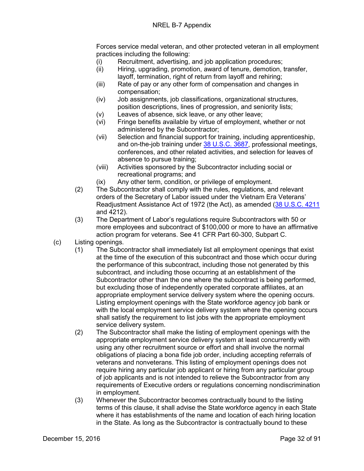Forces service medal veteran, and other protected veteran in all employment practices including the following:

- (i) Recruitment, advertising, and job application procedures;
- (ii) Hiring, upgrading, promotion, award of tenure, demotion, transfer, layoff, termination, right of return from layoff and rehiring;
- (iii) Rate of pay or any other form of compensation and changes in compensation;
- (iv) Job assignments, job classifications, organizational structures, position descriptions, lines of progression, and seniority lists;
- (v) Leaves of absence, sick leave, or any other leave;<br>(vi) Fringe benefits available by virtue of employment,
- Fringe benefits available by virtue of employment, whether or not administered by the Subcontractor;
- (vii) Selection and financial support for training, including apprenticeship, and on-the-job training under [38 U.S.C. 3687,](http://uscode.house.gov/uscode-cgi/fastweb.exe?getdoc+uscview+t37t40+200+2++%2838%29%20%20AND%20%28%2838%29%20ADJ%20USC%29%3ACITE%20%20%20%20%20%20%20%20%20) professional meetings, conferences, and other related activities, and selection for leaves of absence to pursue training;
- (viii) Activities sponsored by the Subcontractor including social or recreational programs; and
- (ix) Any other term, condition, or privilege of employment.
- (2) The Subcontractor shall comply with the rules, regulations, and relevant orders of the Secretary of Labor issued under the Vietnam Era Veterans' Readjustment Assistance Act of 1972 (the Act), as amended [\(38 U.S.C. 4211](http://uscode.house.gov/uscode-cgi/fastweb.exe?getdoc+uscview+t37t40+200+2++%2838%29%20%20AND%20%28%2838%29%20ADJ%20USC%29%3ACITE%20%20%20%20%20%20%20%20%20) and 4212).
- (3) The Department of Labor's regulations require Subcontractors with 50 or more employees and subcontract of \$100,000 or more to have an affirmative action program for veterans. See 41 CFR Part 60-300, Subpart C.
- (c) Listing openings.
	- (1) The Subcontractor shall immediately list all employment openings that exist at the time of the execution of this subcontract and those which occur during the performance of this subcontract, including those not generated by this subcontract, and including those occurring at an establishment of the Subcontractor other than the one where the subcontract is being performed, but excluding those of independently operated corporate affiliates, at an appropriate employment service delivery system where the opening occurs. Listing employment openings with the State workforce agency job bank or with the local employment service delivery system where the opening occurs shall satisfy the requirement to list jobs with the appropriate employment service delivery system.
	- (2) The Subcontractor shall make the listing of employment openings with the appropriate employment service delivery system at least concurrently with using any other recruitment source or effort and shall involve the normal obligations of placing a bona fide job order, including accepting referrals of veterans and nonveterans. This listing of employment openings does not require hiring any particular job applicant or hiring from any particular group of job applicants and is not intended to relieve the Subcontractor from any requirements of Executive orders or regulations concerning nondiscrimination in employment.
	- (3) Whenever the Subcontractor becomes contractually bound to the listing terms of this clause, it shall advise the State workforce agency in each State where it has establishments of the name and location of each hiring location in the State. As long as the Subcontractor is contractually bound to these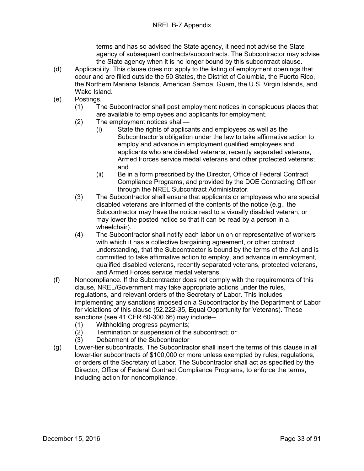terms and has so advised the State agency, it need not advise the State agency of subsequent contracts/subcontracts. The Subcontractor may advise the State agency when it is no longer bound by this subcontract clause.

- (d) Applicability. This clause does not apply to the listing of employment openings that occur and are filled outside the 50 States, the District of Columbia, the Puerto Rico, the Northern Mariana Islands, American Samoa, Guam, the U.S. Virgin Islands, and Wake Island.
- (e) Postings.
	- (1) The Subcontractor shall post employment notices in conspicuous places that are available to employees and applicants for employment.
	- (2) The employment notices shall—
		- (i) State the rights of applicants and employees as well as the Subcontractor's obligation under the law to take affirmative action to employ and advance in employment qualified employees and applicants who are disabled veterans, recently separated veterans, Armed Forces service medal veterans and other protected veterans; and
		- (ii) Be in a form prescribed by the Director, Office of Federal Contract Compliance Programs, and provided by the DOE Contracting Officer through the NREL Subcontract Administrator.
	- (3) The Subcontractor shall ensure that applicants or employees who are special disabled veterans are informed of the contents of the notice (e.g., the Subcontractor may have the notice read to a visually disabled veteran, or may lower the posted notice so that it can be read by a person in a wheelchair).
	- (4) The Subcontractor shall notify each labor union or representative of workers with which it has a collective bargaining agreement, or other contract understanding, that the Subcontractor is bound by the terms of the Act and is committed to take affirmative action to employ, and advance in employment, qualified disabled veterans, recently separated veterans, protected veterans, and Armed Forces service medal veterans.
- (f) Noncompliance. If the Subcontractor does not comply with the requirements of this clause, NREL/Government may take appropriate actions under the rules, regulations, and relevant orders of the Secretary of Labor. This includes implementing any sanctions imposed on a Subcontractor by the Department of Labor for violations of this clause (52.222-35, Equal Opportunity for Veterans). These sanctions (see 41 CFR 60-300.66) may include—<br>(1) Withholding progress payments:
	- (1) Withholding progress payments;<br>(2) Termination or suspension of the
	- Termination or suspension of the subcontract: or
	- (3) Debarment of the Subcontractor
- (g) Lower-tier subcontracts. The Subcontractor shall insert the terms of this clause in all lower-tier subcontracts of \$100,000 or more unless exempted by rules, regulations, or orders of the Secretary of Labor. The Subcontractor shall act as specified by the Director, Office of Federal Contract Compliance Programs, to enforce the terms, including action for noncompliance.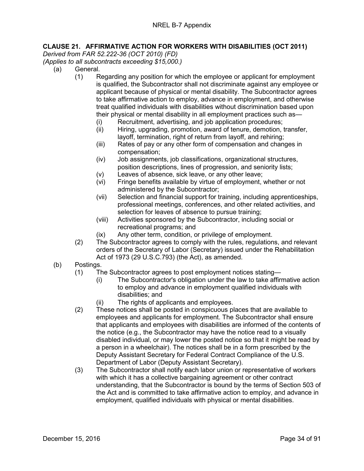#### <span id="page-33-0"></span>**CLAUSE 21. AFFIRMATIVE ACTION FOR WORKERS WITH DISABILITIES (OCT 2011)**

<span id="page-33-2"></span><span id="page-33-1"></span>*Derived from FAR 52.222-36 (OCT 2010) (FD)*

- (a) General.
	- (1) Regarding any position for which the employee or applicant for employment is qualified, the Subcontractor shall not discriminate against any employee or applicant because of physical or mental disability. The Subcontractor agrees to take affirmative action to employ, advance in employment, and otherwise treat qualified individuals with disabilities without discrimination based upon their physical or mental disability in all employment practices such as—
		- (i) Recruitment, advertising, and job application procedures;
		- (ii) Hiring, upgrading, promotion, award of tenure, demotion, transfer, layoff, termination, right of return from layoff, and rehiring;
		- (iii) Rates of pay or any other form of compensation and changes in compensation;
		- (iv) Job assignments, job classifications, organizational structures, position descriptions, lines of progression, and seniority lists;
		- (v) Leaves of absence, sick leave, or any other leave;
		- (vi) Fringe benefits available by virtue of employment, whether or not administered by the Subcontractor;
		- (vii) Selection and financial support for training, including apprenticeships, professional meetings, conferences, and other related activities, and selection for leaves of absence to pursue training;
		- (viii) Activities sponsored by the Subcontractor, including social or recreational programs; and
		- (ix) Any other term, condition, or privilege of employment.
	- (2) The Subcontractor agrees to comply with the rules, regulations, and relevant orders of the Secretary of Labor (Secretary) issued under the Rehabilitation Act of 1973 (29 U.S.C.793) (the Act), as amended.
- (b) Postings.
	- (1) The Subcontractor agrees to post employment notices stating—
		- (i) The Subcontractor's obligation under the law to take affirmative action to employ and advance in employment qualified individuals with disabilities; and
		- (ii) The rights of applicants and employees.
	- (2) These notices shall be posted in conspicuous places that are available to employees and applicants for employment. The Subcontractor shall ensure that applicants and employees with disabilities are informed of the contents of the notice (e.g., the Subcontractor may have the notice read to a visually disabled individual, or may lower the posted notice so that it might be read by a person in a wheelchair). The notices shall be in a form prescribed by the Deputy Assistant Secretary for Federal Contract Compliance of the U.S. Department of Labor (Deputy Assistant Secretary).
	- (3) The Subcontractor shall notify each labor union or representative of workers with which it has a collective bargaining agreement or other contract understanding, that the Subcontractor is bound by the terms of Section 503 of the Act and is committed to take affirmative action to employ, and advance in employment, qualified individuals with physical or mental disabilities.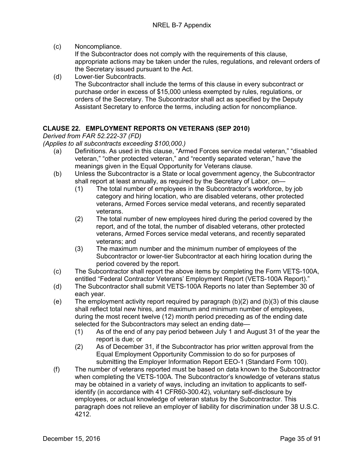(c) Noncompliance.

If the Subcontractor does not comply with the requirements of this clause, appropriate actions may be taken under the rules, regulations, and relevant orders of the Secretary issued pursuant to the Act.

(d) Lower-tier Subcontracts. The Subcontractor shall include the terms of this clause in every subcontract or purchase order in excess of \$15,000 unless exempted by rules, regulations, or orders of the Secretary. The Subcontractor shall act as specified by the Deputy Assistant Secretary to enforce the terms, including action for noncompliance.

#### <span id="page-34-0"></span>**CLAUSE 22. EMPLOYMENT REPORTS ON VETERANS (SEP 2010)**

<span id="page-34-2"></span><span id="page-34-1"></span>*Derived from FAR 52.222-37 (FD)*

- (a) Definitions. As used in this clause, "Armed Forces service medal veteran," "disabled veteran," "other protected veteran," and "recently separated veteran," have the meanings given in the Equal Opportunity for Veterans clause.
- (b) Unless the Subcontractor is a State or local government agency, the Subcontractor shall report at least annually, as required by the Secretary of Labor, on—
	- (1) The total number of employees in the Subcontractor's workforce, by job category and hiring location, who are disabled veterans, other protected veterans, Armed Forces service medal veterans, and recently separated veterans.
	- (2) The total number of new employees hired during the period covered by the report, and of the total, the number of disabled veterans, other protected veterans, Armed Forces service medal veterans, and recently separated veterans; and
	- (3) The maximum number and the minimum number of employees of the Subcontractor or lower-tier Subcontractor at each hiring location during the period covered by the report.
- (c) The Subcontractor shall report the above items by completing the Form VETS-100A, entitled "Federal Contractor Veterans' Employment Report (VETS-100A Report)."
- (d) The Subcontractor shall submit VETS-100A Reports no later than September 30 of each year.
- (e) The employment activity report required by paragraph  $(b)(2)$  and  $(b)(3)$  of this clause shall reflect total new hires, and maximum and minimum number of employees, during the most recent twelve (12) month period preceding as of the ending date selected for the Subcontractors may select an ending date—
	- (1) As of the end of any pay period between July 1 and August 31 of the year the report is due; or
	- (2) As of December 31, if the Subcontractor has prior written approval from the Equal Employment Opportunity Commission to do so for purposes of submitting the Employer Information Report EEO-1 (Standard Form 100).
- (f) The number of veterans reported must be based on data known to the Subcontractor when completing the VETS-100A. The Subcontractor's knowledge of veterans status may be obtained in a variety of ways, including an invitation to applicants to selfidentify (in accordance with 41 CFR60-300.42), voluntary self-disclosure by employees, or actual knowledge of veteran status by the Subcontractor. This paragraph does not relieve an employer of liability for discrimination under 38 U.S.C. 4212.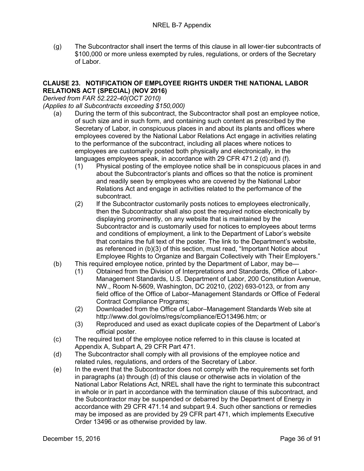(g) The Subcontractor shall insert the terms of this clause in all lower-tier subcontracts of \$100,000 or more unless exempted by rules, regulations, or orders of the Secretary of Labor.

#### <span id="page-35-0"></span>**CLAUSE 23. NOTIFICATION OF EMPLOYEE RIGHTS UNDER THE NATIONAL LABOR RELATIONS ACT (SPECIAL) (NOV 2016)**

<span id="page-35-2"></span><span id="page-35-1"></span>*Derived from FAR 52.222-40(OCT 2010)*

- (a) During the term of this subcontract, the Subcontractor shall post an employee notice, of such size and in such form, and containing such content as prescribed by the Secretary of Labor, in conspicuous places in and about its plants and offices where employees covered by the National Labor Relations Act engage in activities relating to the performance of the subcontract, including all places where notices to employees are customarily posted both physically and electronically, in the languages employees speak, in accordance with 29 CFR 471.2 (d) and (f).
	- (1) Physical posting of the employee notice shall be in conspicuous places in and about the Subcontractor's plants and offices so that the notice is prominent and readily seen by employees who are covered by the National Labor Relations Act and engage in activities related to the performance of the subcontract.
	- (2) If the Subcontractor customarily posts notices to employees electronically, then the Subcontractor shall also post the required notice electronically by displaying prominently, on any website that is maintained by the Subcontractor and is customarily used for notices to employees about terms and conditions of employment, a link to the Department of Labor's website that contains the full text of the poster. The link to the Department's website, as referenced in (b)(3) of this section, must read, "Important Notice about Employee Rights to Organize and Bargain Collectively with Their Employers."
- (b) This required employee notice, printed by the Department of Labor, may be—
	- (1) Obtained from the Division of Interpretations and Standards, Office of Labor-Management Standards, U.S. Department of Labor, 200 Constitution Avenue, NW., Room N-5609, Washington, DC 20210, (202) 693-0123, or from any field office of the Office of Labor–Management Standards or Office of Federal Contract Compliance Programs;
	- (2) Downloaded from the Office of Labor–Management Standards Web site at http://www.dol.gov/olms/regs/compliance/EO13496.htm; or
	- (3) Reproduced and used as exact duplicate copies of the Department of Labor's official poster.
- (c) The required text of the employee notice referred to in this clause is located at Appendix A, Subpart A, 29 CFR Part 471.
- (d) The Subcontractor shall comply with all provisions of the employee notice and related rules, regulations, and orders of the Secretary of Labor.
- (e) In the event that the Subcontractor does not comply with the requirements set forth in paragraphs (a) through (d) of this clause or otherwise acts in violation of the National Labor Relations Act, NREL shall have the right to terminate this subcontract in whole or in part in accordance with the termination clause of this subcontract, and the Subcontractor may be suspended or debarred by the Department of Energy in accordance with 29 CFR 471.14 and subpart 9.4. Such other sanctions or remedies may be imposed as are provided by 29 CFR part 471, which implements Executive Order 13496 or as otherwise provided by law.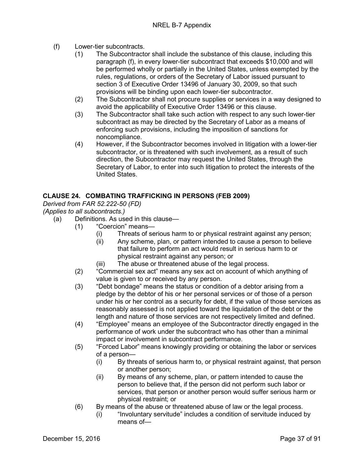- (f) Lower-tier subcontracts.
	- (1) The Subcontractor shall include the substance of this clause, including this paragraph (f), in every lower-tier subcontract that exceeds \$10,000 and will be performed wholly or partially in the United States, unless exempted by the rules, regulations, or orders of the Secretary of Labor issued pursuant to section 3 of Executive Order 13496 of January 30, 2009, so that such provisions will be binding upon each lower-tier subcontractor.
	- (2) The Subcontractor shall not procure supplies or services in a way designed to avoid the applicability of Executive Order 13496 or this clause.
	- (3) The Subcontractor shall take such action with respect to any such lower-tier subcontract as may be directed by the Secretary of Labor as a means of enforcing such provisions, including the imposition of sanctions for noncompliance.
	- (4) However, if the Subcontractor becomes involved in litigation with a lower-tier subcontractor, or is threatened with such involvement, as a result of such direction, the Subcontractor may request the United States, through the Secretary of Labor, to enter into such litigation to protect the interests of the United States.

## **CLAUSE 24. COMBATING TRAFFICKING IN PERSONS (FEB 2009)**

*Derived from FAR 52.222-50 (FD)*

*(Applies to all subcontracts.)*

- (a) Definitions. As used in this clause—
	- (1) "Coercion" means—
		- (i) Threats of serious harm to or physical restraint against any person;
		- (ii) Any scheme, plan, or pattern intended to cause a person to believe that failure to perform an act would result in serious harm to or physical restraint against any person; or
		- (iii) The abuse or threatened abuse of the legal process.
	- (2) "Commercial sex act" means any sex act on account of which anything of value is given to or received by any person.
	- (3) "Debt bondage" means the status or condition of a debtor arising from a pledge by the debtor of his or her personal services or of those of a person under his or her control as a security for debt, if the value of those services as reasonably assessed is not applied toward the liquidation of the debt or the length and nature of those services are not respectively limited and defined.
	- (4) "Employee" means an employee of the Subcontractor directly engaged in the performance of work under the subcontract who has other than a minimal impact or involvement in subcontract performance.
	- (5) "Forced Labor" means knowingly providing or obtaining the labor or services of a person—
		- (i) By threats of serious harm to, or physical restraint against, that person or another person;
		- (ii) By means of any scheme, plan, or pattern intended to cause the person to believe that, if the person did not perform such labor or services, that person or another person would suffer serious harm or physical restraint; or
	- (6) By means of the abuse or threatened abuse of law or the legal process.
		- (i) "Involuntary servitude" includes a condition of servitude induced by means of—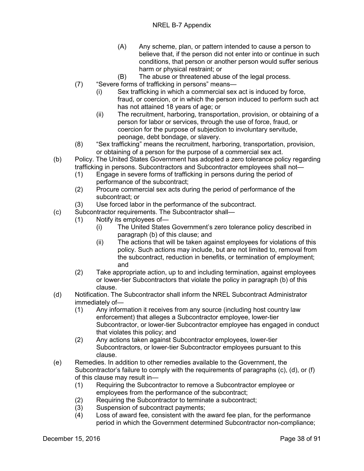- (A) Any scheme, plan, or pattern intended to cause a person to believe that, if the person did not enter into or continue in such conditions, that person or another person would suffer serious harm or physical restraint; or
- (B) The abuse or threatened abuse of the legal process.
- (7) "Severe forms of trafficking in persons" means—
	- (i) Sex trafficking in which a commercial sex act is induced by force, fraud, or coercion, or in which the person induced to perform such act has not attained 18 years of age; or
	- (ii) The recruitment, harboring, transportation, provision, or obtaining of a person for labor or services, through the use of force, fraud, or coercion for the purpose of subjection to involuntary servitude, peonage, debt bondage, or slavery.
- (8) "Sex trafficking" means the recruitment, harboring, transportation, provision, or obtaining of a person for the purpose of a commercial sex act.
- (b) Policy. The United States Government has adopted a zero tolerance policy regarding trafficking in persons. Subcontractors and Subcontractor employees shall not—
	- (1) Engage in severe forms of trafficking in persons during the period of performance of the subcontract;
	- (2) Procure commercial sex acts during the period of performance of the subcontract; or
	- (3) Use forced labor in the performance of the subcontract.
- (c) Subcontractor requirements. The Subcontractor shall—
	- (1) Notify its employees of—
		- (i) The United States Government's zero tolerance policy described in paragraph (b) of this clause; and
		- (ii) The actions that will be taken against employees for violations of this policy. Such actions may include, but are not limited to, removal from the subcontract, reduction in benefits, or termination of employment; and
	- (2) Take appropriate action, up to and including termination, against employees or lower-tier Subcontractors that violate the policy in paragraph (b) of this clause.
- (d) Notification. The Subcontractor shall inform the NREL Subcontract Administrator immediately of—
	- (1) Any information it receives from any source (including host country law enforcement) that alleges a Subcontractor employee, lower-tier Subcontractor, or lower-tier Subcontractor employee has engaged in conduct that violates this policy; and
	- (2) Any actions taken against Subcontractor employees, lower-tier Subcontractors, or lower-tier Subcontractor employees pursuant to this clause.
- (e) Remedies. In addition to other remedies available to the Government, the Subcontractor's failure to comply with the requirements of paragraphs (c), (d), or (f) of this clause may result in—
	- (1) Requiring the Subcontractor to remove a Subcontractor employee or employees from the performance of the subcontract;
	- (2) Requiring the Subcontractor to terminate a subcontract;
	- (3) Suspension of subcontract payments;
	- (4) Loss of award fee, consistent with the award fee plan, for the performance period in which the Government determined Subcontractor non-compliance;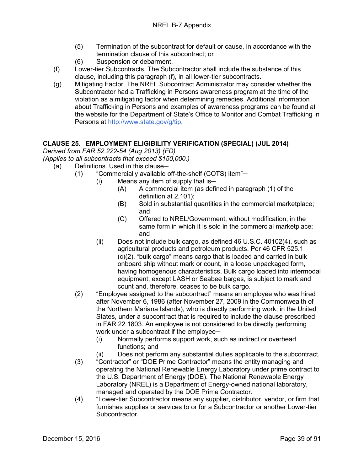- (5) Termination of the subcontract for default or cause, in accordance with the termination clause of this subcontract; or
- (6) Suspension or debarment.
- (f) Lower-tier Subcontracts. The Subcontractor shall include the substance of this clause, including this paragraph (f), in all lower-tier subcontracts.
- (g) Mitigating Factor. The NREL Subcontract Administrator may consider whether the Subcontractor had a Trafficking in Persons awareness program at the time of the violation as a mitigating factor when determining remedies. Additional information about Trafficking in Persons and examples of awareness programs can be found at the website for the Department of State's Office to Monitor and Combat Trafficking in Persons at [http://www.state.gov/g/tip.](http://www.state.gov/g/tip)

# **CLAUSE 25. EMPLOYMENT ELIGIBILITY VERIFICATION (SPECIAL) (JUL 2014)**

*Derived from FAR 52.222-54 (Aug 2013) (FD)*

*(Applies to all subcontracts that exceed \$150,000.)*

- (a) Definitions. Used in this clause—
	- (1) "Commercially available off-the-shelf (COTS) item"-
		- $(i)$  Means any item of supply that is—
			- (A) A commercial item (as defined in paragraph (1) of the definition at 2.101);
			- (B) Sold in substantial quantities in the commercial marketplace; and
			- (C) Offered to NREL/Government, without modification, in the same form in which it is sold in the commercial marketplace; and
			- (ii) Does not include bulk cargo, as defined 46 U.S.C. 40102(4), such as agricultural products and petroleum products. Per 46 CFR 525.1 (c)(2), "bulk cargo" means cargo that is loaded and carried in bulk onboard ship without mark or count, in a loose unpackaged form, having homogenous characteristics. Bulk cargo loaded into intermodal equipment, except LASH or Seabee barges, is subject to mark and count and, therefore, ceases to be bulk cargo.
	- (2) "Employee assigned to the subcontract" means an employee who was hired after November 6, 1986 (after November 27, 2009 in the Commonwealth of the Northern Mariana Islands), who is directly performing work, in the United States, under a subcontract that is required to include the clause prescribed in FAR 22.1803. An employee is not considered to be directly performing work under a subcontract if the employee-
		- (i) Normally performs support work, such as indirect or overhead functions; and
		- (ii) Does not perform any substantial duties applicable to the subcontract.
	- (3) "Contractor" or "DOE Prime Contractor" means the entity managing and operating the National Renewable Energy Laboratory under prime contract to the U.S. Department of Energy (DOE). The National Renewable Energy Laboratory (NREL) is a Department of Energy-owned national laboratory, managed and operated by the DOE Prime Contractor.
	- (4) "Lower-tier Subcontractor means any supplier, distributor, vendor, or firm that furnishes supplies or services to or for a Subcontractor or another Lower-tier Subcontractor.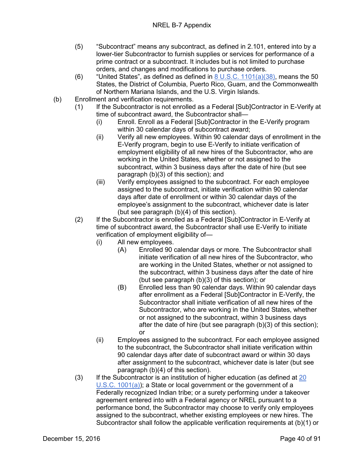- (5) "Subcontract" means any subcontract, as defined in 2.101, entered into by a lower-tier Subcontractor to furnish supplies or services for performance of a prime contract or a subcontract. It includes but is not limited to purchase orders, and changes and modifications to purchase orders.
- (6) "United States", as defined as defined in  $8 \text{ U.S.C. } 1101(a)(38)$ , means the 50 States, the District of Columbia, Puerto Rico, Guam, and the Commonwealth of Northern Mariana Islands, and the U.S. Virgin Islands.
- (b) Enrollment and verification requirements.
	- (1) If the Subcontractor is not enrolled as a Federal [Sub]Contractor in E-Verify at time of subcontract award, the Subcontractor shall—
		- (i) Enroll. Enroll as a Federal [Sub]Contractor in the E-Verify program within 30 calendar days of subcontract award;
		- (ii) Verify all new employees. Within 90 calendar days of enrollment in the E-Verify program, begin to use E-Verify to initiate verification of employment eligibility of all new hires of the Subcontractor, who are working in the United States, whether or not assigned to the subcontract, within 3 business days after the date of hire (but see paragraph (b)(3) of this section); and
		- (iii) Verify employees assigned to the subcontract. For each employee assigned to the subcontract, initiate verification within 90 calendar days after date of enrollment or within 30 calendar days of the employee's assignment to the subcontract, whichever date is later (but see paragraph (b)(4) of this section).
	- (2) If the Subcontractor is enrolled as a Federal [Sub]Contractor in E-Verify at time of subcontract award, the Subcontractor shall use E-Verify to initiate verification of employment eligibility of—
		- (i) All new employees.
			- (A) Enrolled 90 calendar days or more. The Subcontractor shall initiate verification of all new hires of the Subcontractor, who are working in the United States, whether or not assigned to the subcontract, within 3 business days after the date of hire (but see paragraph (b)(3) of this section); or
			- (B) Enrolled less than 90 calendar days. Within 90 calendar days after enrollment as a Federal [Sub]Contractor in E-Verify, the Subcontractor shall initiate verification of all new hires of the Subcontractor, who are working in the United States, whether or not assigned to the subcontract, within 3 business days after the date of hire (but see paragraph (b)(3) of this section); or
		- (ii) Employees assigned to the subcontract. For each employee assigned to the subcontract, the Subcontractor shall initiate verification within 90 calendar days after date of subcontract award or within 30 days after assignment to the subcontract, whichever date is later (but see paragraph (b)(4) of this section).
	- (3) If the Subcontractor is an institution of higher education (as defined at [20](http://uscode.house.gov/)  [U.S.C. 1001\(a\)\)](http://uscode.house.gov/); a State or local government or the government of a Federally recognized Indian tribe; or a surety performing under a takeover agreement entered into with a Federal agency or NREL pursuant to a performance bond, the Subcontractor may choose to verify only employees assigned to the subcontract, whether existing employees or new hires. The Subcontractor shall follow the applicable verification requirements at (b)(1) or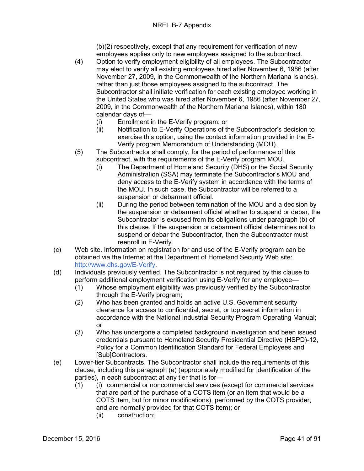(b)(2) respectively, except that any requirement for verification of new employees applies only to new employees assigned to the subcontract.

- (4) Option to verify employment eligibility of all employees. The Subcontractor may elect to verify all existing employees hired after November 6, 1986 (after November 27, 2009, in the Commonwealth of the Northern Mariana Islands), rather than just those employees assigned to the subcontract. The Subcontractor shall initiate verification for each existing employee working in the United States who was hired after November 6, 1986 (after November 27, 2009, in the Commonwealth of the Northern Mariana Islands), within 180 calendar days of—
	- (i) Enrollment in the E-Verify program; or
	- (ii) Notification to E-Verify Operations of the Subcontractor's decision to exercise this option, using the contact information provided in the E-Verify program Memorandum of Understanding (MOU).
- (5) The Subcontractor shall comply, for the period of performance of this subcontract, with the requirements of the E-Verify program MOU.
	- (i) The Department of Homeland Security (DHS) or the Social Security Administration (SSA) may terminate the Subcontractor's MOU and deny access to the E-Verify system in accordance with the terms of the MOU. In such case, the Subcontractor will be referred to a suspension or debarment official.
	- (ii) During the period between termination of the MOU and a decision by the suspension or debarment official whether to suspend or debar, the Subcontractor is excused from its obligations under paragraph (b) of this clause. If the suspension or debarment official determines not to suspend or debar the Subcontractor, then the Subcontractor must reenroll in E-Verify.
- (c) Web site. Information on registration for and use of the E-Verify program can be obtained via the Internet at the Department of Homeland Security Web site: [http://www.dhs.gov/E-Verify.](http://www.dhs.gov/E-Verify)
- (d) Individuals previously verified. The Subcontractor is not required by this clause to perform additional employment verification using E-Verify for any employee—
	- (1) Whose employment eligibility was previously verified by the Subcontractor through the E-Verify program;
	- (2) Who has been granted and holds an active U.S. Government security clearance for access to confidential, secret, or top secret information in accordance with the National Industrial Security Program Operating Manual; or
	- (3) Who has undergone a completed background investigation and been issued credentials pursuant to Homeland Security Presidential Directive (HSPD)-12, Policy for a Common Identification Standard for Federal Employees and [Sub]Contractors.
- (e) Lower-tier Subcontracts. The Subcontractor shall include the requirements of this clause, including this paragraph (e) (appropriately modified for identification of the parties), in each subcontract at any tier that is for—
	- (1) (i) commercial or noncommercial services (except for commercial services that are part of the purchase of a COTS item (or an item that would be a COTS item, but for minor modifications), performed by the COTS provider, and are normally provided for that COTS item); or
		- (ii) construction;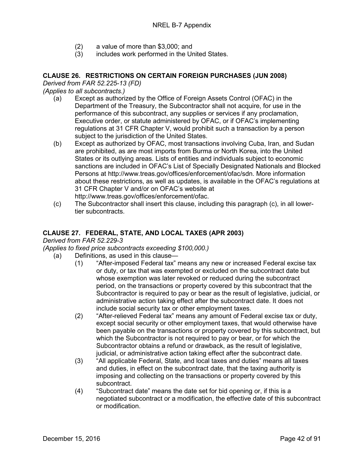- (2) a value of more than \$3,000; and<br>(3) includes work performed in the Ur
- includes work performed in the United States.

# **CLAUSE 26. RESTRICTIONS ON CERTAIN FOREIGN PURCHASES (JUN 2008)**

*Derived from FAR 52.225-13 (FD)*

*(Applies to all subcontracts.)*

- (a) Except as authorized by the Office of Foreign Assets Control (OFAC) in the Department of the Treasury, the Subcontractor shall not acquire, for use in the performance of this subcontract, any supplies or services if any proclamation, Executive order, or statute administered by OFAC, or if OFAC's implementing regulations at 31 CFR Chapter V, would prohibit such a transaction by a person subject to the jurisdiction of the United States.
- (b) Except as authorized by OFAC, most transactions involving Cuba, Iran, and Sudan are prohibited, as are most imports from Burma or North Korea, into the United States or its outlying areas. Lists of entities and individuals subject to economic sanctions are included in OFAC's List of Specially Designated Nationals and Blocked Persons at http://www.treas.gov/offices/enforcement/ofac/sdn. More information about these restrictions, as well as updates, is available in the OFAC's regulations at 31 CFR Chapter V and/or on OFAC's website at http://www.treas.gov/offices/enforcement/ofac.
- (c) The Subcontractor shall insert this clause, including this paragraph (c), in all lowertier subcontracts.

## **CLAUSE 27. FEDERAL, STATE, AND LOCAL TAXES (APR 2003)**

*Derived from FAR 52.229-3*

*(Applies to fixed price subcontracts exceeding \$100,000.)*

- (a) Definitions, as used in this clause—
	- (1) "After-imposed Federal tax" means any new or increased Federal excise tax or duty, or tax that was exempted or excluded on the subcontract date but whose exemption was later revoked or reduced during the subcontract period, on the transactions or property covered by this subcontract that the Subcontractor is required to pay or bear as the result of legislative, judicial, or administrative action taking effect after the subcontract date. It does not include social security tax or other employment taxes.
	- (2) "After-relieved Federal tax" means any amount of Federal excise tax or duty, except social security or other employment taxes, that would otherwise have been payable on the transactions or property covered by this subcontract, but which the Subcontractor is not required to pay or bear, or for which the Subcontractor obtains a refund or drawback, as the result of legislative, judicial, or administrative action taking effect after the subcontract date.
	- (3) "All applicable Federal, State, and local taxes and duties" means all taxes and duties, in effect on the subcontract date, that the taxing authority is imposing and collecting on the transactions or property covered by this subcontract.
	- (4) "Subcontract date" means the date set for bid opening or, if this is a negotiated subcontract or a modification, the effective date of this subcontract or modification.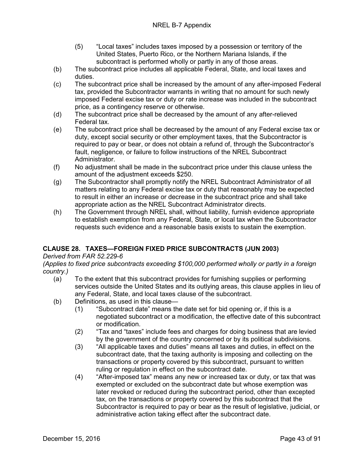- (5) "Local taxes" includes taxes imposed by a possession or territory of the United States, Puerto Rico, or the Northern Mariana Islands, if the subcontract is performed wholly or partly in any of those areas.
- (b) The subcontract price includes all applicable Federal, State, and local taxes and duties.
- (c) The subcontract price shall be increased by the amount of any after-imposed Federal tax, provided the Subcontractor warrants in writing that no amount for such newly imposed Federal excise tax or duty or rate increase was included in the subcontract price, as a contingency reserve or otherwise.
- (d) The subcontract price shall be decreased by the amount of any after-relieved Federal tax.
- (e) The subcontract price shall be decreased by the amount of any Federal excise tax or duty, except social security or other employment taxes, that the Subcontractor is required to pay or bear, or does not obtain a refund of, through the Subcontractor's fault, negligence, or failure to follow instructions of the NREL Subcontract Administrator.
- (f) No adjustment shall be made in the subcontract price under this clause unless the amount of the adjustment exceeds \$250.
- (g) The Subcontractor shall promptly notify the NREL Subcontract Administrator of all matters relating to any Federal excise tax or duty that reasonably may be expected to result in either an increase or decrease in the subcontract price and shall take appropriate action as the NREL Subcontract Administrator directs.
- (h) The Government through NREL shall, without liability, furnish evidence appropriate to establish exemption from any Federal, State, or local tax when the Subcontractor requests such evidence and a reasonable basis exists to sustain the exemption.

# **CLAUSE 28. TAXES—FOREIGN FIXED PRICE SUBCONTRACTS (JUN 2003)**

## *Derived from FAR 52.229-6*

*(Applies to fixed price subcontracts exceeding \$100,000 performed wholly or partly in a foreign country.)*

- (a) To the extent that this subcontract provides for furnishing supplies or performing services outside the United States and its outlying areas, this clause applies in lieu of any Federal, State, and local taxes clause of the subcontract.
- (b) Definitions, as used in this clause—
	- (1) "Subcontract date" means the date set for bid opening or, if this is a negotiated subcontract or a modification, the effective date of this subcontract or modification.
	- (2) "Tax and "taxes" include fees and charges for doing business that are levied by the government of the country concerned or by its political subdivisions.
	- (3) "All applicable taxes and duties" means all taxes and duties, in effect on the subcontract date, that the taxing authority is imposing and collecting on the transactions or property covered by this subcontract, pursuant to written ruling or regulation in effect on the subcontract date.
	- (4) "After-imposed tax" means any new or increased tax or duty, or tax that was exempted or excluded on the subcontract date but whose exemption was later revoked or reduced during the subcontract period, other than excepted tax, on the transactions or property covered by this subcontract that the Subcontractor is required to pay or bear as the result of legislative, judicial, or administrative action taking effect after the subcontract date.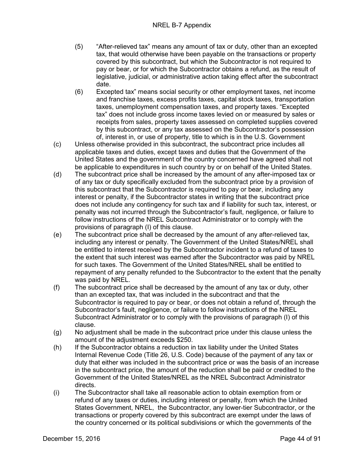- (5) "After-relieved tax" means any amount of tax or duty, other than an excepted tax, that would otherwise have been payable on the transactions or property covered by this subcontract, but which the Subcontractor is not required to pay or bear, or for which the Subcontractor obtains a refund, as the result of legislative, judicial, or administrative action taking effect after the subcontract date.
- (6) Excepted tax" means social security or other employment taxes, net income and franchise taxes, excess profits taxes, capital stock taxes, transportation taxes, unemployment compensation taxes, and property taxes. "Excepted tax" does not include gross income taxes levied on or measured by sales or receipts from sales, property taxes assessed on completed supplies covered by this subcontract, or any tax assessed on the Subcontractor's possession of, interest in, or use of property, title to which is in the U.S. Government
- (c) Unless otherwise provided in this subcontract, the subcontract price includes all applicable taxes and duties, except taxes and duties that the Government of the United States and the government of the country concerned have agreed shall not be applicable to expenditures in such country by or on behalf of the United States.
- (d) The subcontract price shall be increased by the amount of any after-imposed tax or of any tax or duty specifically excluded from the subcontract price by a provision of this subcontract that the Subcontractor is required to pay or bear, including any interest or penalty, if the Subcontractor states in writing that the subcontract price does not include any contingency for such tax and if liability for such tax, interest, or penalty was not incurred through the Subcontractor's fault, negligence, or failure to follow instructions of the NREL Subcontract Administrator or to comply with the provisions of paragraph (I) of this clause.
- (e) The subcontract price shall be decreased by the amount of any after-relieved tax, including any interest or penalty. The Government of the United States/NREL shall be entitled to interest received by the Subcontractor incident to a refund of taxes to the extent that such interest was earned after the Subcontractor was paid by NREL for such taxes. The Government of the United States/NREL shall be entitled to repayment of any penalty refunded to the Subcontractor to the extent that the penalty was paid by NREL.
- (f) The subcontract price shall be decreased by the amount of any tax or duty, other than an excepted tax, that was included in the subcontract and that the Subcontractor is required to pay or bear, or does not obtain a refund of, through the Subcontractor's fault, negligence, or failure to follow instructions of the NREL Subcontract Administrator or to comply with the provisions of paragraph (I) of this clause.
- (g) No adjustment shall be made in the subcontract price under this clause unless the amount of the adjustment exceeds \$250.
- (h) If the Subcontractor obtains a reduction in tax liability under the United States Internal Revenue Code (Title 26, U.S. Code) because of the payment of any tax or duty that either was included in the subcontract price or was the basis of an increase in the subcontract price, the amount of the reduction shall be paid or credited to the Government of the United States/NREL as the NREL Subcontract Administrator directs.
- (i) The Subcontractor shall take all reasonable action to obtain exemption from or refund of any taxes or duties, including interest or penalty, from which the United States Government, NREL, the Subcontractor, any lower-tier Subcontractor, or the transactions or property covered by this subcontract are exempt under the laws of the country concerned or its political subdivisions or which the governments of the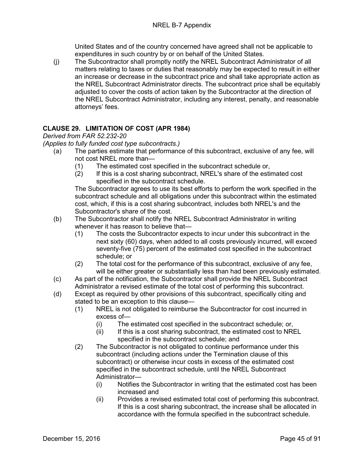United States and of the country concerned have agreed shall not be applicable to expenditures in such country by or on behalf of the United States.

(j) The Subcontractor shall promptly notify the NREL Subcontract Administrator of all matters relating to taxes or duties that reasonably may be expected to result in either an increase or decrease in the subcontract price and shall take appropriate action as the NREL Subcontract Administrator directs. The subcontract price shall be equitably adjusted to cover the costs of action taken by the Subcontractor at the direction of the NREL Subcontract Administrator, including any interest, penalty, and reasonable attorneys' fees.

# **CLAUSE 29. LIMITATION OF COST (APR 1984)**

*Derived from FAR 52.232-20*

*(Applies to fully funded cost type subcontracts.)*

- (a) The parties estimate that performance of this subcontract, exclusive of any fee, will not cost NREL more than—
	- (1) The estimated cost specified in the subcontract schedule or,
	- (2) If this is a cost sharing subcontract, NREL's share of the estimated cost specified in the subcontract schedule.

The Subcontractor agrees to use its best efforts to perform the work specified in the subcontract schedule and all obligations under this subcontract within the estimated cost, which, if this is a cost sharing subcontract, includes both NREL's and the Subcontractor's share of the cost.

- (b) The Subcontractor shall notify the NREL Subcontract Administrator in writing whenever it has reason to believe that—
	- (1) The costs the Subcontractor expects to incur under this subcontract in the next sixty (60) days, when added to all costs previously incurred, will exceed seventy-five (75) percent of the estimated cost specified in the subcontract schedule; or
	- (2) The total cost for the performance of this subcontract, exclusive of any fee, will be either greater or substantially less than had been previously estimated.
- (c) As part of the notification, the Subcontractor shall provide the NREL Subcontract Administrator a revised estimate of the total cost of performing this subcontract.
- (d) Except as required by other provisions of this subcontract, specifically citing and stated to be an exception to this clause—
	- (1) NREL is not obligated to reimburse the Subcontractor for cost incurred in excess of—
		- (i) The estimated cost specified in the subcontract schedule; or,
		- (ii) If this is a cost sharing subcontract, the estimated cost to NREL specified in the subcontract schedule; and
	- (2) The Subcontractor is not obligated to continue performance under this subcontract (including actions under the Termination clause of this subcontract) or otherwise incur costs in excess of the estimated cost specified in the subcontract schedule, until the NREL Subcontract Administrator—
		- (i) Notifies the Subcontractor in writing that the estimated cost has been increased and
		- (ii) Provides a revised estimated total cost of performing this subcontract. If this is a cost sharing subcontract, the increase shall be allocated in accordance with the formula specified in the subcontract schedule.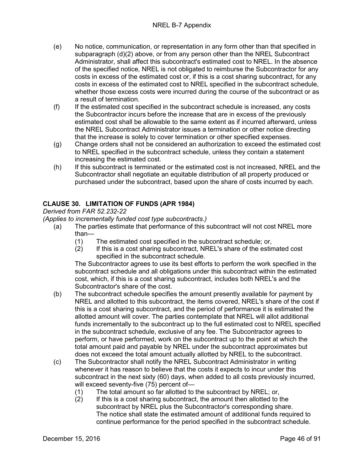- (e) No notice, communication, or representation in any form other than that specified in subparagraph (d)(2) above, or from any person other than the NREL Subcontract Administrator, shall affect this subcontract's estimated cost to NREL. In the absence of the specified notice, NREL is not obligated to reimburse the Subcontractor for any costs in excess of the estimated cost or, if this is a cost sharing subcontract, for any costs in excess of the estimated cost to NREL specified in the subcontract schedule, whether those excess costs were incurred during the course of the subcontract or as a result of termination.
- (f) If the estimated cost specified in the subcontract schedule is increased, any costs the Subcontractor incurs before the increase that are in excess of the previously estimated cost shall be allowable to the same extent as if incurred afterward, unless the NREL Subcontract Administrator issues a termination or other notice directing that the increase is solely to cover termination or other specified expenses.
- (g) Change orders shall not be considered an authorization to exceed the estimated cost to NREL specified in the subcontract schedule, unless they contain a statement increasing the estimated cost.
- (h) If this subcontract is terminated or the estimated cost is not increased, NREL and the Subcontractor shall negotiate an equitable distribution of all property produced or purchased under the subcontract, based upon the share of costs incurred by each.

# **CLAUSE 30. LIMITATION OF FUNDS (APR 1984)**

*Derived from FAR 52.232-22*

*(Applies to incrementally funded cost type subcontracts.)*

- (a) The parties estimate that performance of this subcontract will not cost NREL more than—
	- (1) The estimated cost specified in the subcontract schedule; or,
	- (2) If this is a cost sharing subcontract, NREL's share of the estimated cost specified in the subcontract schedule.

The Subcontractor agrees to use its best efforts to perform the work specified in the subcontract schedule and all obligations under this subcontract within the estimated cost, which, if this is a cost sharing subcontract, includes both NREL's and the Subcontractor's share of the cost.

- (b) The subcontract schedule specifies the amount presently available for payment by NREL and allotted to this subcontract, the items covered, NREL's share of the cost if this is a cost sharing subcontract, and the period of performance it is estimated the allotted amount will cover. The parties contemplate that NREL will allot additional funds incrementally to the subcontract up to the full estimated cost to NREL specified in the subcontract schedule, exclusive of any fee. The Subcontractor agrees to perform, or have performed, work on the subcontract up to the point at which the total amount paid and payable by NREL under the subcontract approximates but does not exceed the total amount actually allotted by NREL to the subcontract.
- (c) The Subcontractor shall notify the NREL Subcontract Administrator in writing whenever it has reason to believe that the costs it expects to incur under this subcontract in the next sixty (60) days, when added to all costs previously incurred, will exceed seventy-five (75) percent of—
	- (1) The total amount so far allotted to the subcontract by NREL; or,  $(2)$  If this is a cost sharing subcontract, the amount then allotted to t
	- If this is a cost sharing subcontract, the amount then allotted to the subcontract by NREL plus the Subcontractor's corresponding share. The notice shall state the estimated amount of additional funds required to continue performance for the period specified in the subcontract schedule.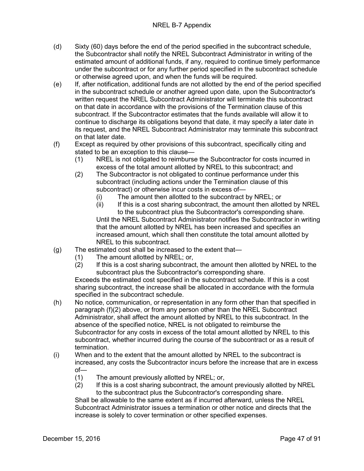- (d) Sixty (60) days before the end of the period specified in the subcontract schedule, the Subcontractor shall notify the NREL Subcontract Administrator in writing of the estimated amount of additional funds, if any, required to continue timely performance under the subcontract or for any further period specified in the subcontract schedule or otherwise agreed upon, and when the funds will be required.
- (e) If, after notification, additional funds are not allotted by the end of the period specified in the subcontract schedule or another agreed upon date, upon the Subcontractor's written request the NREL Subcontract Administrator will terminate this subcontract on that date in accordance with the provisions of the Termination clause of this subcontract. If the Subcontractor estimates that the funds available will allow it to continue to discharge its obligations beyond that date, it may specify a later date in its request, and the NREL Subcontract Administrator may terminate this subcontract on that later date.
- (f) Except as required by other provisions of this subcontract, specifically citing and stated to be an exception to this clause—
	- (1) NREL is not obligated to reimburse the Subcontractor for costs incurred in excess of the total amount allotted by NREL to this subcontract; and
	- (2) The Subcontractor is not obligated to continue performance under this subcontract (including actions under the Termination clause of this subcontract) or otherwise incur costs in excess of—
		- (i) The amount then allotted to the subcontract by NREL; or
		- (ii) If this is a cost sharing subcontract, the amount then allotted by NREL to the subcontract plus the Subcontractor's corresponding share. Until the NREL Subcontract Administrator notifies the Subcontractor in writing that the amount allotted by NREL has been increased and specifies an increased amount, which shall then constitute the total amount allotted by NREL to this subcontract.
- (g) The estimated cost shall be increased to the extent that—
	- (1) The amount allotted by NREL; or,
	- (2) If this is a cost sharing subcontract, the amount then allotted by NREL to the subcontract plus the Subcontractor's corresponding share.

Exceeds the estimated cost specified in the subcontract schedule. If this is a cost sharing subcontract, the increase shall be allocated in accordance with the formula specified in the subcontract schedule.

- (h) No notice, communication, or representation in any form other than that specified in paragraph (f)(2) above, or from any person other than the NREL Subcontract Administrator, shall affect the amount allotted by NREL to this subcontract. In the absence of the specified notice, NREL is not obligated to reimburse the Subcontractor for any costs in excess of the total amount allotted by NREL to this subcontract, whether incurred during the course of the subcontract or as a result of termination.
- (i) When and to the extent that the amount allotted by NREL to the subcontract is increased, any costs the Subcontractor incurs before the increase that are in excess of—
	- (1) The amount previously allotted by NREL; or,
	- (2) If this is a cost sharing subcontract, the amount previously allotted by NREL to the subcontract plus the Subcontractor's corresponding share.

Shall be allowable to the same extent as if incurred afterward, unless the NREL Subcontract Administrator issues a termination or other notice and directs that the increase is solely to cover termination or other specified expenses.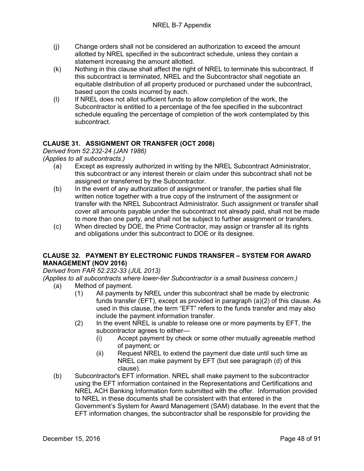- (j) Change orders shall not be considered an authorization to exceed the amount allotted by NREL specified in the subcontract schedule, unless they contain a statement increasing the amount allotted.
- (k) Nothing in this clause shall affect the right of NREL to terminate this subcontract. If this subcontract is terminated, NREL and the Subcontractor shall negotiate an equitable distribution of all property produced or purchased under the subcontract, based upon the costs incurred by each.
- (l) If NREL does not allot sufficient funds to allow completion of the work, the Subcontractor is entitled to a percentage of the fee specified in the subcontract schedule equaling the percentage of completion of the work contemplated by this subcontract.

# **CLAUSE 31. ASSIGNMENT OR TRANSFER (OCT 2008)**

*Derived from 52.232-24 (JAN 1986)*

*(Applies to all subcontracts.)*

- (a) Except as expressly authorized in writing by the NREL Subcontract Administrator, this subcontract or any interest therein or claim under this subcontract shall not be assigned or transferred by the Subcontractor.
- (b) In the event of any authorization of assignment or transfer, the parties shall file written notice together with a true copy of the instrument of the assignment or transfer with the NREL Subcontract Administrator. Such assignment or transfer shall cover all amounts payable under the subcontract not already paid, shall not be made to more than one party, and shall not be subject to further assignment or transfers.
- (c) When directed by DOE, the Prime Contractor, may assign or transfer all its rights and obligations under this subcontract to DOE or its designee.

# **CLAUSE 32. PAYMENT BY ELECTRONIC FUNDS TRANSFER – SYSTEM FOR AWARD MANAGEMENT (NOV 2016)**

*Derived from FAR 52.232-33 (JUL 2013)*

*(Applies to all subcontracts where lower-tier Subcontractor is a small business concern.)*

- (a) Method of payment.
	- (1) All payments by NREL under this subcontract shall be made by electronic funds transfer (EFT), except as provided in paragraph (a)(2) of this clause. As used in this clause, the term "EFT" refers to the funds transfer and may also include the payment information transfer.
	- (2) In the event NREL is unable to release one or more payments by EFT, the subcontractor agrees to either—
		- (i) Accept payment by check or some other mutually agreeable method of payment; or
		- (ii) Request NREL to extend the payment due date until such time as NREL can make payment by EFT (but see paragraph (d) of this clause).
- (b) Subcontractor's EFT information. NREL shall make payment to the subcontractor using the EFT information contained in the Representations and Certifications and NREL ACH Banking Information form submitted with the offer. Information provided to NREL in these documents shall be consistent with that entered in the Government's System for Award Management (SAM) database. In the event that the EFT information changes, the subcontractor shall be responsible for providing the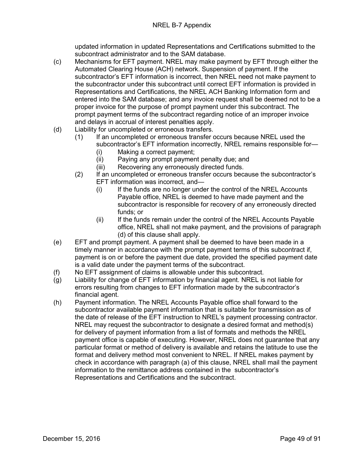updated information in updated Representations and Certifications submitted to the subcontract administrator and to the SAM database.

- (c) Mechanisms for EFT payment. NREL may make payment by EFT through either the Automated Clearing House (ACH) network. Suspension of payment. If the subcontractor's EFT information is incorrect, then NREL need not make payment to the subcontractor under this subcontract until correct EFT information is provided in Representations and Certifications, the NREL ACH Banking Information form and entered into the SAM database; and any invoice request shall be deemed not to be a proper invoice for the purpose of prompt payment under this subcontract. The prompt payment terms of the subcontract regarding notice of an improper invoice and delays in accrual of interest penalties apply.
- (d) Liability for uncompleted or erroneous transfers.
	- (1) If an uncompleted or erroneous transfer occurs because NREL used the subcontractor's EFT information incorrectly, NREL remains responsible for—
		- (i) Making a correct payment;
		- (ii) Paying any prompt payment penalty due; and
		- (iii) Recovering any erroneously directed funds.
	- (2) If an uncompleted or erroneous transfer occurs because the subcontractor's EFT information was incorrect, and—
		- (i) If the funds are no longer under the control of the NREL Accounts Payable office, NREL is deemed to have made payment and the subcontractor is responsible for recovery of any erroneously directed funds; or
		- (ii) If the funds remain under the control of the NREL Accounts Payable office, NREL shall not make payment, and the provisions of paragraph (d) of this clause shall apply.
- (e) EFT and prompt payment. A payment shall be deemed to have been made in a timely manner in accordance with the prompt payment terms of this subcontract if, payment is on or before the payment due date, provided the specified payment date is a valid date under the payment terms of the subcontract.
- (f) No EFT assignment of claims is allowable under this subcontract.
- (g) Liability for change of EFT information by financial agent. NREL is not liable for errors resulting from changes to EFT information made by the subcontractor's financial agent.
- (h) Payment information. The NREL Accounts Payable office shall forward to the subcontractor available payment information that is suitable for transmission as of the date of release of the EFT instruction to NREL's payment processing contractor. NREL may request the subcontractor to designate a desired format and method(s) for delivery of payment information from a list of formats and methods the NREL payment office is capable of executing. However, NREL does not guarantee that any particular format or method of delivery is available and retains the latitude to use the format and delivery method most convenient to NREL. If NREL makes payment by check in accordance with paragraph (a) of this clause, NREL shall mail the payment information to the remittance address contained in the subcontractor's Representations and Certifications and the subcontract.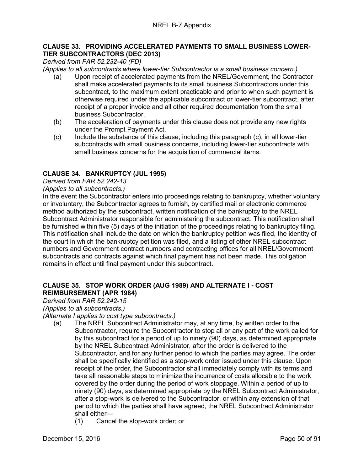## **CLAUSE 33. PROVIDING ACCELERATED PAYMENTS TO SMALL BUSINESS LOWER-TIER SUBCONTRACTORS (DEC 2013)**

*Derived from FAR 52.232-40 (FD)*

*(Applies to all subcontracts where lower-tier Subcontractor is a small business concern.)*

- (a) Upon receipt of accelerated payments from the NREL/Government, the Contractor shall make accelerated payments to its small business Subcontractors under this subcontract, to the maximum extent practicable and prior to when such payment is otherwise required under the applicable subcontract or lower-tier subcontract, after receipt of a proper invoice and all other required documentation from the small business Subcontractor.
- (b) The acceleration of payments under this clause does not provide any new rights under the Prompt Payment Act.
- (c) Include the substance of this clause, including this paragraph (c), in all lower-tier subcontracts with small business concerns, including lower-tier subcontracts with small business concerns for the acquisition of commercial items.

## **CLAUSE 34. BANKRUPTCY (JUL 1995)**

#### *Derived from FAR 52.242-13*

#### *(Applies to all subcontracts.)*

In the event the Subcontractor enters into proceedings relating to bankruptcy, whether voluntary or involuntary, the Subcontractor agrees to furnish, by certified mail or electronic commerce method authorized by the subcontract, written notification of the bankruptcy to the NREL Subcontract Administrator responsible for administering the subcontract. This notification shall be furnished within five (5) days of the initiation of the proceedings relating to bankruptcy filing. This notification shall include the date on which the bankruptcy petition was filed, the identity of the court in which the bankruptcy petition was filed, and a listing of other NREL subcontract numbers and Government contract numbers and contracting offices for all NREL/Government subcontracts and contracts against which final payment has not been made. This obligation remains in effect until final payment under this subcontract.

#### **CLAUSE 35. STOP WORK ORDER (AUG 1989) AND ALTERNATE I - COST REIMBURSEMENT (APR 1984)**

#### *Derived from FAR 52.242-15*

*(Applies to all subcontracts.)*

*(Alternate I applies to cost type subcontracts.)*

- (a) The NREL Subcontract Administrator may, at any time, by written order to the Subcontractor, require the Subcontractor to stop all or any part of the work called for by this subcontract for a period of up to ninety (90) days, as determined appropriate by the NREL Subcontract Administrator, after the order is delivered to the Subcontractor, and for any further period to which the parties may agree. The order shall be specifically identified as a stop-work order issued under this clause. Upon receipt of the order, the Subcontractor shall immediately comply with its terms and take all reasonable steps to minimize the incurrence of costs allocable to the work covered by the order during the period of work stoppage. Within a period of up to ninety (90) days, as determined appropriate by the NREL Subcontract Administrator, after a stop-work is delivered to the Subcontractor, or within any extension of that period to which the parties shall have agreed, the NREL Subcontract Administrator shall either—
	- (1) Cancel the stop-work order; or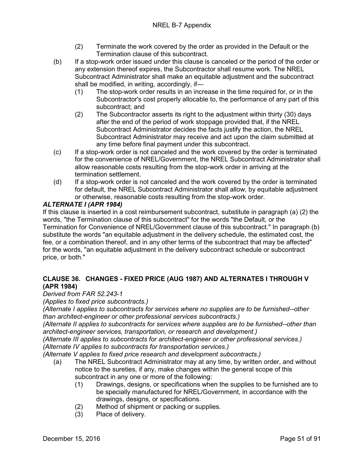- (2) Terminate the work covered by the order as provided in the Default or the Termination clause of this subcontract.
- (b) If a stop-work order issued under this clause is canceled or the period of the order or any extension thereof expires, the Subcontractor shall resume work. The NREL Subcontract Administrator shall make an equitable adjustment and the subcontract shall be modified, in writing, accordingly, if—
	- (1) The stop-work order results in an increase in the time required for, or in the Subcontractor's cost properly allocable to, the performance of any part of this subcontract; and
	- (2) The Subcontractor asserts its right to the adjustment within thirty (30) days after the end of the period of work stoppage provided that, if the NREL Subcontract Administrator decides the facts justify the action, the NREL Subcontract Administrator may receive and act upon the claim submitted at any time before final payment under this subcontract.
- (c) If a stop-work order is not canceled and the work covered by the order is terminated for the convenience of NREL/Government, the NREL Subcontract Administrator shall allow reasonable costs resulting from the stop-work order in arriving at the termination settlement.
- (d) If a stop-work order is not canceled and the work covered by the order is terminated for default, the NREL Subcontract Administrator shall allow, by equitable adjustment or otherwise, reasonable costs resulting from the stop-work order.

# *ALTERNATE I (APR 1984)*

If this clause is inserted in a cost reimbursement subcontract, substitute in paragraph (a) (2) the words, "the Termination clause of this subcontract" for the words "the Default, or the Termination for Convenience of NREL/Government clause of this subcontract." In paragraph (b) substitute the words "an equitable adjustment in the delivery schedule, the estimated cost, the fee, or a combination thereof, and in any other terms of the subcontract that may be affected" for the words, "an equitable adjustment in the delivery subcontract schedule or subcontract price, or both."

# **CLAUSE 36. CHANGES - FIXED PRICE (AUG 1987) AND ALTERNATES I THROUGH V (APR 1984)**

## *Derived from FAR 52.243-1*

*(Applies to fixed price subcontracts.)*

*(Alternate I applies to subcontracts for services where no supplies are to be furnished--other than architect-engineer or other professional services subcontracts.)*

*(Alternate II applies to subcontracts for services where supplies are to be furnished--other than architect-engineer services, transportation, or research and development.)*

*(Alternate III applies to subcontracts for architect-engineer or other professional services.) (Alternate IV applies to subcontracts for transportation services.)*

*(Alternate V applies to fixed price research and development subcontracts.)*

- (a) The NREL Subcontract Administrator may at any time, by written order, and without notice to the sureties, if any, make changes within the general scope of this subcontract in any one or more of the following:
	- (1) Drawings, designs, or specifications when the supplies to be furnished are to be specially manufactured for NREL/Government, in accordance with the drawings, designs, or specifications.
	- (2) Method of shipment or packing or supplies.
	- (3) Place of delivery.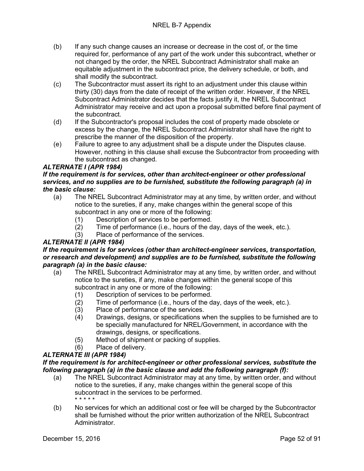- (b) If any such change causes an increase or decrease in the cost of, or the time required for, performance of any part of the work under this subcontract, whether or not changed by the order, the NREL Subcontract Administrator shall make an equitable adjustment in the subcontract price, the delivery schedule, or both, and shall modify the subcontract.
- (c) The Subcontractor must assert its right to an adjustment under this clause within thirty (30) days from the date of receipt of the written order. However, if the NREL Subcontract Administrator decides that the facts justify it, the NREL Subcontract Administrator may receive and act upon a proposal submitted before final payment of the subcontract.
- (d) If the Subcontractor's proposal includes the cost of property made obsolete or excess by the change, the NREL Subcontract Administrator shall have the right to prescribe the manner of the disposition of the property.
- (e) Failure to agree to any adjustment shall be a dispute under the Disputes clause. However, nothing in this clause shall excuse the Subcontractor from proceeding with the subcontract as changed.

# *ALTERNATE I (APR 1984)*

## *If the requirement is for services, other than architect-engineer or other professional services, and no supplies are to be furnished, substitute the following paragraph (a) in the basic clause:*

- (a) The NREL Subcontract Administrator may at any time, by written order, and without notice to the sureties, if any, make changes within the general scope of this subcontract in any one or more of the following:
	- (1) Description of services to be performed.
	- (2) Time of performance (i.e., hours of the day, days of the week, etc.).
	- (3) Place of performance of the services.

# *ALTERNATE II (APR 1984)*

#### *If the requirement is for services (other than architect-engineer services, transportation, or research and development) and supplies are to be furnished, substitute the following paragraph (a) in the basic clause:*

- (a) The NREL Subcontract Administrator may at any time, by written order, and without notice to the sureties, if any, make changes within the general scope of this subcontract in any one or more of the following:
	- (1) Description of services to be performed.
	- (2) Time of performance (i.e., hours of the day, days of the week, etc.).
	- (3) Place of performance of the services.
	- (4) Drawings, designs, or specifications when the supplies to be furnished are to be specially manufactured for NREL/Government, in accordance with the drawings, designs, or specifications.
	- (5) Method of shipment or packing of supplies.
	- (6) Place of delivery.

# *ALTERNATE III (APR 1984)*

#### *If the requirement is for architect-engineer or other professional services, substitute the following paragraph (a) in the basic clause and add the following paragraph (f):*

- (a) The NREL Subcontract Administrator may at any time, by written order, and without notice to the sureties, if any, make changes within the general scope of this subcontract in the services to be performed. \* \* \* \* \*
- (b) No services for which an additional cost or fee will be charged by the Subcontractor shall be furnished without the prior written authorization of the NREL Subcontract Administrator.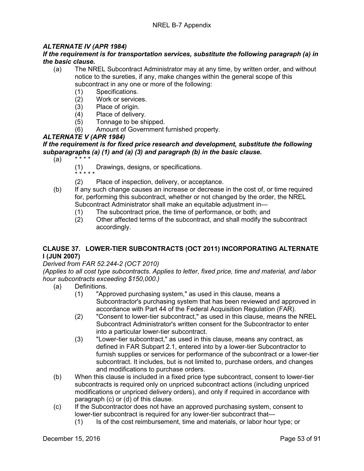# *ALTERNATE IV (APR 1984)*

## *If the requirement is for transportation services, substitute the following paragraph (a) in the basic clause.*

- (a) The NREL Subcontract Administrator may at any time, by written order, and without notice to the sureties, if any, make changes within the general scope of this subcontract in any one or more of the following:
	- (1) Specifications.
	- (2) Work or services.<br>(3) Place of origin.
	- (3) Place of origin.<br>(4) Place of deliver
	- (4) Place of delivery.<br>(5) Tonnage to be sh
	- Tonnage to be shipped.
	- (6) Amount of Government furnished property.

## *ALTERNATE V (APR 1984)*

# *If the requirement is for fixed price research and development, substitute the following subparagraphs (a) (1) and (a) (3) and paragraph (b) in the basic clause.*

- $(a)$ 
	- (1) Drawings, designs, or specifications.
	- \* \* \* \* \*
		- (2) Place of inspection, delivery, or acceptance.
- (b) If any such change causes an increase or decrease in the cost of, or time required for, performing this subcontract, whether or not changed by the order, the NREL Subcontract Administrator shall make an equitable adjustment in—
	-
	- (1) The subcontract price, the time of performance, or both; and (2) Other affected terms of the subcontract, and shall modify the (2) Other affected terms of the subcontract, and shall modify the subcontract accordingly.

# **CLAUSE 37. LOWER-TIER SUBCONTRACTS (OCT 2011) INCORPORATING ALTERNATE I (JUN 2007)**

## *Derived from FAR 52.244-2 (OCT 2010)*

*(Applies to all cost type subcontracts. Applies to letter, fixed price, time and material, and labor hour subcontracts exceeding \$150,000.)*

- (a) Definitions.
	- (1) "Approved purchasing system," as used in this clause, means a Subcontractor's purchasing system that has been reviewed and approved in accordance with Part 44 of the Federal Acquisition Regulation (FAR).
	- (2) "Consent to lower-tier subcontract," as used in this clause, means the NREL Subcontract Administrator's written consent for the Subcontractor to enter into a particular lower-tier subcontract.
	- (3) "Lower-tier subcontract," as used in this clause, means any contract, as defined in FAR Subpart 2.1, entered into by a lower-tier Subcontractor to furnish supplies or services for performance of the subcontract or a lower-tier subcontract. It includes, but is not limited to, purchase orders, and changes and modifications to purchase orders.
- (b) When this clause is included in a fixed price type subcontract, consent to lower-tier subcontracts is required only on unpriced subcontract actions (including unpriced modifications or unpriced delivery orders), and only if required in accordance with paragraph (c) or (d) of this clause.
- (c) If the Subcontractor does not have an approved purchasing system, consent to lower-tier subcontract is required for any lower-tier subcontract that—
	- (1) Is of the cost reimbursement, time and materials, or labor hour type; or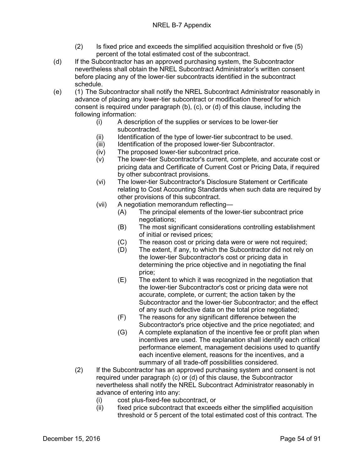- (2) Is fixed price and exceeds the simplified acquisition threshold or five (5) percent of the total estimated cost of the subcontract.
- (d) If the Subcontractor has an approved purchasing system, the Subcontractor nevertheless shall obtain the NREL Subcontract Administrator's written consent before placing any of the lower-tier subcontracts identified in the subcontract schedule.
- (e) (1) The Subcontractor shall notify the NREL Subcontract Administrator reasonably in advance of placing any lower-tier subcontract or modification thereof for which consent is required under paragraph (b), (c), or (d) of this clause, including the following information:
	- (i) A description of the supplies or services to be lower-tier subcontracted.
	- (ii) Identification of the type of lower-tier subcontract to be used.
	- (iii) Identification of the proposed lower-tier Subcontractor.
	- (iv) The proposed lower-tier subcontract price.
	- (v) The lower-tier Subcontractor's current, complete, and accurate cost or pricing data and Certificate of Current Cost or Pricing Data, if required by other subcontract provisions.
	- (vi) The lower-tier Subcontractor's Disclosure Statement or Certificate relating to Cost Accounting Standards when such data are required by other provisions of this subcontract.
	- (vii) A negotiation memorandum reflecting—
		- (A) The principal elements of the lower-tier subcontract price negotiations;
		- (B) The most significant considerations controlling establishment of initial or revised prices;
		- (C) The reason cost or pricing data were or were not required;
		- (D) The extent, if any, to which the Subcontractor did not rely on the lower-tier Subcontractor's cost or pricing data in determining the price objective and in negotiating the final price;
		- (E) The extent to which it was recognized in the negotiation that the lower-tier Subcontractor's cost or pricing data were not accurate, complete, or current; the action taken by the Subcontractor and the lower-tier Subcontractor; and the effect of any such defective data on the total price negotiated;
		- (F) The reasons for any significant difference between the Subcontractor's price objective and the price negotiated; and
		- (G) A complete explanation of the incentive fee or profit plan when incentives are used. The explanation shall identify each critical performance element, management decisions used to quantify each incentive element, reasons for the incentives, and a summary of all trade-off possibilities considered.
	- (2) If the Subcontractor has an approved purchasing system and consent is not required under paragraph (c) or (d) of this clause, the Subcontractor nevertheless shall notify the NREL Subcontract Administrator reasonably in advance of entering into any:
		- (i) cost plus-fixed-fee subcontract, or
		- (ii) fixed price subcontract that exceeds either the simplified acquisition threshold or 5 percent of the total estimated cost of this contract. The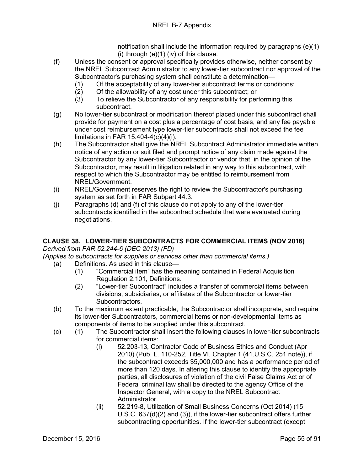notification shall include the information required by paragraphs (e)(1)  $(i)$  through  $(e)(1)$  (iv) of this clause.

- (f) Unless the consent or approval specifically provides otherwise, neither consent by the NREL Subcontract Administrator to any lower-tier subcontract nor approval of the Subcontractor's purchasing system shall constitute a determination—
	- (1) Of the acceptability of any lower-tier subcontract terms or conditions;
	- (2) Of the allowability of any cost under this subcontract; or
	- (3) To relieve the Subcontractor of any responsibility for performing this subcontract.
- (g) No lower-tier subcontract or modification thereof placed under this subcontract shall provide for payment on a cost plus a percentage of cost basis, and any fee payable under cost reimbursement type lower-tier subcontracts shall not exceed the fee limitations in FAR 15.404-4(c)(4)(i).
- (h) The Subcontractor shall give the NREL Subcontract Administrator immediate written notice of any action or suit filed and prompt notice of any claim made against the Subcontractor by any lower-tier Subcontractor or vendor that, in the opinion of the Subcontractor, may result in litigation related in any way to this subcontract, with respect to which the Subcontractor may be entitled to reimbursement from NREL/Government.
- (i) NREL/Government reserves the right to review the Subcontractor's purchasing system as set forth in FAR Subpart 44.3.
- (j) Paragraphs (d) and (f) of this clause do not apply to any of the lower-tier subcontracts identified in the subcontract schedule that were evaluated during negotiations.

# **CLAUSE 38. LOWER-TIER SUBCONTRACTS FOR COMMERCIAL ITEMS (NOV 2016)**

*Derived from FAR 52.244-6 (DEC 2013) (FD)*

*(Applies to subcontracts for supplies or services other than commercial items.)*

- (a) Definitions. As used in this clause—
	- (1) "Commercial item" has the meaning contained in Federal Acquisition Regulation 2.101, Definitions.
	- (2) "Lower-tier Subcontract" includes a transfer of commercial items between divisions, subsidiaries, or affiliates of the Subcontractor or lower-tier Subcontractors.
- (b) To the maximum extent practicable, the Subcontractor shall incorporate, and require its lower-tier Subcontractors, commercial items or non-developmental items as components of items to be supplied under this subcontract.
- (c) (1) The Subcontractor shall insert the following clauses in lower-tier subcontracts for commercial items:
	- (i) 52.203-13, Contractor Code of Business Ethics and Conduct (Apr 2010) (Pub. L. 110-252, Title VI, Chapter 1 (41.U.S.C. 251 note)), if the subcontract exceeds \$5,000,000 and has a performance period of more than 120 days. In altering this clause to identify the appropriate parties, all disclosures of violation of the civil False Claims Act or of Federal criminal law shall be directed to the agency Office of the Inspector General, with a copy to the NREL Subcontract Administrator.
	- (ii) 52.219-8, Utilization of Small Business Concerns (Oct 2014) (15 U.S.C. 637(d)(2) and (3)), if the lower-tier subcontract offers further subcontracting opportunities. If the lower-tier subcontract (except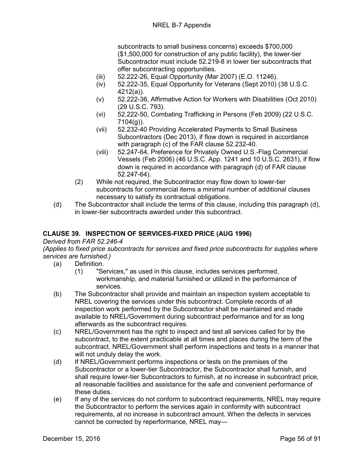subcontracts to small business concerns) exceeds \$700,000 (\$1,500,000 for construction of any public facility), the lower-tier Subcontractor must include 52.219-8 in lower tier subcontracts that offer subcontracting opportunities.

- (iii) 52.222-26, Equal Opportunity (Mar 2007) (E.O. 11246).
- (iv) 52.222-35, Equal Opportunity for Veterans (Sept 2010) (38 U.S.C. 4212(a)).
- (v) 52.222-36, Affirmative Action for Workers with Disabilities (Oct 2010) (29 U.S.C. 793).
- (vi) 52.222-50, Combating Trafficking in Persons (Feb 2009) (22 U.S.C. 7104(g)).
- (vii) 52.232-40 Providing Accelerated Payments to Small Business Subcontractors (Dec 2013), if flow down is required in accordance with paragraph (c) of the FAR clause 52.232-40.
- (viii) 52.247-64, Preference for Privately Owned U.S.-Flag Commercial Vessels (Feb 2006) (46 U.S.C. App. 1241 and 10 U.S.C. 2631), if flow down is required in accordance with paragraph (d) of FAR clause 52.247-64).
- (2) While not required, the Subcontractor may flow down to lower-tier subcontracts for commercial items a minimal number of additional clauses necessary to satisfy its contractual obligations.
- (d) The Subcontractor shall include the terms of this clause, including this paragraph (d), in lower-tier subcontracts awarded under this subcontract.

# **CLAUSE 39. INSPECTION OF SERVICES-FIXED PRICE (AUG 1996)**

## *Derived from FAR 52.246-4*

*(Applies to fixed price subcontracts for services and fixed price subcontracts for supplies where services are furnished.)*

- (a) Definition.
	- (1) "Services," as used in this clause, includes services performed, workmanship, and material furnished or utilized in the performance of services.
- (b) The Subcontractor shall provide and maintain an inspection system acceptable to NREL covering the services under this subcontract. Complete records of all inspection work performed by the Subcontractor shall be maintained and made available to NREL/Government during subcontract performance and for as long afterwards as the subcontract requires.
- (c) NREL/Government has the right to inspect and test all services called for by the subcontract, to the extent practicable at all times and places during the term of the subcontract. NREL/Government shall perform inspections and tests in a manner that will not unduly delay the work.
- (d) If NREL/Government performs inspections or tests on the premises of the Subcontractor or a lower-tier Subcontractor, the Subcontractor shall furnish, and shall require lower-tier Subcontractors to furnish, at no increase in subcontract price, all reasonable facilities and assistance for the safe and convenient performance of these duties.
- (e) If any of the services do not conform to subcontract requirements, NREL may require the Subcontractor to perform the services again in conformity with subcontract requirements, at no increase in subcontract amount. When the defects in services cannot be corrected by reperformance, NREL may—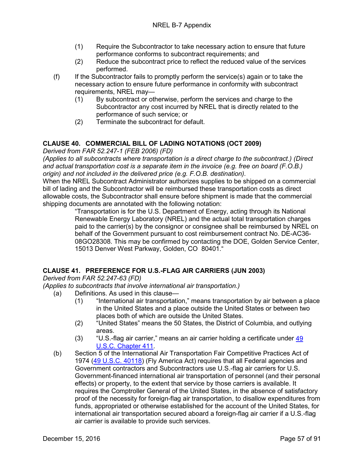- (1) Require the Subcontractor to take necessary action to ensure that future performance conforms to subcontract requirements; and
- (2) Reduce the subcontract price to reflect the reduced value of the services performed.
- (f) If the Subcontractor fails to promptly perform the service(s) again or to take the necessary action to ensure future performance in conformity with subcontract requirements, NREL may—
	- (1) By subcontract or otherwise, perform the services and charge to the Subcontractor any cost incurred by NREL that is directly related to the performance of such service; or
	- (2) Terminate the subcontract for default.

# **CLAUSE 40. COMMERCIAL BILL OF LADING NOTATIONS (OCT 2009)**

*Derived from FAR 52.247-1 (FEB 2006) (FD)*

*(Applies to all subcontracts where transportation is a direct charge to the subcontract.) (Direct and actual transportation cost is a separate item in the invoice (e.g. free on board (F.O.B.) origin) and not included in the delivered price (e.g. F.O.B. destination).*

When the NREL Subcontract Administrator authorizes supplies to be shipped on a commercial bill of lading and the Subcontractor will be reimbursed these transportation costs as direct allowable costs, the Subcontractor shall ensure before shipment is made that the commercial shipping documents are annotated with the following notation:

"Transportation is for the U.S. Department of Energy, acting through its National Renewable Energy Laboratory (NREL) and the actual total transportation charges paid to the carrier(s) by the consignor or consignee shall be reimbursed by NREL on behalf of the Government pursuant to cost reimbursement contract No. DE-AC36- 08GO28308. This may be confirmed by contacting the DOE, Golden Service Center, 15013 Denver West Parkway, Golden, CO 80401."

## **CLAUSE 41. PREFERENCE FOR U.S.-FLAG AIR CARRIERS (JUN 2003)**

*Derived from FAR 52.247-63 (FD)*

*(Applies to subcontracts that involve international air transportation.)*

- (a) Definitions. As used in this clause—
	- (1) "International air transportation," means transportation by air between a place in the United States and a place outside the United States or between two places both of which are outside the United States.
	- (2) "United States" means the 50 States, the District of Columbia, and outlying areas.
	- (3) "U.S.-flag air carrier," means an air carrier holding a certificate under [49](http://uscode.house.gov/uscode-cgi/fastweb.exe?getdoc+uscview+t49t50+2+224++%2849%29%20%20AND%20%28%2849%29%20ADJ%20USC%29%3ACITE%20%20%20%20%20%20%20%20%20)  [U.S.C. Chapter 411.](http://uscode.house.gov/uscode-cgi/fastweb.exe?getdoc+uscview+t49t50+2+224++%2849%29%20%20AND%20%28%2849%29%20ADJ%20USC%29%3ACITE%20%20%20%20%20%20%20%20%20)
- (b) Section 5 of the International Air Transportation Fair Competitive Practices Act of 1974 [\(49 U.S.C. 40118\)](http://uscode.house.gov/uscode-cgi/fastweb.exe?getdoc+uscview+t49t50+2+224++%2849%29%20%20AND%20%28%2849%29%20ADJ%20USC%29%3ACITE%20%20%20%20%20%20%20%20%20) (Fly America Act) requires that all Federal agencies and Government contractors and Subcontractors use U.S.-flag air carriers for U.S. Government-financed international air transportation of personnel (and their personal effects) or property, to the extent that service by those carriers is available. It requires the Comptroller General of the United States, in the absence of satisfactory proof of the necessity for foreign-flag air transportation, to disallow expenditures from funds, appropriated or otherwise established for the account of the United States, for international air transportation secured aboard a foreign-flag air carrier if a U.S.-flag air carrier is available to provide such services.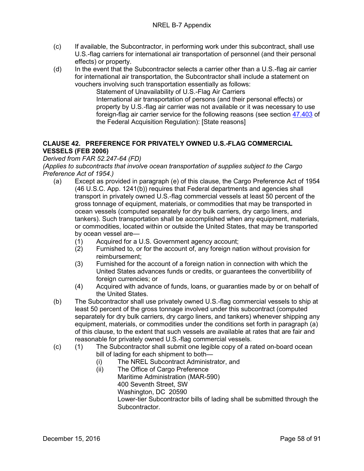- (c) If available, the Subcontractor, in performing work under this subcontract, shall use U.S.-flag carriers for international air transportation of personnel (and their personal effects) or property.
- (d) In the event that the Subcontractor selects a carrier other than a U.S.-flag air carrier for international air transportation, the Subcontractor shall include a statement on vouchers involving such transportation essentially as follows:

Statement of Unavailability of U.S.-Flag Air Carriers International air transportation of persons (and their personal effects) or property by U.S.-flag air carrier was not available or it was necessary to use foreign-flag air carrier service for the following reasons (see section [47.403](http://www.arnet.gov/far/current/html/Subpart%2047_4.html#wp1082022) of the Federal Acquisition Regulation): [State reasons]

# **CLAUSE 42. PREFERENCE FOR PRIVATELY OWNED U.S.-FLAG COMMERCIAL VESSELS (FEB 2006)**

*Derived from FAR 52.247-64 (FD)*

*(Applies to subcontracts that involve ocean transportation of supplies subject to the Cargo Preference Act of 1954.)*

- (a) Except as provided in paragraph (e) of this clause, the Cargo Preference Act of 1954 (46 U.S.C. App. 1241(b)) requires that Federal departments and agencies shall transport in privately owned U.S.-flag commercial vessels at least 50 percent of the gross tonnage of equipment, materials, or commodities that may be transported in ocean vessels (computed separately for dry bulk carriers, dry cargo liners, and tankers). Such transportation shall be accomplished when any equipment, materials, or commodities, located within or outside the United States, that may be transported by ocean vessel are—
	- (1) Acquired for a U.S. Government agency account;
	- (2) Furnished to, or for the account of, any foreign nation without provision for reimbursement;
	- (3) Furnished for the account of a foreign nation in connection with which the United States advances funds or credits, or guarantees the convertibility of foreign currencies; or
	- (4) Acquired with advance of funds, loans, or guaranties made by or on behalf of the United States.
- (b) The Subcontractor shall use privately owned U.S.-flag commercial vessels to ship at least 50 percent of the gross tonnage involved under this subcontract (computed separately for dry bulk carriers, dry cargo liners, and tankers) whenever shipping any equipment, materials, or commodities under the conditions set forth in paragraph (a) of this clause, to the extent that such vessels are available at rates that are fair and reasonable for privately owned U.S.-flag commercial vessels.
- (c) (1) The Subcontractor shall submit one legible copy of a rated on-board ocean bill of lading for each shipment to both—
	- (i) The NREL Subcontract Administrator, and
	- (ii) The Office of Cargo Preference Maritime Administration (MAR-590) 400 Seventh Street, SW Washington, DC 20590 Lower-tier Subcontractor bills of lading shall be submitted through the Subcontractor.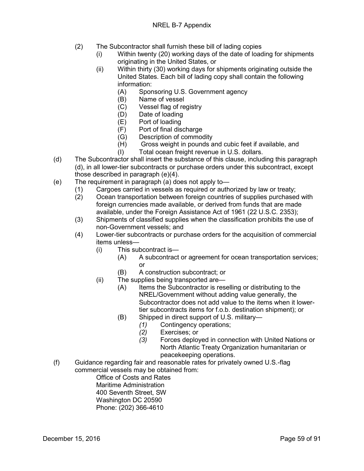- (2) The Subcontractor shall furnish these bill of lading copies
	- (i) Within twenty (20) working days of the date of loading for shipments originating in the United States, or
	- (ii) Within thirty (30) working days for shipments originating outside the United States. Each bill of lading copy shall contain the following information:
		- (A) Sponsoring U.S. Government agency
		- (B) Name of vessel
		- (C) Vessel flag of registry<br>(D) Date of loading
		- (D) Date of loading<br>(E) Port of loading
		- Port of loading
		- (F) Port of final discharge
		- (G) Description of commodity
		- (H) Gross weight in pounds and cubic feet if available, and
		- (I) Total ocean freight revenue in U.S. dollars.
- (d) The Subcontractor shall insert the substance of this clause, including this paragraph (d), in all lower-tier subcontracts or purchase orders under this subcontract, except those described in paragraph (e)(4).
- (e) The requirement in paragraph (a) does not apply to—
	- (1) Cargoes carried in vessels as required or authorized by law or treaty;
	- (2) Ocean transportation between foreign countries of supplies purchased with foreign currencies made available, or derived from funds that are made available, under the Foreign Assistance Act of 1961 (22 U.S.C. 2353);
	- (3) Shipments of classified supplies when the classification prohibits the use of non-Government vessels; and
	- (4) Lower-tier subcontracts or purchase orders for the acquisition of commercial items unless—
		- (i) This subcontract is—
			- (A) A subcontract or agreement for ocean transportation services; or
			- (B) A construction subcontract; or
		- (ii) The supplies being transported are—
			- (A) Items the Subcontractor is reselling or distributing to the NREL/Government without adding value generally, the Subcontractor does not add value to the items when it lowertier subcontracts items for f.o.b. destination shipment); or
			- (B) Shipped in direct support of U.S. military—
				- *(1)* Contingency operations;
					- Exercises; or
					- *(3)* Forces deployed in connection with United Nations or North Atlantic Treaty Organization humanitarian or peacekeeping operations.
- (f) Guidance regarding fair and reasonable rates for privately owned U.S.-flag commercial vessels may be obtained from:
	- Office of Costs and Rates Maritime Administration 400 Seventh Street, SW Washington DC 20590 Phone: (202) 366-4610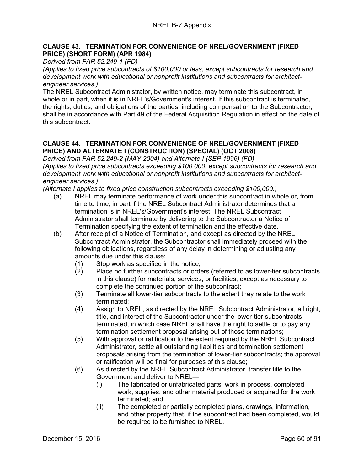#### **CLAUSE 43. TERMINATION FOR CONVENIENCE OF NREL/GOVERNMENT (FIXED PRICE) (SHORT FORM) (APR 1984)**

*Derived from FAR 52.249-1 (FD)*

*(Applies to fixed price subcontracts of \$100,000 or less, except subcontracts for research and development work with educational or nonprofit institutions and subcontracts for architectengineer services.)*

The NREL Subcontract Administrator, by written notice, may terminate this subcontract, in whole or in part, when it is in NREL's/Government's interest. If this subcontract is terminated, the rights, duties, and obligations of the parties, including compensation to the Subcontractor, shall be in accordance with Part 49 of the Federal Acquisition Regulation in effect on the date of this subcontract.

# **CLAUSE 44. TERMINATION FOR CONVENIENCE OF NREL/GOVERNMENT (FIXED PRICE) AND ALTERNATE I (CONSTRUCTION) (SPECIAL) (OCT 2008)**

*Derived from FAR 52.249-2 (MAY 2004) and Alternate I (SEP 1996) (FD) (Applies to fixed price subcontracts exceeding \$100,000, except subcontracts for research and development work with educational or nonprofit institutions and subcontracts for architectengineer services.)*

*(Alternate I applies to fixed price construction subcontracts exceeding \$100,000.)*

- (a) NREL may terminate performance of work under this subcontract in whole or, from time to time, in part if the NREL Subcontract Administrator determines that a termination is in NREL's/Government's interest. The NREL Subcontract Administrator shall terminate by delivering to the Subcontractor a Notice of Termination specifying the extent of termination and the effective date.
- (b) After receipt of a Notice of Termination, and except as directed by the NREL Subcontract Administrator, the Subcontractor shall immediately proceed with the following obligations, regardless of any delay in determining or adjusting any amounts due under this clause:
	- (1) Stop work as specified in the notice;
	- (2) Place no further subcontracts or orders (referred to as lower-tier subcontracts in this clause) for materials, services, or facilities, except as necessary to complete the continued portion of the subcontract;
	- (3) Terminate all lower-tier subcontracts to the extent they relate to the work terminated;
	- (4) Assign to NREL, as directed by the NREL Subcontract Administrator, all right, title, and interest of the Subcontractor under the lower-tier subcontracts terminated, in which case NREL shall have the right to settle or to pay any termination settlement proposal arising out of those terminations;
	- (5) With approval or ratification to the extent required by the NREL Subcontract Administrator, settle all outstanding liabilities and termination settlement proposals arising from the termination of lower-tier subcontracts; the approval or ratification will be final for purposes of this clause;
	- (6) As directed by the NREL Subcontract Administrator, transfer title to the Government and deliver to NREL—
		- (i) The fabricated or unfabricated parts, work in process, completed work, supplies, and other material produced or acquired for the work terminated; and
		- (ii) The completed or partially completed plans, drawings, information, and other property that, if the subcontract had been completed, would be required to be furnished to NREL.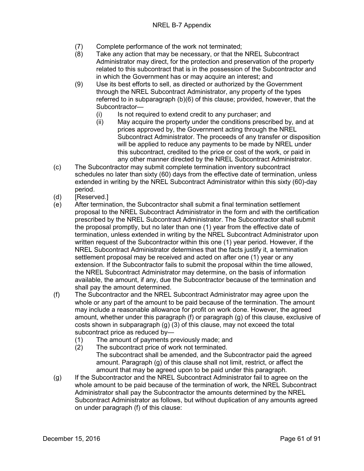- (7) Complete performance of the work not terminated;<br>(8) Take any action that may be necessary, or that the
- Take any action that may be necessary, or that the NREL Subcontract Administrator may direct, for the protection and preservation of the property related to this subcontract that is in the possession of the Subcontractor and in which the Government has or may acquire an interest; and
- (9) Use its best efforts to sell, as directed or authorized by the Government through the NREL Subcontract Administrator, any property of the types referred to in subparagraph (b)(6) of this clause; provided, however, that the Subcontractor—
	- (i) Is not required to extend credit to any purchaser; and<br>(ii) May acquire the property under the conditions prescri
	- May acquire the property under the conditions prescribed by, and at prices approved by, the Government acting through the NREL Subcontract Administrator. The proceeds of any transfer or disposition will be applied to reduce any payments to be made by NREL under this subcontract, credited to the price or cost of the work, or paid in any other manner directed by the NREL Subcontract Administrator.
- (c) The Subcontractor may submit complete termination inventory subcontract schedules no later than sixty (60) days from the effective date of termination, unless extended in writing by the NREL Subcontract Administrator within this sixty (60)-day period.
- (d) [Reserved.]
- (e) After termination, the Subcontractor shall submit a final termination settlement proposal to the NREL Subcontract Administrator in the form and with the certification prescribed by the NREL Subcontract Administrator. The Subcontractor shall submit the proposal promptly, but no later than one (1) year from the effective date of termination, unless extended in writing by the NREL Subcontract Administrator upon written request of the Subcontractor within this one (1) year period. However, if the NREL Subcontract Administrator determines that the facts justify it, a termination settlement proposal may be received and acted on after one (1) year or any extension. If the Subcontractor fails to submit the proposal within the time allowed, the NREL Subcontract Administrator may determine, on the basis of information available, the amount, if any, due the Subcontractor because of the termination and shall pay the amount determined.
- (f) The Subcontractor and the NREL Subcontract Administrator may agree upon the whole or any part of the amount to be paid because of the termination. The amount may include a reasonable allowance for profit on work done. However, the agreed amount, whether under this paragraph (f) or paragraph (g) of this clause, exclusive of costs shown in subparagraph (g) (3) of this clause, may not exceed the total subcontract price as reduced by—
	- (1) The amount of payments previously made; and
	- (2) The subcontract price of work not terminated. The subcontract shall be amended, and the Subcontractor paid the agreed amount. Paragraph (g) of this clause shall not limit, restrict, or affect the amount that may be agreed upon to be paid under this paragraph.
- (g) If the Subcontractor and the NREL Subcontract Administrator fail to agree on the whole amount to be paid because of the termination of work, the NREL Subcontract Administrator shall pay the Subcontractor the amounts determined by the NREL Subcontract Administrator as follows, but without duplication of any amounts agreed on under paragraph (f) of this clause: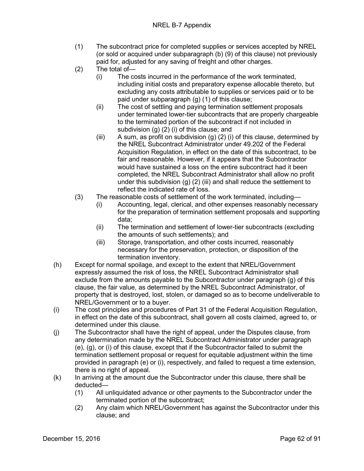- (1) The subcontract price for completed supplies or services accepted by NREL (or sold or acquired under subparagraph (b) (9) of this clause) not previously paid for, adjusted for any saving of freight and other charges.
- (2) The total of—
	- (i) The costs incurred in the performance of the work terminated, including initial costs and preparatory expense allocable thereto, but excluding any costs attributable to supplies or services paid or to be paid under subparagraph (g) (1) of this clause;
	- (ii) The cost of settling and paying termination settlement proposals under terminated lower-tier subcontracts that are properly chargeable to the terminated portion of the subcontract if not included in subdivision (g) (2) (i) of this clause; and
	- (iii) A sum, as profit on subdivision (g) (2) (i) of this clause, determined by the NREL Subcontract Administrator under 49.202 of the Federal Acquisition Regulation, in effect on the date of this subcontract, to be fair and reasonable. However, if it appears that the Subcontractor would have sustained a loss on the entire subcontract had it been completed, the NREL Subcontract Administrator shall allow no profit under this subdivision  $(g)$   $(2)$  (iii) and shall reduce the settlement to reflect the indicated rate of loss.
- (3) The reasonable costs of settlement of the work terminated, including—
	- (i) Accounting, legal, clerical, and other expenses reasonably necessary for the preparation of termination settlement proposals and supporting data;
	- (ii) The termination and settlement of lower-tier subcontracts (excluding the amounts of such settlements); and
	- (iii) Storage, transportation, and other costs incurred, reasonably necessary for the preservation, protection, or disposition of the termination inventory.
- (h) Except for normal spoilage, and except to the extent that NREL/Government expressly assumed the risk of loss, the NREL Subcontract Administrator shall exclude from the amounts payable to the Subcontractor under paragraph (g) of this clause, the fair value, as determined by the NREL Subcontract Administrator, of property that is destroyed, lost, stolen, or damaged so as to become undeliverable to NREL/Government or to a buyer.
- (i) The cost principles and procedures of Part 31 of the Federal Acquisition Regulation, in effect on the date of this subcontract, shall govern all costs claimed, agreed to, or determined under this clause.
- (j) The Subcontractor shall have the right of appeal, under the Disputes clause, from any determination made by the NREL Subcontract Administrator under paragraph (e), (g), or (i) of this clause, except that if the Subcontractor failed to submit the termination settlement proposal or request for equitable adjustment within the time provided in paragraph (e) or (i), respectively, and failed to request a time extension, there is no right of appeal.
- (k) In arriving at the amount due the Subcontractor under this clause, there shall be deducted—
	- (1) All unliquidated advance or other payments to the Subcontractor under the terminated portion of the subcontract;
	- (2) Any claim which NREL/Government has against the Subcontractor under this clause; and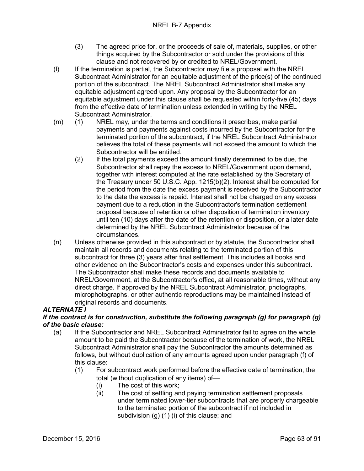- (3) The agreed price for, or the proceeds of sale of, materials, supplies, or other things acquired by the Subcontractor or sold under the provisions of this clause and not recovered by or credited to NREL/Government.
- (l) If the termination is partial, the Subcontractor may file a proposal with the NREL Subcontract Administrator for an equitable adjustment of the price(s) of the continued portion of the subcontract. The NREL Subcontract Administrator shall make any equitable adjustment agreed upon. Any proposal by the Subcontractor for an equitable adjustment under this clause shall be requested within forty-five (45) days from the effective date of termination unless extended in writing by the NREL Subcontract Administrator.
- (m) (1) NREL may, under the terms and conditions it prescribes, make partial payments and payments against costs incurred by the Subcontractor for the terminated portion of the subcontract, if the NREL Subcontract Administrator believes the total of these payments will not exceed the amount to which the Subcontractor will be entitled.
	- (2) If the total payments exceed the amount finally determined to be due, the Subcontractor shall repay the excess to NREL/Government upon demand, together with interest computed at the rate established by the Secretary of the Treasury under 50 U.S.C. App. 1215(b)(2). Interest shall be computed for the period from the date the excess payment is received by the Subcontractor to the date the excess is repaid. Interest shall not be charged on any excess payment due to a reduction in the Subcontractor's termination settlement proposal because of retention or other disposition of termination inventory until ten (10) days after the date of the retention or disposition, or a later date determined by the NREL Subcontract Administrator because of the circumstances.
- (n) Unless otherwise provided in this subcontract or by statute, the Subcontractor shall maintain all records and documents relating to the terminated portion of this subcontract for three (3) years after final settlement. This includes all books and other evidence on the Subcontractor's costs and expenses under this subcontract. The Subcontractor shall make these records and documents available to NREL/Government, at the Subcontractor's office, at all reasonable times, without any direct charge. If approved by the NREL Subcontract Administrator, photographs, microphotographs, or other authentic reproductions may be maintained instead of original records and documents.

## *ALTERNATE I*

#### *If the contract is for construction, substitute the following paragraph (g) for paragraph (g) of the basic clause:*

- (a) If the Subcontractor and NREL Subcontract Administrator fail to agree on the whole amount to be paid the Subcontractor because of the termination of work, the NREL Subcontract Administrator shall pay the Subcontractor the amounts determined as follows, but without duplication of any amounts agreed upon under paragraph (f) of this clause:
	- (1) For subcontract work performed before the effective date of termination, the total (without duplication of any items) of
		-
		- (i) The cost of this work;<br>(ii) The cost of settling are The cost of settling and paying termination settlement proposals under terminated lower-tier subcontracts that are properly chargeable to the terminated portion of the subcontract if not included in subdivision (g) (1) (i) of this clause; and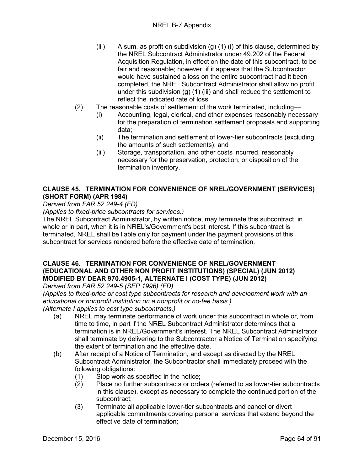- (iii) A sum, as profit on subdivision  $(g)$  (1) (i) of this clause, determined by the NREL Subcontract Administrator under 49.202 of the Federal Acquisition Regulation, in effect on the date of this subcontract, to be fair and reasonable; however, if it appears that the Subcontractor would have sustained a loss on the entire subcontract had it been completed, the NREL Subcontract Administrator shall allow no profit under this subdivision  $(g)$  (1) (iii) and shall reduce the settlement to reflect the indicated rate of loss.
- (2) The reasonable costs of settlement of the work terminated, including
	- (i) Accounting, legal, clerical, and other expenses reasonably necessary for the preparation of termination settlement proposals and supporting data;
	- (ii) The termination and settlement of lower-tier subcontracts (excluding the amounts of such settlements); and
	- (iii) Storage, transportation, and other costs incurred, reasonably necessary for the preservation, protection, or disposition of the termination inventory.

## **CLAUSE 45. TERMINATION FOR CONVENIENCE OF NREL/GOVERNMENT (SERVICES) (SHORT FORM) (APR 1984)**

*Derived from FAR 52.249-4 (FD)*

*(Applies to fixed-price subcontracts for services.)*

The NREL Subcontract Administrator, by written notice, may terminate this subcontract, in whole or in part, when it is in NREL's/Government's best interest. If this subcontract is terminated, NREL shall be liable only for payment under the payment provisions of this subcontract for services rendered before the effective date of termination.

## **CLAUSE 46. TERMINATION FOR CONVENIENCE OF NREL/GOVERNMENT (EDUCATIONAL AND OTHER NON PROFIT INSTITUTIONS) (SPECIAL) (JUN 2012) MODIFIED BY DEAR 970.4905-1, ALTERNATE I (COST TYPE) (JUN 2012)**

*Derived from FAR 52.249-5 (SEP 1996) (FD)*

*(Applies to fixed-price or cost type subcontracts for research and development work with an educational or nonprofit institution on a nonprofit or no-fee basis.) (Alternate I applies to cost type subcontracts.)*

- (a) NREL may terminate performance of work under this subcontract in whole or, from time to time, in part if the NREL Subcontract Administrator determines that a termination is in NREL/Government's interest. The NREL Subcontract Administrator shall terminate by delivering to the Subcontractor a Notice of Termination specifying the extent of termination and the effective date.
- (b) After receipt of a Notice of Termination, and except as directed by the NREL Subcontract Administrator, the Subcontractor shall immediately proceed with the following obligations:
	- (1) Stop work as specified in the notice;
	- (2) Place no further subcontracts or orders (referred to as lower-tier subcontracts in this clause), except as necessary to complete the continued portion of the subcontract;
	- (3) Terminate all applicable lower-tier subcontracts and cancel or divert applicable commitments covering personal services that extend beyond the effective date of termination;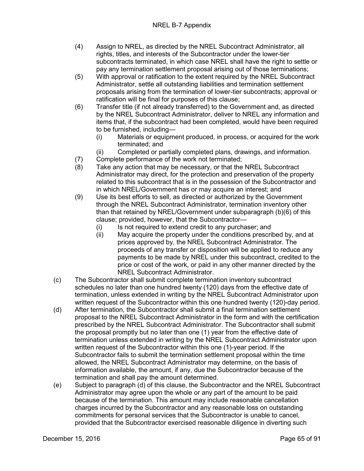- (4) Assign to NREL, as directed by the NREL Subcontract Administrator, all rights, titles, and interests of the Subcontractor under the lower-tier subcontracts terminated, in which case NREL shall have the right to settle or pay any termination settlement proposal arising out of those terminations;
- (5) With approval or ratification to the extent required by the NREL Subcontract Administrator, settle all outstanding liabilities and termination settlement proposals arising from the termination of lower-tier subcontracts; approval or ratification will be final for purposes of this clause;
- (6) Transfer title (if not already transferred) to the Government and, as directed by the NREL Subcontract Administrator, deliver to NREL any information and items that, if the subcontract had been completed, would have been required to be furnished, including—
	- (i) Materials or equipment produced, in process, or acquired for the work terminated; and
	- (ii) Completed or partially completed plans, drawings, and information.
- (7) Complete performance of the work not terminated;<br>(8) Take any action that may be necessary, or that the
- Take any action that may be necessary, or that the NREL Subcontract Administrator may direct, for the protection and preservation of the property related to this subcontract that is in the possession of the Subcontractor and in which NREL/Government has or may acquire an interest; and
- (9) Use its best efforts to sell, as directed or authorized by the Government through the NREL Subcontract Administrator, termination inventory other than that retained by NREL/Government under subparagraph (b)(6) of this clause; provided, however, that the Subcontractor—
	- (i) Is not required to extend credit to any purchaser; and
	- (ii) May acquire the property under the conditions prescribed by, and at prices approved by, the NREL Subcontract Administrator. The proceeds of any transfer or disposition will be applied to reduce any payments to be made by NREL under this subcontract, credited to the price or cost of the work, or paid in any other manner directed by the NREL Subcontract Administrator.
- (c) The Subcontractor shall submit complete termination inventory subcontract schedules no later than one hundred twenty (120) days from the effective date of termination, unless extended in writing by the NREL Subcontract Administrator upon written request of the Subcontractor within this one hundred twenty (120)-day period.
- (d) After termination, the Subcontractor shall submit a final termination settlement proposal to the NREL Subcontract Administrator in the form and with the certification prescribed by the NREL Subcontract Administrator. The Subcontractor shall submit the proposal promptly but no later than one (1) year from the effective date of termination unless extended in writing by the NREL Subcontract Administrator upon written request of the Subcontractor within this one (1)-year period. If the Subcontractor fails to submit the termination settlement proposal within the time allowed, the NREL Subcontract Administrator may determine, on the basis of information available, the amount, if any, due the Subcontractor because of the termination and shall pay the amount determined.
- (e) Subject to paragraph (d) of this clause, the Subcontractor and the NREL Subcontract Administrator may agree upon the whole or any part of the amount to be paid because of the termination. This amount may include reasonable cancellation charges incurred by the Subcontractor and any reasonable loss on outstanding commitments for personal services that the Subcontractor is unable to cancel, provided that the Subcontractor exercised reasonable diligence in diverting such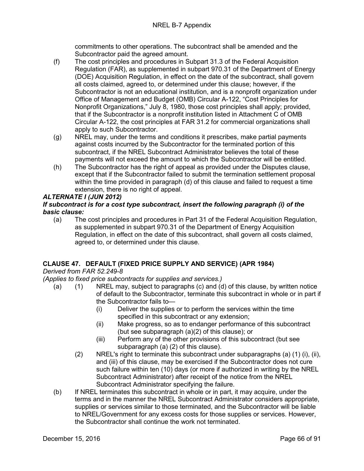commitments to other operations. The subcontract shall be amended and the Subcontractor paid the agreed amount.

- (f) The cost principles and procedures in Subpart 31.3 of the Federal Acquisition Regulation (FAR), as supplemented in subpart 970.31 of the Department of Energy (DOE) Acquisition Regulation, in effect on the date of the subcontract, shall govern all costs claimed, agreed to, or determined under this clause; however, if the Subcontractor is not an educational institution, and is a nonprofit organization under Office of Management and Budget (OMB) Circular A-122, "Cost Principles for Nonprofit Organizations," July 8, 1980, those cost principles shall apply; provided, that if the Subcontractor is a nonprofit institution listed in Attachment C of OMB Circular A-122, the cost principles at FAR 31.2 for commercial organizations shall apply to such Subcontractor.
- (g) NREL may, under the terms and conditions it prescribes, make partial payments against costs incurred by the Subcontractor for the terminated portion of this subcontract, if the NREL Subcontract Administrator believes the total of these payments will not exceed the amount to which the Subcontractor will be entitled.
- (h) The Subcontractor has the right of appeal as provided under the Disputes clause, except that if the Subcontractor failed to submit the termination settlement proposal within the time provided in paragraph (d) of this clause and failed to request a time extension, there is no right of appeal.

# *ALTERNATE I (JUN 2012)*

# *If subcontract is for a cost type subcontract, insert the following paragraph (i) of the basic clause:*

(a) The cost principles and procedures in Part 31 of the Federal Acquisition Regulation, as supplemented in subpart 970.31 of the Department of Energy Acquisition Regulation, in effect on the date of this subcontract, shall govern all costs claimed, agreed to, or determined under this clause.

# **CLAUSE 47. DEFAULT (FIXED PRICE SUPPLY AND SERVICE) (APR 1984)**

*Derived from FAR 52.249-8*

*(Applies to fixed price subcontracts for supplies and services.)*

- (a) (1) NREL may, subject to paragraphs (c) and (d) of this clause, by written notice of default to the Subcontractor, terminate this subcontract in whole or in part if the Subcontractor fails to—
	- (i) Deliver the supplies or to perform the services within the time specified in this subcontract or any extension;
	- (ii) Make progress, so as to endanger performance of this subcontract (but see subparagraph (a)(2) of this clause); or
	- (iii) Perform any of the other provisions of this subcontract (but see subparagraph (a) (2) of this clause).
	- (2) NREL's right to terminate this subcontract under subparagraphs (a) (1) (i), (ii), and (iii) of this clause, may be exercised if the Subcontractor does not cure such failure within ten (10) days (or more if authorized in writing by the NREL Subcontract Administrator) after receipt of the notice from the NREL Subcontract Administrator specifying the failure.
- (b) If NREL terminates this subcontract in whole or in part, it may acquire, under the terms and in the manner the NREL Subcontract Administrator considers appropriate, supplies or services similar to those terminated, and the Subcontractor will be liable to NREL/Government for any excess costs for those supplies or services. However, the Subcontractor shall continue the work not terminated.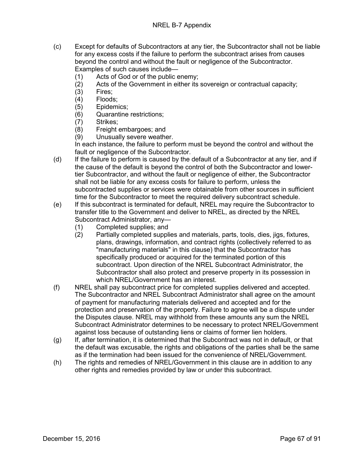- (c) Except for defaults of Subcontractors at any tier, the Subcontractor shall not be liable for any excess costs if the failure to perform the subcontract arises from causes beyond the control and without the fault or negligence of the Subcontractor. Examples of such causes include—
	- (1) Acts of God or of the public enemy;
	- (2) Acts of the Government in either its sovereign or contractual capacity;
	- (3) Fires;
	-
	- (4) Floods;<br>(5) Epidemi (5) Epidemics;
	- (6) Quarantine restrictions;
	- Strikes:
	- (8) Freight embargoes; and
	- (9) Unusually severe weather.

In each instance, the failure to perform must be beyond the control and without the fault or negligence of the Subcontractor.

- (d) If the failure to perform is caused by the default of a Subcontractor at any tier, and if the cause of the default is beyond the control of both the Subcontractor and lowertier Subcontractor, and without the fault or negligence of either, the Subcontractor shall not be liable for any excess costs for failure to perform, unless the subcontracted supplies or services were obtainable from other sources in sufficient time for the Subcontractor to meet the required delivery subcontract schedule.
- (e) If this subcontract is terminated for default, NREL may require the Subcontractor to transfer title to the Government and deliver to NREL, as directed by the NREL Subcontract Administrator, any—
	- (1) Completed supplies; and
	- (2) Partially completed supplies and materials, parts, tools, dies, jigs, fixtures, plans, drawings, information, and contract rights (collectively referred to as "manufacturing materials" in this clause) that the Subcontractor has specifically produced or acquired for the terminated portion of this subcontract. Upon direction of the NREL Subcontract Administrator, the Subcontractor shall also protect and preserve property in its possession in which NREL/Government has an interest.
- (f) NREL shall pay subcontract price for completed supplies delivered and accepted. The Subcontractor and NREL Subcontract Administrator shall agree on the amount of payment for manufacturing materials delivered and accepted and for the protection and preservation of the property. Failure to agree will be a dispute under the Disputes clause. NREL may withhold from these amounts any sum the NREL Subcontract Administrator determines to be necessary to protect NREL/Government against loss because of outstanding liens or claims of former lien holders.
- (g) If, after termination, it is determined that the Subcontract was not in default, or that the default was excusable, the rights and obligations of the parties shall be the same as if the termination had been issued for the convenience of NREL/Government.
- (h) The rights and remedies of NREL/Government in this clause are in addition to any other rights and remedies provided by law or under this subcontract.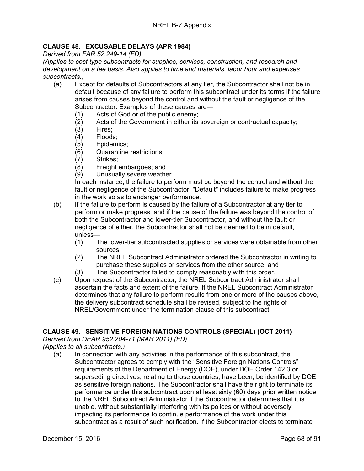# **CLAUSE 48. EXCUSABLE DELAYS (APR 1984)**

*Derived from FAR 52.249-14 (FD)*

*(Applies to cost type subcontracts for supplies, services, construction, and research and development on a fee basis. Also applies to time and materials, labor hour and expenses subcontracts.)*

- (a) Except for defaults of Subcontractors at any tier, the Subcontractor shall not be in default because of any failure to perform this subcontract under its terms if the failure arises from causes beyond the control and without the fault or negligence of the Subcontractor. Examples of these causes are—<br>(1) Acts of God or of the public enemy:
	- (1) Acts of God or of the public enemy;<br>(2) Acts of the Government in either its
	- Acts of the Government in either its sovereign or contractual capacity;
	- (3) Fires;
	- (4) Floods;
	- (5) Epidemics;
	- (6) Quarantine restrictions;
	-
	- (7) Strikes;<br>(8) Freight Freight embargoes; and
	- (9) Unusually severe weather.

In each instance, the failure to perform must be beyond the control and without the fault or negligence of the Subcontractor. "Default" includes failure to make progress in the work so as to endanger performance.

- (b) If the failure to perform is caused by the failure of a Subcontractor at any tier to perform or make progress, and if the cause of the failure was beyond the control of both the Subcontractor and lower-tier Subcontractor, and without the fault or negligence of either, the Subcontractor shall not be deemed to be in default, unless—
	- (1) The lower-tier subcontracted supplies or services were obtainable from other sources;
	- (2) The NREL Subcontract Administrator ordered the Subcontractor in writing to purchase these supplies or services from the other source; and
	- (3) The Subcontractor failed to comply reasonably with this order.
- (c) Upon request of the Subcontractor, the NREL Subcontract Administrator shall ascertain the facts and extent of the failure. If the NREL Subcontract Administrator determines that any failure to perform results from one or more of the causes above, the delivery subcontract schedule shall be revised, subject to the rights of NREL/Government under the termination clause of this subcontract.

## **CLAUSE 49. SENSITIVE FOREIGN NATIONS CONTROLS (SPECIAL) (OCT 2011)**

*Derived from DEAR 952.204-71 (MAR 2011) (FD)*

*(Applies to all subcontracts.)*

(a) In connection with any activities in the performance of this subcontract, the Subcontractor agrees to comply with the "Sensitive Foreign Nations Controls" requirements of the Department of Energy (DOE), under DOE Order 142.3 or superseding directives, relating to those countries, have been, be identified by DOE as sensitive foreign nations. The Subcontractor shall have the right to terminate its performance under this subcontract upon at least sixty (60) days prior written notice to the NREL Subcontract Administrator if the Subcontractor determines that it is unable, without substantially interfering with its polices or without adversely impacting its performance to continue performance of the work under this subcontract as a result of such notification. If the Subcontractor elects to terminate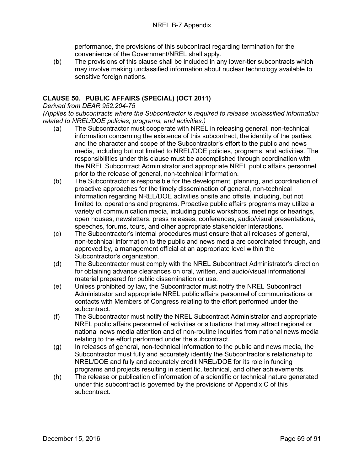performance, the provisions of this subcontract regarding termination for the convenience of the Government/NREL shall apply.

(b) The provisions of this clause shall be included in any lower-tier subcontracts which may involve making unclassified information about nuclear technology available to sensitive foreign nations.

# **CLAUSE 50. PUBLIC AFFAIRS (SPECIAL) (OCT 2011)**

#### *Derived from DEAR 952.204-75*

*(Applies to subcontracts where the Subcontractor is required to release unclassified information related to NREL/DOE policies, programs, and activities.)*

- (a) The Subcontractor must cooperate with NREL in releasing general, non-technical information concerning the existence of this subcontract, the identity of the parties, and the character and scope of the Subcontractor's effort to the public and news media, including but not limited to NREL/DOE policies, programs, and activities. The responsibilities under this clause must be accomplished through coordination with the NREL Subcontract Administrator and appropriate NREL public affairs personnel prior to the release of general, non-technical information.
- (b) The Subcontractor is responsible for the development, planning, and coordination of proactive approaches for the timely dissemination of general, non-technical information regarding NREL/DOE activities onsite and offsite, including, but not limited to, operations and programs. Proactive public affairs programs may utilize a variety of communication media, including public workshops, meetings or hearings, open houses, newsletters, press releases, conferences, audio/visual presentations, speeches, forums, tours, and other appropriate stakeholder interactions.
- (c) The Subcontractor's internal procedures must ensure that all releases of general, non-technical information to the public and news media are coordinated through, and approved by, a management official at an appropriate level within the Subcontractor's organization.
- (d) The Subcontractor must comply with the NREL Subcontract Administrator's direction for obtaining advance clearances on oral, written, and audio/visual informational material prepared for public dissemination or use.
- (e) Unless prohibited by law, the Subcontractor must notify the NREL Subcontract Administrator and appropriate NREL public affairs personnel of communications or contacts with Members of Congress relating to the effort performed under the subcontract.
- (f) The Subcontractor must notify the NREL Subcontract Administrator and appropriate NREL public affairs personnel of activities or situations that may attract regional or national news media attention and of non-routine inquiries from national news media relating to the effort performed under the subcontract.
- (g) In releases of general, non-technical information to the public and news media, the Subcontractor must fully and accurately identify the Subcontractor's relationship to NREL/DOE and fully and accurately credit NREL/DOE for its role in funding programs and projects resulting in scientific, technical, and other achievements.
- (h) The release or publication of information of a scientific or technical nature generated under this subcontract is governed by the provisions of Appendix C of this subcontract.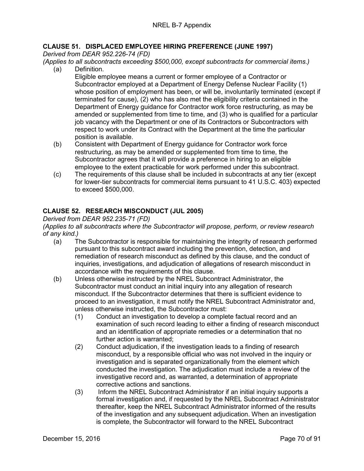# **CLAUSE 51. DISPLACED EMPLOYEE HIRING PREFERENCE (JUNE 1997)**

*Derived from DEAR 952.226-74 (FD)*

*(Applies to all subcontracts exceeding \$500,000, except subcontracts for commercial items.)*

- (a) Definition. Eligible employee means a current or former employee of a Contractor or Subcontractor employed at a Department of Energy Defense Nuclear Facility (1) whose position of employment has been, or will be, involuntarily terminated (except if terminated for cause), (2) who has also met the eligibility criteria contained in the Department of Energy guidance for Contractor work force restructuring, as may be amended or supplemented from time to time, and (3) who is qualified for a particular job vacancy with the Department or one of its Contractors or Subcontractors with respect to work under its Contract with the Department at the time the particular position is available.
- (b) Consistent with Department of Energy guidance for Contractor work force restructuring, as may be amended or supplemented from time to time, the Subcontractor agrees that it will provide a preference in hiring to an eligible employee to the extent practicable for work performed under this subcontract.
- (c) The requirements of this clause shall be included in subcontracts at any tier (except for lower-tier subcontracts for commercial items pursuant to 41 U.S.C. 403) expected to exceed \$500,000.

# **CLAUSE 52. RESEARCH MISCONDUCT (JUL 2005)**

## *Derived from DEAR 952.235-71 (FD)*

#### *(Applies to all subcontracts where the Subcontractor will propose, perform, or review research of any kind.)*

- (a) The Subcontractor is responsible for maintaining the integrity of research performed pursuant to this subcontract award including the prevention, detection, and remediation of research misconduct as defined by this clause, and the conduct of inquiries, investigations, and adjudication of allegations of research misconduct in accordance with the requirements of this clause.
- (b) Unless otherwise instructed by the NREL Subcontract Administrator, the Subcontractor must conduct an initial inquiry into any allegation of research misconduct. If the Subcontractor determines that there is sufficient evidence to proceed to an investigation, it must notify the NREL Subcontract Administrator and, unless otherwise instructed, the Subcontractor must:
	- (1) Conduct an investigation to develop a complete factual record and an examination of such record leading to either a finding of research misconduct and an identification of appropriate remedies or a determination that no further action is warranted;
	- (2) Conduct adjudication, if the investigation leads to a finding of research misconduct, by a responsible official who was not involved in the inquiry or investigation and is separated organizationally from the element which conducted the investigation. The adjudication must include a review of the investigative record and, as warranted, a determination of appropriate corrective actions and sanctions.
	- (3) Inform the NREL Subcontract Administrator if an initial inquiry supports a formal investigation and, if requested by the NREL Subcontract Administrator thereafter, keep the NREL Subcontract Administrator informed of the results of the investigation and any subsequent adjudication. When an investigation is complete, the Subcontractor will forward to the NREL Subcontract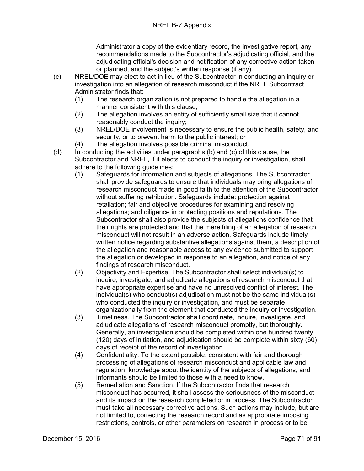Administrator a copy of the evidentiary record, the investigative report, any recommendations made to the Subcontractor's adjudicating official, and the adjudicating official's decision and notification of any corrective action taken or planned, and the subject's written response (if any).

- (c) NREL/DOE may elect to act in lieu of the Subcontractor in conducting an inquiry or investigation into an allegation of research misconduct if the NREL Subcontract Administrator finds that:
	- (1) The research organization is not prepared to handle the allegation in a manner consistent with this clause;
	- (2) The allegation involves an entity of sufficiently small size that it cannot reasonably conduct the inquiry:
	- (3) NREL/DOE involvement is necessary to ensure the public health, safety, and security, or to prevent harm to the public interest; or
	- (4) The allegation involves possible criminal misconduct.
- (d) In conducting the activities under paragraphs (b) and (c) of this clause, the Subcontractor and NREL, if it elects to conduct the inquiry or investigation, shall adhere to the following guidelines:
	- (1) Safeguards for information and subjects of allegations. The Subcontractor shall provide safeguards to ensure that individuals may bring allegations of research misconduct made in good faith to the attention of the Subcontractor without suffering retribution. Safeguards include: protection against retaliation; fair and objective procedures for examining and resolving allegations; and diligence in protecting positions and reputations. The Subcontractor shall also provide the subjects of allegations confidence that their rights are protected and that the mere filing of an allegation of research misconduct will not result in an adverse action. Safeguards include timely written notice regarding substantive allegations against them, a description of the allegation and reasonable access to any evidence submitted to support the allegation or developed in response to an allegation, and notice of any findings of research misconduct.
	- (2) Objectivity and Expertise. The Subcontractor shall select individual(s) to inquire, investigate, and adjudicate allegations of research misconduct that have appropriate expertise and have no unresolved conflict of interest. The individual(s) who conduct(s) adjudication must not be the same individual(s) who conducted the inquiry or investigation, and must be separate organizationally from the element that conducted the inquiry or investigation.
	- (3) Timeliness. The Subcontractor shall coordinate, inquire, investigate, and adjudicate allegations of research misconduct promptly, but thoroughly. Generally, an investigation should be completed within one hundred twenty (120) days of initiation, and adjudication should be complete within sixty (60) days of receipt of the record of investigation.
	- (4) Confidentiality. To the extent possible, consistent with fair and thorough processing of allegations of research misconduct and applicable law and regulation, knowledge about the identity of the subjects of allegations, and informants should be limited to those with a need to know.
	- (5) Remediation and Sanction. If the Subcontractor finds that research misconduct has occurred, it shall assess the seriousness of the misconduct and its impact on the research completed or in process. The Subcontractor must take all necessary corrective actions. Such actions may include, but are not limited to, correcting the research record and as appropriate imposing restrictions, controls, or other parameters on research in process or to be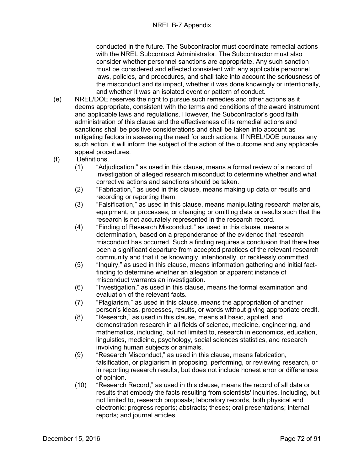conducted in the future. The Subcontractor must coordinate remedial actions with the NREL Subcontract Administrator. The Subcontractor must also consider whether personnel sanctions are appropriate. Any such sanction must be considered and effected consistent with any applicable personnel laws, policies, and procedures, and shall take into account the seriousness of the misconduct and its impact, whether it was done knowingly or intentionally, and whether it was an isolated event or pattern of conduct.

- (e) NREL/DOE reserves the right to pursue such remedies and other actions as it deems appropriate, consistent with the terms and conditions of the award instrument and applicable laws and regulations. However, the Subcontractor's good faith administration of this clause and the effectiveness of its remedial actions and sanctions shall be positive considerations and shall be taken into account as mitigating factors in assessing the need for such actions. If NREL/DOE pursues any such action, it will inform the subject of the action of the outcome and any applicable appeal procedures.
- (f) Definitions.
	- (1) "Adjudication," as used in this clause, means a formal review of a record of investigation of alleged research misconduct to determine whether and what corrective actions and sanctions should be taken.
	- (2) "Fabrication," as used in this clause, means making up data or results and recording or reporting them.
	- (3) "Falsification," as used in this clause, means manipulating research materials, equipment, or processes, or changing or omitting data or results such that the research is not accurately represented in the research record.
	- (4) "Finding of Research Misconduct," as used in this clause, means a determination, based on a preponderance of the evidence that research misconduct has occurred. Such a finding requires a conclusion that there has been a significant departure from accepted practices of the relevant research community and that it be knowingly, intentionally, or recklessly committed.
	- (5) "Inquiry," as used in this clause, means information gathering and initial factfinding to determine whether an allegation or apparent instance of misconduct warrants an investigation.
	- (6) "Investigation," as used in this clause, means the formal examination and evaluation of the relevant facts.
	- (7) "Plagiarism," as used in this clause, means the appropriation of another person's ideas, processes, results, or words without giving appropriate credit.
	- (8) "Research," as used in this clause, means all basic, applied, and demonstration research in all fields of science, medicine, engineering, and mathematics, including, but not limited to, research in economics, education, linguistics, medicine, psychology, social sciences statistics, and research involving human subjects or animals.
	- (9) "Research Misconduct," as used in this clause, means fabrication, falsification, or plagiarism in proposing, performing, or reviewing research, or in reporting research results, but does not include honest error or differences of opinion.
	- (10) "Research Record," as used in this clause, means the record of all data or results that embody the facts resulting from scientists' inquiries, including, but not limited to, research proposals; laboratory records, both physical and electronic; progress reports; abstracts; theses; oral presentations; internal reports; and journal articles.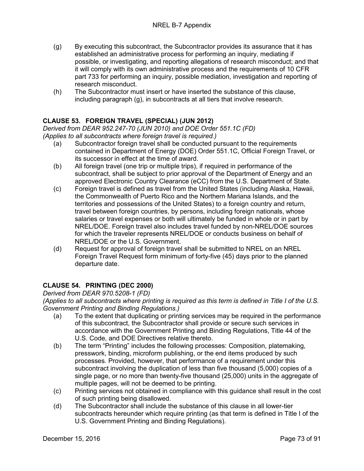- (g) By executing this subcontract, the Subcontractor provides its assurance that it has established an administrative process for performing an inquiry, mediating if possible, or investigating, and reporting allegations of research misconduct; and that it will comply with its own administrative process and the requirements of 10 CFR part 733 for performing an inquiry, possible mediation, investigation and reporting of research misconduct.
- (h) The Subcontractor must insert or have inserted the substance of this clause, including paragraph (g), in subcontracts at all tiers that involve research.

# **CLAUSE 53. FOREIGN TRAVEL (SPECIAL) (JUN 2012)**

*Derived from DEAR 952.247-70 (JUN 2010) and DOE Order 551.1C (FD) (Applies to all subcontracts where foreign travel is required.)*

- (a) Subcontractor foreign travel shall be conducted pursuant to the requirements contained in Department of Energy (DOE) Order 551.1C, Official Foreign Travel, or its successor in effect at the time of award.
- (b) All foreign travel (one trip or multiple trips), if required in performance of the subcontract, shall be subject to prior approval of the Department of Energy and an approved Electronic Country Clearance (eCC) from the U.S. Department of State.
- (c) Foreign travel is defined as travel from the United States (including Alaska, Hawaii, the Commonwealth of Puerto Rico and the Northern Mariana Islands, and the territories and possessions of the United States) to a foreign country and return, travel between foreign countries, by persons, including foreign nationals, whose salaries or travel expenses or both will ultimately be funded in whole or in part by NREL/DOE. Foreign travel also includes travel funded by non-NREL/DOE sources for which the traveler represents NREL/DOE or conducts business on behalf of NREL/DOE or the U.S. Government.
- (d) Request for approval of foreign travel shall be submitted to NREL on an NREL Foreign Travel Request form minimum of forty-five (45) days prior to the planned departure date.

# **CLAUSE 54. PRINTING (DEC 2000)**

*Derived from DEAR 970.5208-1 (FD)*

*(Applies to all subcontracts where printing is required as this term is defined in Title I of the U.S. Government Printing and Binding Regulations.)*

- (a) To the extent that duplicating or printing services may be required in the performance of this subcontract, the Subcontractor shall provide or secure such services in accordance with the Government Printing and Binding Regulations, Title 44 of the U.S. Code, and DOE Directives relative thereto.
- (b) The term "Printing" includes the following processes: Composition, platemaking, presswork, binding, microform publishing, or the end items produced by such processes. Provided, however, that performance of a requirement under this subcontract involving the duplication of less than five thousand (5,000) copies of a single page, or no more than twenty-five thousand (25,000) units in the aggregate of multiple pages, will not be deemed to be printing.
- (c) Printing services not obtained in compliance with this guidance shall result in the cost of such printing being disallowed.
- (d) The Subcontractor shall include the substance of this clause in all lower-tier subcontracts hereunder which require printing (as that term is defined in Title I of the U.S. Government Printing and Binding Regulations).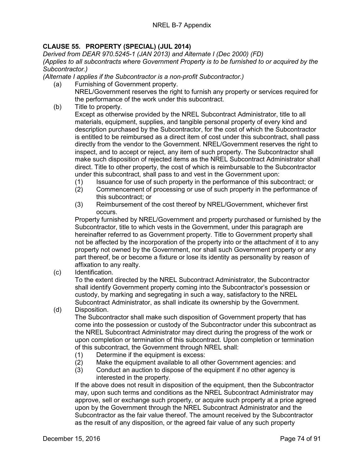# **CLAUSE 55. PROPERTY (SPECIAL) (JUL 2014)**

*Derived from DEAR 970.5245-1 (JAN 2013) and Alternate I (Dec 2000) (FD) (Applies to all subcontracts where Government Property is to be furnished to or acquired by the Subcontractor.)*

*(Alternate I applies if the Subcontractor is a non-profit Subcontractor.)*

- (a) Furnishing of Government property. NREL/Government reserves the right to furnish any property or services required for the performance of the work under this subcontract.
- (b) Title to property.

Except as otherwise provided by the NREL Subcontract Administrator, title to all materials, equipment, supplies, and tangible personal property of every kind and description purchased by the Subcontractor, for the cost of which the Subcontractor is entitled to be reimbursed as a direct item of cost under this subcontract, shall pass directly from the vendor to the Government. NREL/Government reserves the right to inspect, and to accept or reject, any item of such property. The Subcontractor shall make such disposition of rejected items as the NREL Subcontract Administrator shall direct. Title to other property, the cost of which is reimbursable to the Subcontractor under this subcontract, shall pass to and vest in the Government upon:

- (1) Issuance for use of such property in the performance of this subcontract; or
- (2) Commencement of processing or use of such property in the performance of this subcontract; or
- (3) Reimbursement of the cost thereof by NREL/Government, whichever first occurs.

Property furnished by NREL/Government and property purchased or furnished by the Subcontractor, title to which vests in the Government, under this paragraph are hereinafter referred to as Government property. Title to Government property shall not be affected by the incorporation of the property into or the attachment of it to any property not owned by the Government, nor shall such Government property or any part thereof, be or become a fixture or lose its identity as personality by reason of affixation to any realty.

(c) Identification.

To the extent directed by the NREL Subcontract Administrator, the Subcontractor shall identify Government property coming into the Subcontractor's possession or custody, by marking and segregating in such a way, satisfactory to the NREL Subcontract Administrator, as shall indicate its ownership by the Government.

(d) Disposition.

The Subcontractor shall make such disposition of Government property that has come into the possession or custody of the Subcontractor under this subcontract as the NREL Subcontract Administrator may direct during the progress of the work or upon completion or termination of this subcontract. Upon completion or termination of this subcontract, the Government through NREL shall:

- (1) Determine if the equipment is excess:
- (2) Make the equipment available to all other Government agencies: and
- (3) Conduct an auction to dispose of the equipment if no other agency is interested in the property.

If the above does not result in disposition of the equipment, then the Subcontractor may, upon such terms and conditions as the NREL Subcontract Administrator may approve, sell or exchange such property, or acquire such property at a price agreed upon by the Government through the NREL Subcontract Administrator and the Subcontractor as the fair value thereof. The amount received by the Subcontractor as the result of any disposition, or the agreed fair value of any such property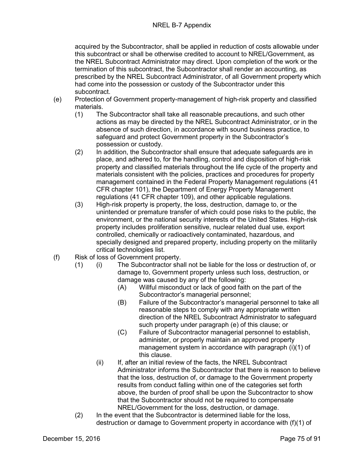### NREL B-7 Appendix

acquired by the Subcontractor, shall be applied in reduction of costs allowable under this subcontract or shall be otherwise credited to account to NREL/Government, as the NREL Subcontract Administrator may direct. Upon completion of the work or the termination of this subcontract, the Subcontractor shall render an accounting, as prescribed by the NREL Subcontract Administrator, of all Government property which had come into the possession or custody of the Subcontractor under this subcontract.

- (e) Protection of Government property-management of high-risk property and classified materials.
	- (1) The Subcontractor shall take all reasonable precautions, and such other actions as may be directed by the NREL Subcontract Administrator, or in the absence of such direction, in accordance with sound business practice, to safeguard and protect Government property in the Subcontractor's possession or custody.
	- (2) In addition, the Subcontractor shall ensure that adequate safeguards are in place, and adhered to, for the handling, control and disposition of high-risk property and classified materials throughout the life cycle of the property and materials consistent with the policies, practices and procedures for property management contained in the Federal Property Management regulations (41 CFR chapter 101), the Department of Energy Property Management regulations (41 CFR chapter 109), and other applicable regulations.
	- (3) High-risk property is property, the loss, destruction, damage to, or the unintended or premature transfer of which could pose risks to the public, the environment, or the national security interests of the United States. High-risk property includes proliferation sensitive, nuclear related dual use, export controlled, chemically or radioactively contaminated, hazardous, and specially designed and prepared property, including property on the militarily critical technologies list.
- (f) Risk of loss of Government property.
	- (1) (i) The Subcontractor shall not be liable for the loss or destruction of, or damage to, Government property unless such loss, destruction, or damage was caused by any of the following:
		- (A) Willful misconduct or lack of good faith on the part of the Subcontractor's managerial personnel;
		- (B) Failure of the Subcontractor's managerial personnel to take all reasonable steps to comply with any appropriate written direction of the NREL Subcontract Administrator to safeguard such property under paragraph (e) of this clause; or
		- (C) Failure of Subcontractor managerial personnel to establish, administer, or properly maintain an approved property management system in accordance with paragraph (i)(1) of this clause.
		- (ii) If, after an initial review of the facts, the NREL Subcontract Administrator informs the Subcontractor that there is reason to believe that the loss, destruction of, or damage to the Government property results from conduct falling within one of the categories set forth above, the burden of proof shall be upon the Subcontractor to show that the Subcontractor should not be required to compensate NREL/Government for the loss, destruction, or damage.
	- (2) In the event that the Subcontractor is determined liable for the loss, destruction or damage to Government property in accordance with (f)(1) of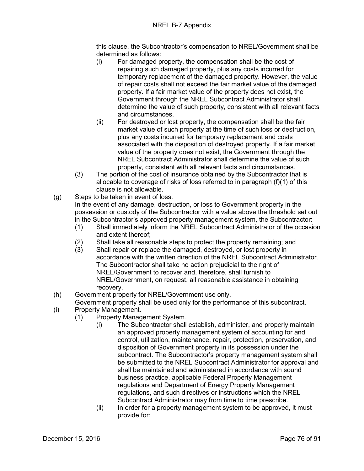this clause, the Subcontractor's compensation to NREL/Government shall be determined as follows:

- (i) For damaged property, the compensation shall be the cost of repairing such damaged property, plus any costs incurred for temporary replacement of the damaged property. However, the value of repair costs shall not exceed the fair market value of the damaged property. If a fair market value of the property does not exist, the Government through the NREL Subcontract Administrator shall determine the value of such property, consistent with all relevant facts and circumstances.
- (ii) For destroyed or lost property, the compensation shall be the fair market value of such property at the time of such loss or destruction, plus any costs incurred for temporary replacement and costs associated with the disposition of destroyed property. If a fair market value of the property does not exist, the Government through the NREL Subcontract Administrator shall determine the value of such property, consistent with all relevant facts and circumstances.
- (3) The portion of the cost of insurance obtained by the Subcontractor that is allocable to coverage of risks of loss referred to in paragraph (f)(1) of this clause is not allowable.
- (g) Steps to be taken in event of loss.

In the event of any damage, destruction, or loss to Government property in the possession or custody of the Subcontractor with a value above the threshold set out in the Subcontractor's approved property management system, the Subcontractor:

- (1) Shall immediately inform the NREL Subcontract Administrator of the occasion and extent thereof;
- (2) Shall take all reasonable steps to protect the property remaining; and
- (3) Shall repair or replace the damaged, destroyed, or lost property in accordance with the written direction of the NREL Subcontract Administrator. The Subcontractor shall take no action prejudicial to the right of NREL/Government to recover and, therefore, shall furnish to NREL/Government, on request, all reasonable assistance in obtaining recovery.
- (h) Government property for NREL/Government use only.
- Government property shall be used only for the performance of this subcontract.
- (i) Property Management.
	- (1) Property Management System.
		- (i) The Subcontractor shall establish, administer, and properly maintain an approved property management system of accounting for and control, utilization, maintenance, repair, protection, preservation, and disposition of Government property in its possession under the subcontract. The Subcontractor's property management system shall be submitted to the NREL Subcontract Administrator for approval and shall be maintained and administered in accordance with sound business practice, applicable Federal Property Management regulations and Department of Energy Property Management regulations, and such directives or instructions which the NREL Subcontract Administrator may from time to time prescribe.
		- (ii) In order for a property management system to be approved, it must provide for: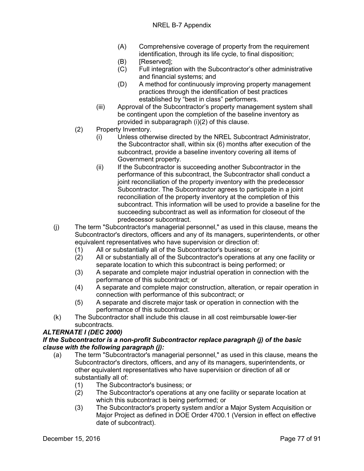- (A) Comprehensive coverage of property from the requirement identification, through its life cycle, to final disposition;
- (B) [Reserved];
- (C) Full integration with the Subcontractor's other administrative and financial systems; and
- (D) A method for continuously improving property management practices through the identification of best practices established by "best in class" performers.
- (iii) Approval of the Subcontractor's property management system shall be contingent upon the completion of the baseline inventory as provided in subparagraph (i)(2) of this clause.
- (2) Property Inventory.
	- (i) Unless otherwise directed by the NREL Subcontract Administrator, the Subcontractor shall, within six (6) months after execution of the subcontract, provide a baseline inventory covering all items of Government property.
	- (ii) If the Subcontractor is succeeding another Subcontractor in the performance of this subcontract, the Subcontractor shall conduct a joint reconciliation of the property inventory with the predecessor Subcontractor. The Subcontractor agrees to participate in a joint reconciliation of the property inventory at the completion of this subcontract. This information will be used to provide a baseline for the succeeding subcontract as well as information for closeout of the predecessor subcontract.
- (j) The term "Subcontractor's managerial personnel," as used in this clause, means the Subcontractor's directors, officers and any of its managers, superintendents, or other equivalent representatives who have supervision or direction of:
	-
	- (1) All or substantially all of the Subcontractor's business; or (2) All or substantially all of the Subcontractor's operations at All or substantially all of the Subcontractor's operations at any one facility or separate location to which this subcontract is being performed; or
	- (3) A separate and complete major industrial operation in connection with the performance of this subcontract; or
	- (4) A separate and complete major construction, alteration, or repair operation in connection with performance of this subcontract; or
	- (5) A separate and discrete major task or operation in connection with the performance of this subcontract.
- (k) The Subcontractor shall include this clause in all cost reimbursable lower-tier subcontracts.

### *ALTERNATE I (DEC 2000)*

### *If the Subcontractor is a non-profit Subcontractor replace paragraph (j) of the basic clause with the following paragraph (j):*

- (a) The term "Subcontractor's managerial personnel," as used in this clause, means the Subcontractor's directors, officers, and any of its managers, superintendents, or other equivalent representatives who have supervision or direction of all or substantially all of:
	- (1) The Subcontractor's business; or
	- (2) The Subcontractor's operations at any one facility or separate location at which this subcontract is being performed; or
	- (3) The Subcontractor's property system and/or a Major System Acquisition or Major Project as defined in DOE Order 4700.1 (Version in effect on effective date of subcontract).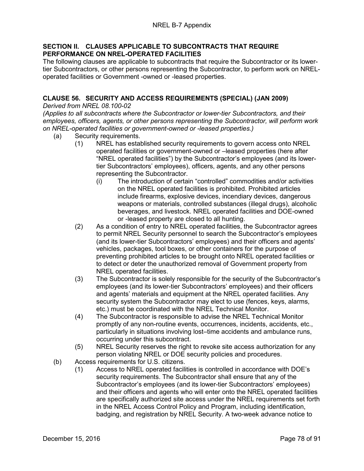#### **SECTION II. CLAUSES APPLICABLE TO SUBCONTRACTS THAT REQUIRE PERFORMANCE ON NREL-OPERATED FACILITIES**

The following clauses are applicable to subcontracts that require the Subcontractor or its lowertier Subcontractors, or other persons representing the Subcontractor, to perform work on NRELoperated facilities or Government -owned or -leased properties.

# **CLAUSE 56. SECURITY AND ACCESS REQUIREMENTS (SPECIAL) (JAN 2009)**

*Derived from NREL 08.100-02*

*(Applies to all subcontracts where the Subcontractor or lower-tier Subcontractors, and their employees, officers, agents, or other persons representing the Subcontractor, will perform work on NREL-operated facilities or government-owned or -leased properties.)*

- (a) Security requirements.
	- (1) NREL has established security requirements to govern access onto NREL operated facilities or government-owned or –leased properties (here after "NREL operated facilities") by the Subcontractor's employees (and its lowertier Subcontractors' employees), officers, agents, and any other persons representing the Subcontractor.
		- (i) The introduction of certain "controlled" commodities and/or activities on the NREL operated facilities is prohibited. Prohibited articles include firearms, explosive devices, incendiary devices, dangerous weapons or materials, controlled substances (illegal drugs), alcoholic beverages, and livestock. NREL operated facilities and DOE-owned or -leased property are closed to all hunting.
	- (2) As a condition of entry to NREL operated facilities, the Subcontractor agrees to permit NREL Security personnel to search the Subcontractor's employees (and its lower-tier Subcontractors' employees) and their officers and agents' vehicles, packages, tool boxes, or other containers for the purpose of preventing prohibited articles to be brought onto NREL operated facilities or to detect or deter the unauthorized removal of Government property from NREL operated facilities.
	- (3) The Subcontractor is solely responsible for the security of the Subcontractor's employees (and its lower-tier Subcontractors' employees) and their officers and agents' materials and equipment at the NREL operated facilities. Any security system the Subcontractor may elect to use (fences, keys, alarms, etc.) must be coordinated with the NREL Technical Monitor.
	- (4) The Subcontractor is responsible to advise the NREL Technical Monitor promptly of any non-routine events, occurrences, incidents, accidents, etc., particularly in situations involving lost–time accidents and ambulance runs, occurring under this subcontract.
	- (5) NREL Security reserves the right to revoke site access authorization for any person violating NREL or DOE security policies and procedures.
- (b) Access requirements for U.S. citizens.
	- (1) Access to NREL operated facilities is controlled in accordance with DOE's security requirements. The Subcontractor shall ensure that any of the Subcontractor's employees (and its lower-tier Subcontractors' employees) and their officers and agents who will enter onto the NREL operated facilities are specifically authorized site access under the NREL requirements set forth in the NREL Access Control Policy and Program, including identification, badging, and registration by NREL Security. A two-week advance notice to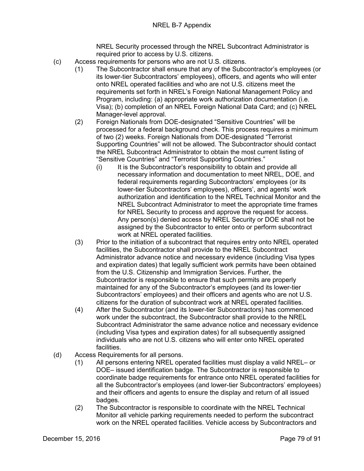NREL Security processed through the NREL Subcontract Administrator is required prior to access by U.S. citizens.

- (c) Access requirements for persons who are not U.S. citizens.
	- (1) The Subcontractor shall ensure that any of the Subcontractor's employees (or its lower-tier Subcontractors' employees), officers, and agents who will enter onto NREL operated facilities and who are not U.S. citizens meet the requirements set forth in NREL's Foreign National Management Policy and Program, including: (a) appropriate work authorization documentation (i.e. Visa); (b) completion of an NREL Foreign National Data Card; and (c) NREL Manager-level approval.
	- (2) Foreign Nationals from DOE-designated "Sensitive Countries" will be processed for a federal background check. This process requires a minimum of two (2) weeks. Foreign Nationals from DOE-designated "Terrorist Supporting Countries" will not be allowed. The Subcontractor should contact the NREL Subcontract Administrator to obtain the most current listing of "Sensitive Countries" and "Terrorist Supporting Countries."
		- (i) It is the Subcontractor's responsibility to obtain and provide all necessary information and documentation to meet NREL, DOE, and federal requirements regarding Subcontractors' employees (or its lower-tier Subcontractors' employees), officers', and agents' work authorization and identification to the NREL Technical Monitor and the NREL Subcontract Administrator to meet the appropriate time frames for NREL Security to process and approve the request for access. Any person(s) denied access by NREL Security or DOE shall not be assigned by the Subcontractor to enter onto or perform subcontract work at NREL operated facilities.
	- (3) Prior to the initiation of a subcontract that requires entry onto NREL operated facilities, the Subcontractor shall provide to the NREL Subcontract Administrator advance notice and necessary evidence (including Visa types and expiration dates) that legally sufficient work permits have been obtained from the U.S. Citizenship and Immigration Services. Further, the Subcontractor is responsible to ensure that such permits are properly maintained for any of the Subcontractor's employees (and its lower-tier Subcontractors' employees) and their officers and agents who are not U.S. citizens for the duration of subcontract work at NREL operated facilities.
	- (4) After the Subcontractor (and its lower-tier Subcontractors) has commenced work under the subcontract, the Subcontractor shall provide to the NREL Subcontract Administrator the same advance notice and necessary evidence (including Visa types and expiration dates) for all subsequently assigned individuals who are not U.S. citizens who will enter onto NREL operated facilities.
- (d) Access Requirements for all persons.
	- (1) All persons entering NREL operated facilities must display a valid NREL– or DOE– issued identification badge. The Subcontractor is responsible to coordinate badge requirements for entrance onto NREL operated facilities for all the Subcontractor's employees (and lower-tier Subcontractors' employees) and their officers and agents to ensure the display and return of all issued badges.
	- (2) The Subcontractor is responsible to coordinate with the NREL Technical Monitor all vehicle parking requirements needed to perform the subcontract work on the NREL operated facilities. Vehicle access by Subcontractors and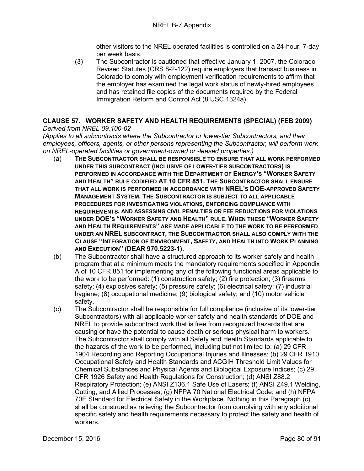other visitors to the NREL operated facilities is controlled on a 24-hour, 7-day per week basis.

(3) The Subcontractor is cautioned that effective January 1, 2007, the Colorado Revised Statutes (CRS 8-2-122) require employers that transact business in Colorado to comply with employment verification requirements to affirm that the employer has examined the legal work status of newly-hired employees and has retained file copies of the documents required by the Federal Immigration Reform and Control Act (8 USC 1324a).

# **CLAUSE 57. WORKER SAFETY AND HEALTH REQUIREMENTS (SPECIAL) (FEB 2009)**

*Derived from NREL 09.100-02*

*(Applies to all subcontracts where the Subcontractor or lower-tier Subcontractors, and their employees, officers, agents, or other persons representing the Subcontractor, will perform work on NREL-operated facilities or government-owned or -leased properties.)*

- (a) **THE SUBCONTRACTOR SHALL BE RESPONSIBLE TO ENSURE THAT ALL WORK PERFORMED UNDER THIS SUBCONTRACT (INCLUSIVE OF LOWER-TIER SUBCONTRACTORS) IS PERFORMED IN ACCORDANCE WITH THE DEPARTMENT OF ENERGY'S "WORKER SAFETY AND HEALTH" RULE CODIFIED AT 10 CFR 851. THE SUBCONTRACTOR SHALL ENSURE THAT ALL WORK IS PERFORMED IN ACCORDANCE WITH NREL'S DOE-APPROVED SAFETY MANAGEMENT SYSTEM. THE SUBCONTRACTOR IS SUBJECT TO ALL APPLICABLE PROCEDURES FOR INVESTIGATING VIOLATIONS, ENFORCING COMPLIANCE WITH REQUIREMENTS, AND ASSESSING CIVIL PENALTIES OR FEE REDUCTIONS FOR VIOLATIONS UNDER DOE'S "WORKER SAFETY AND HEALTH" RULE. WHEN THESE "WORKER SAFETY AND HEALTH REQUIREMENTS" ARE MADE APPLICABLE TO THE WORK TO BE PERFORMED UNDER AN NREL SUBCONTRACT, THE SUBCONTRACTOR SHALL ALSO COMPLY WITH THE CLAUSE "INTEGRATION OF ENVIRONMENT, SAFETY, AND HEALTH INTO WORK PLANNING AND EXECUTION" (DEAR 970.5223-1).**
- (b) The Subcontractor shall have a structured approach to its worker safety and health program that at a minimum meets the mandatory requirements specified in Appendix A of 10 CFR 851 for implementing any of the following functional areas applicable to the work to be performed: (1) construction safety; (2) fire protection; (3) firearms safety; (4) explosives safety; (5) pressure safety; (6) electrical safety; (7) industrial hygiene; (8) occupational medicine; (9) biological safety; and (10) motor vehicle safety.
- (c) The Subcontractor shall be responsible for full compliance (inclusive of its lower-tier Subcontractors) with all applicable worker safety and health standards of DOE and NREL to provide subcontract work that is free from recognized hazards that are causing or have the potential to cause death or serious physical harm to workers. The Subcontractor shall comply with all Safety and Health Standards applicable to the hazards of the work to be performed, including but not limited to: (a) 29 CFR 1904 Recording and Reporting Occupational Injuries and Illnesses; (b) 29 CFR 1910 Occupational Safety and Health Standards and ACGIH Threshold Limit Values for Chemical Substances and Physical Agents and Biological Exposure Indices; (c) 29 CFR 1926 Safety and Health Regulations for Construction; (d) ANSI Z88.2 Respiratory Protection; (e) ANSI Z136.1 Safe Use of Lasers; (f) ANSI Z49.1 Welding, Cutting, and Allied Processes; (g) NFPA 70 National Electrical Code; and (h) NFPA 70E Standard for Electrical Safety in the Workplace. Nothing in this Paragraph (c) shall be construed as relieving the Subcontractor from complying with any additional specific safety and health requirements necessary to protect the safety and health of workers.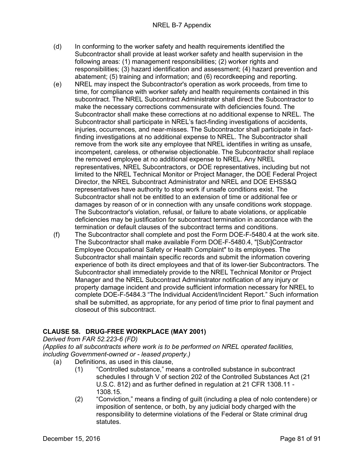- (d) In conforming to the worker safety and health requirements identified the Subcontractor shall provide at least worker safety and health supervision in the following areas: (1) management responsibilities; (2) worker rights and responsibilities; (3) hazard identification and assessment; (4) hazard prevention and abatement; (5) training and information; and (6) recordkeeping and reporting.
- (e) NREL may inspect the Subcontractor's operation as work proceeds, from time to time, for compliance with worker safety and health requirements contained in this subcontract. The NREL Subcontract Administrator shall direct the Subcontractor to make the necessary corrections commensurate with deficiencies found. The Subcontractor shall make these corrections at no additional expense to NREL. The Subcontractor shall participate in NREL's fact-finding investigations of accidents, injuries, occurrences, and near-misses. The Subcontractor shall participate in factfinding investigations at no additional expense to NREL. The Subcontractor shall remove from the work site any employee that NREL identifies in writing as unsafe, incompetent, careless, or otherwise objectionable. The Subcontractor shall replace the removed employee at no additional expense to NREL. Any NREL representatives, NREL Subcontractors, or DOE representatives, including but not limited to the NREL Technical Monitor or Project Manager, the DOE Federal Project Director, the NREL Subcontract Administrator and NREL and DOE EHSS&Q representatives have authority to stop work if unsafe conditions exist. The Subcontractor shall not be entitled to an extension of time or additional fee or damages by reason of or in connection with any unsafe conditions work stoppage. The Subcontractor's violation, refusal, or failure to abate violations, or applicable deficiencies may be justification for subcontract termination in accordance with the termination or default clauses of the subcontract terms and conditions.
- (f) The Subcontractor shall complete and post the Form DOE-F-5480.4 at the work site. The Subcontractor shall make available Form DOE-F-5480.4, "[Sub]Contractor Employee Occupational Safety or Health Complaint" to its employees. The Subcontractor shall maintain specific records and submit the information covering experience of both its direct employees and that of its lower-tier Subcontractors. The Subcontractor shall immediately provide to the NREL Technical Monitor or Project Manager and the NREL Subcontract Administrator notification of any injury or property damage incident and provide sufficient information necessary for NREL to complete DOE-F-5484.3 "The Individual Accident/Incident Report." Such information shall be submitted, as appropriate, for any period of time prior to final payment and closeout of this subcontract.

# **CLAUSE 58. DRUG-FREE WORKPLACE (MAY 2001)**

*Derived from FAR 52.223-6 (FD)*

*(Applies to all subcontracts where work is to be performed on NREL operated facilities, including Government-owned or - leased property.)*

- (a) Definitions, as used in this clause,
	- (1) "Controlled substance," means a controlled substance in subcontract schedules I through V of section 202 of the Controlled Substances Act (21 U.S.C. 812) and as further defined in regulation at 21 CFR 1308.11 - 1308.15.
	- (2) "Conviction," means a finding of guilt (including a plea of nolo contendere) or imposition of sentence, or both, by any judicial body charged with the responsibility to determine violations of the Federal or State criminal drug statutes.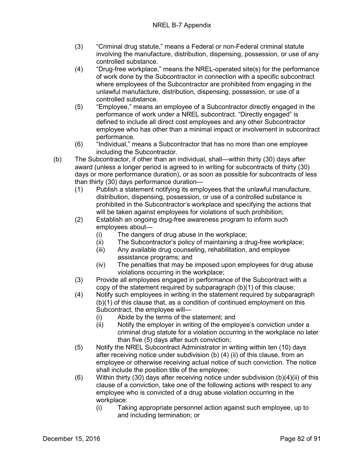- (3) "Criminal drug statute," means a Federal or non-Federal criminal statute involving the manufacture, distribution, dispensing, possession, or use of any controlled substance.
- (4) "Drug-free workplace," means the NREL-operated site(s) for the performance of work done by the Subcontractor in connection with a specific subcontract where employees of the Subcontractor are prohibited from engaging in the unlawful manufacture, distribution, dispensing, possession, or use of a controlled substance.
- (5) "Employee," means an employee of a Subcontractor directly engaged in the performance of work under a NREL subcontract. "Directly engaged" is defined to include all direct cost employees and any other Subcontractor employee who has other than a minimal impact or involvement in subcontract performance.
- (6) "Individual," means a Subcontractor that has no more than one employee including the Subcontractor.
- (b) The Subcontractor, if other than an individual, shall—within thirty (30) days after award (unless a longer period is agreed to in writing for subcontracts of thirty (30) days or more performance duration), or as soon as possible for subcontracts of less than thirty (30) days performance duration—
	- (1) Publish a statement notifying its employees that the unlawful manufacture, distribution, dispensing, possession, or use of a controlled substance is prohibited in the Subcontractor's workplace and specifying the actions that will be taken against employees for violations of such prohibition;
	- (2) Establish an ongoing drug-free awareness program to inform such employees about—
		- (i) The dangers of drug abuse in the workplace;
		- (ii) The Subcontractor's policy of maintaining a drug-free workplace;
		- (iii) Any available drug counseling, rehabilitation, and employee assistance programs; and
		- (iv) The penalties that may be imposed upon employees for drug abuse violations occurring in the workplace;
	- (3) Provide all employees engaged in performance of the Subcontract with a copy of the statement required by subparagraph (b)(1) of this clause;
	- (4) Notify such employees in writing in the statement required by subparagraph (b)(1) of this clause that, as a condition of continued employment on this Subcontract, the employee will—
		- (i) Abide by the terms of the statement; and
		- (ii) Notify the employer in writing of the employee's conviction under a criminal drug statute for a violation occurring in the workplace no later than five (5) days after such conviction;
	- (5) Notify the NREL Subcontract Administrator in writing within ten (10) days after receiving notice under subdivision (b) (4) (ii) of this clause, from an employee or otherwise receiving actual notice of such conviction. The notice shall include the position title of the employee;
	- (6) Within thirty (30) days after receiving notice under subdivision (b)(4)(ii) of this clause of a conviction, take one of the following actions with respect to any employee who is convicted of a drug abuse violation occurring in the workplace:
		- (i) Taking appropriate personnel action against such employee, up to and including termination; or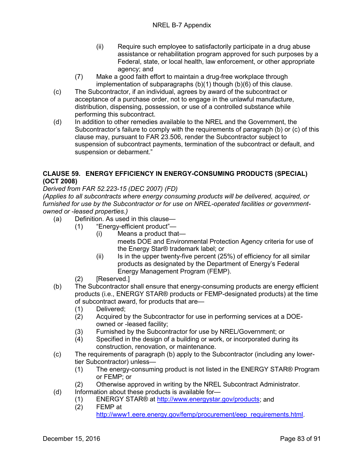- (ii) Require such employee to satisfactorily participate in a drug abuse assistance or rehabilitation program approved for such purposes by a Federal, state, or local health, law enforcement, or other appropriate agency; and
- (7) Make a good faith effort to maintain a drug-free workplace through implementation of subparagraphs (b)(1) though (b)(6) of this clause.
- (c) The Subcontractor, if an individual, agrees by award of the subcontract or acceptance of a purchase order, not to engage in the unlawful manufacture, distribution, dispensing, possession, or use of a controlled substance while performing this subcontract.
- (d) In addition to other remedies available to the NREL and the Government, the Subcontractor's failure to comply with the requirements of paragraph (b) or (c) of this clause may, pursuant to FAR 23.506, render the Subcontractor subject to suspension of subcontract payments, termination of the subcontract or default, and suspension or debarment."

### **CLAUSE 59. ENERGY EFFICIENCY IN ENERGY-CONSUMING PRODUCTS (SPECIAL) (OCT 2008)**

*Derived from FAR 52.223-15 (DEC 2007) (FD)*

*(Applies to all subcontracts where energy consuming products will be delivered, acquired, or furnished for use by the Subcontractor or for use on NREL-operated facilities or governmentowned or -leased properties.)*

- (a) Definition. As used in this clause—
	- (1) "Energy-efficient product"—
		- (i) Means a product that
			- meets DOE and Environmental Protection Agency criteria for use of the Energy Star® trademark label; or
			- $(i)$  Is in the upper twenty-five percent (25%) of efficiency for all similar products as designated by the Department of Energy's Federal Energy Management Program (FEMP).
	- (2) [Reserved.]
- (b) The Subcontractor shall ensure that energy-consuming products are energy efficient products (i.e., ENERGY STAR® products or FEMP-designated products) at the time of subcontract award, for products that are—
	- (1) Delivered;
	- (2) Acquired by the Subcontractor for use in performing services at a DOEowned or -leased facility;
		-
	- (3) Furnished by the Subcontractor for use by NREL/Government; or (4) Specified in the design of a building or work, or incorporated durin Specified in the design of a building or work, or incorporated during its construction, renovation, or maintenance.
- (c) The requirements of paragraph (b) apply to the Subcontractor (including any lowertier Subcontractor) unless—
	- (1) The energy-consuming product is not listed in the ENERGY STAR® Program or FEMP; or
	- (2) Otherwise approved in writing by the NREL Subcontract Administrator.
- (d) Information about these products is available for
	- (1) ENERGY STAR® at [http://www.energystar.gov/products;](http://www.energystar.gov/products) and (2) FEMP at
		- FFMP at

[http://www1.eere.energy.gov/femp/procurement/eep\\_requirements.html.](http://www1.eere.energy.gov/femp/procurement/eep_requirements.html)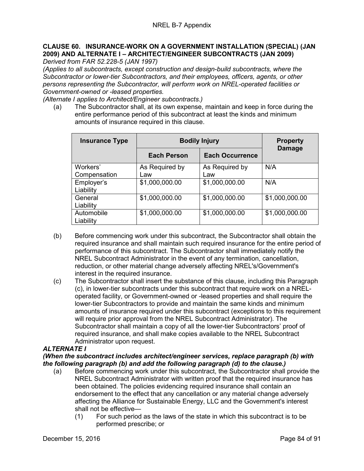# **CLAUSE 60. INSURANCE-WORK ON A GOVERNMENT INSTALLATION (SPECIAL) (JAN 2009) AND ALTERNATE I – ARCHITECT/ENGINEER SUBCONTRACTS (JAN 2009)**

*Derived from FAR 52.228-5 (JAN 1997)*

*(Applies to all subcontracts, except construction and design-build subcontracts, where the Subcontractor or lower-tier Subcontractors, and their employees, officers, agents, or other persons representing the Subcontractor, will perform work on NREL-operated facilities or Government-owned or -leased properties.*

*(Alternate I applies to Architect/Engineer subcontracts.)*

(a) The Subcontractor shall, at its own expense, maintain and keep in force during the entire performance period of this subcontract at least the kinds and minimum amounts of insurance required in this clause.

| <b>Insurance Type</b> | <b>Bodily Injury</b> |                        | <b>Property</b> |
|-----------------------|----------------------|------------------------|-----------------|
|                       | <b>Each Person</b>   | <b>Each Occurrence</b> | <b>Damage</b>   |
| Workers'              | As Required by       | As Required by         | N/A             |
| Compensation          | Law                  | Law                    |                 |
| Employer's            | \$1,000,000.00       | \$1,000,000.00         | N/A             |
| Liability             |                      |                        |                 |
| General               | \$1,000,000.00       | \$1,000,000.00         | \$1,000,000.00  |
| Liability             |                      |                        |                 |
| Automobile            | \$1,000,000.00       | \$1,000,000.00         | \$1,000,000.00  |
| Liability             |                      |                        |                 |

- (b) Before commencing work under this subcontract, the Subcontractor shall obtain the required insurance and shall maintain such required insurance for the entire period of performance of this subcontract. The Subcontractor shall immediately notify the NREL Subcontract Administrator in the event of any termination, cancellation, reduction, or other material change adversely affecting NREL's/Government's interest in the required insurance.
- (c) The Subcontractor shall insert the substance of this clause, including this Paragraph (c), in lower-tier subcontracts under this subcontract that require work on a NRELoperated facility, or Government-owned or -leased properties and shall require the lower-tier Subcontractors to provide and maintain the same kinds and minimum amounts of insurance required under this subcontract (exceptions to this requirement will require prior approval from the NREL Subcontract Administrator). The Subcontractor shall maintain a copy of all the lower-tier Subcontractors' proof of required insurance, and shall make copies available to the NREL Subcontract Administrator upon request.

### *ALTERNATE I*

#### *(When the subcontract includes architect/engineer services, replace paragraph (b) with the following paragraph (b) and add the following paragraph (d) to the clause.)*

- (a) Before commencing work under this subcontract, the Subcontractor shall provide the NREL Subcontract Administrator with written proof that the required insurance has been obtained. The policies evidencing required insurance shall contain an endorsement to the effect that any cancellation or any material change adversely affecting the Alliance for Sustainable Energy, LLC and the Government's interest shall not be effective—
	- (1) For such period as the laws of the state in which this subcontract is to be performed prescribe; or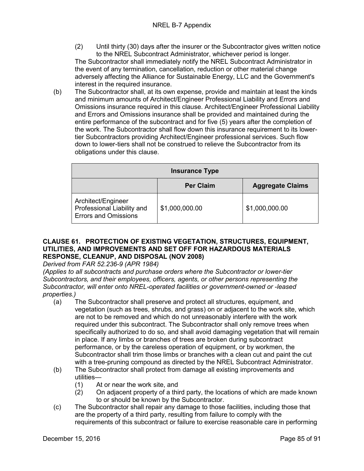- (2) Until thirty (30) days after the insurer or the Subcontractor gives written notice to the NREL Subcontract Administrator, whichever period is longer. The Subcontractor shall immediately notify the NREL Subcontract Administrator in the event of any termination, cancellation, reduction or other material change adversely affecting the Alliance for Sustainable Energy, LLC and the Government's interest in the required insurance.
- (b) The Subcontractor shall, at its own expense, provide and maintain at least the kinds and minimum amounts of Architect/Engineer Professional Liability and Errors and Omissions insurance required in this clause. Architect/Engineer Professional Liability and Errors and Omissions insurance shall be provided and maintained during the entire performance of the subcontract and for five (5) years after the completion of the work. The Subcontractor shall flow down this insurance requirement to its lowertier Subcontractors providing Architect/Engineer professional services. Such flow down to lower-tiers shall not be construed to relieve the Subcontractor from its obligations under this clause.

| <b>Insurance Type</b>                                                           |                  |                         |  |
|---------------------------------------------------------------------------------|------------------|-------------------------|--|
|                                                                                 | <b>Per Claim</b> | <b>Aggregate Claims</b> |  |
| Architect/Engineer<br>Professional Liability and<br><b>Errors and Omissions</b> | \$1,000,000.00   | \$1,000,000.00          |  |

## **CLAUSE 61. PROTECTION OF EXISTING VEGETATION, STRUCTURES, EQUIPMENT, UTILITIES, AND IMPROVEMENTS AND SET OFF FOR HAZARDOUS MATERIALS RESPONSE, CLEANUP, AND DISPOSAL (NOV 2008)**

*Derived from FAR 52.236-9 (APR 1984)*

*(Applies to all subcontracts and purchase orders where the Subcontractor or lower-tier Subcontractors, and their employees, officers, agents, or other persons representing the Subcontractor, will enter onto NREL-operated facilities or government-owned or -leased properties.)*

- (a) The Subcontractor shall preserve and protect all structures, equipment, and vegetation (such as trees, shrubs, and grass) on or adjacent to the work site, which are not to be removed and which do not unreasonably interfere with the work required under this subcontract. The Subcontractor shall only remove trees when specifically authorized to do so, and shall avoid damaging vegetation that will remain in place. If any limbs or branches of trees are broken during subcontract performance, or by the careless operation of equipment, or by workmen, the Subcontractor shall trim those limbs or branches with a clean cut and paint the cut with a tree-pruning compound as directed by the NREL Subcontract Administrator.
- (b) The Subcontractor shall protect from damage all existing improvements and utilities—<br>(1) A
	-
	- (1) At or near the work site, and<br>(2) On adjacent property of a thi (2) On adjacent property of a third party, the locations of which are made known to or should be known by the Subcontractor.
- (c) The Subcontractor shall repair any damage to those facilities, including those that are the property of a third party, resulting from failure to comply with the requirements of this subcontract or failure to exercise reasonable care in performing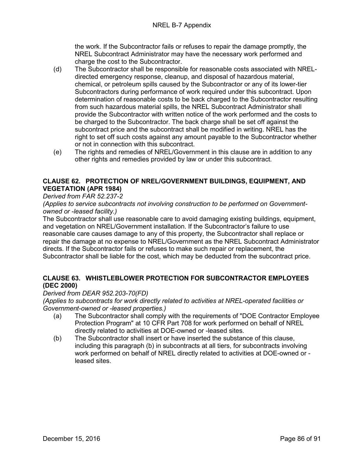the work. If the Subcontractor fails or refuses to repair the damage promptly, the NREL Subcontract Administrator may have the necessary work performed and charge the cost to the Subcontractor.

- (d) The Subcontractor shall be responsible for reasonable costs associated with NRELdirected emergency response, cleanup, and disposal of hazardous material, chemical, or petroleum spills caused by the Subcontractor or any of its lower-tier Subcontractors during performance of work required under this subcontract. Upon determination of reasonable costs to be back charged to the Subcontractor resulting from such hazardous material spills, the NREL Subcontract Administrator shall provide the Subcontractor with written notice of the work performed and the costs to be charged to the Subcontractor. The back charge shall be set off against the subcontract price and the subcontract shall be modified in writing. NREL has the right to set off such costs against any amount payable to the Subcontractor whether or not in connection with this subcontract.
- (e) The rights and remedies of NREL/Government in this clause are in addition to any other rights and remedies provided by law or under this subcontract.

# **CLAUSE 62. PROTECTION OF NREL/GOVERNMENT BUILDINGS, EQUIPMENT, AND VEGETATION (APR 1984)**

## *Derived from FAR 52.237-2*

*(Applies to service subcontracts not involving construction to be performed on Governmentowned or -leased facility.)*

The Subcontractor shall use reasonable care to avoid damaging existing buildings, equipment, and vegetation on NREL/Government installation. If the Subcontractor's failure to use reasonable care causes damage to any of this property, the Subcontractor shall replace or repair the damage at no expense to NREL/Government as the NREL Subcontract Administrator directs. If the Subcontractor fails or refuses to make such repair or replacement, the Subcontractor shall be liable for the cost, which may be deducted from the subcontract price.

## **CLAUSE 63. WHISTLEBLOWER PROTECTION FOR SUBCONTRACTOR EMPLOYEES (DEC 2000)**

### *Derived from DEAR 952.203-70(FD)*

*(Applies to subcontracts for work directly related to activities at NREL-operated facilities or Government-owned or -leased properties.)*

- (a) The Subcontractor shall comply with the requirements of "DOE Contractor Employee Protection Program" at 10 CFR Part 708 for work performed on behalf of NREL directly related to activities at DOE-owned or -leased sites.
- (b) The Subcontractor shall insert or have inserted the substance of this clause, including this paragraph (b) in subcontracts at all tiers, for subcontracts involving work performed on behalf of NREL directly related to activities at DOE-owned or leased sites.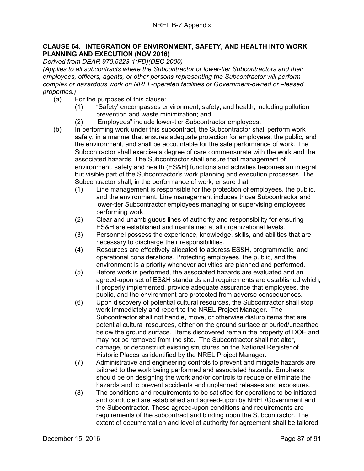### **CLAUSE 64. INTEGRATION OF ENVIRONMENT, SAFETY, AND HEALTH INTO WORK PLANNING AND EXECUTION (NOV 2016)**

*Derived from DEAR 970.5223-1(FD)(DEC 2000)*

*(Applies to all subcontracts where the Subcontractor or lower-tier Subcontractors and their employees, officers, agents, or other persons representing the Subcontractor will perform complex or hazardous work on NREL-operated facilities or Government-owned or –leased properties.)*

- (a) For the purposes of this clause:
	- (1) "Safety' encompasses environment, safety, and health, including pollution prevention and waste minimization; and
	- (2) 'Employees" include lower-tier Subcontractor employees.
- (b) In performing work under this subcontract, the Subcontractor shall perform work safely, in a manner that ensures adequate protection for employees, the public, and the environment, and shall be accountable for the safe performance of work. The Subcontractor shall exercise a degree of care commensurate with the work and the associated hazards. The Subcontractor shall ensure that management of environment, safety and health (ES&H) functions and activities becomes an integral but visible part of the Subcontractor's work planning and execution processes. The Subcontractor shall, in the performance of work, ensure that:
	- (1) Line management is responsible for the protection of employees, the public, and the environment. Line management includes those Subcontractor and lower-tier Subcontractor employees managing or supervising employees performing work.
	- (2) Clear and unambiguous lines of authority and responsibility for ensuring ES&H are established and maintained at all organizational levels.
	- (3) Personnel possess the experience, knowledge, skills, and abilities that are necessary to discharge their responsibilities.
	- (4) Resources are effectively allocated to address ES&H, programmatic, and operational considerations. Protecting employees, the public, and the environment is a priority whenever activities are planned and performed.
	- (5) Before work is performed, the associated hazards are evaluated and an agreed-upon set of ES&H standards and requirements are established which, if properly implemented, provide adequate assurance that employees, the public, and the environment are protected from adverse consequences.
	- (6) Upon discovery of potential cultural resources, the Subcontractor shall stop work immediately and report to the NREL Project Manager. The Subcontractor shall not handle, move, or otherwise disturb items that are potential cultural resources, either on the ground surface or buried/unearthed below the ground surface. Items discovered remain the property of DOE and may not be removed from the site. The Subcontractor shall not alter, damage, or deconstruct existing structures on the National Register of Historic Places as identified by the NREL Project Manager.
	- (7) Administrative and engineering controls to prevent and mitigate hazards are tailored to the work being performed and associated hazards. Emphasis should be on designing the work and/or controls to reduce or eliminate the hazards and to prevent accidents and unplanned releases and exposures.
	- (8) The conditions and requirements to be satisfied for operations to be initiated and conducted are established and agreed-upon by NREL/Government and the Subcontractor. These agreed-upon conditions and requirements are requirements of the subcontract and binding upon the Subcontractor. The extent of documentation and level of authority for agreement shall be tailored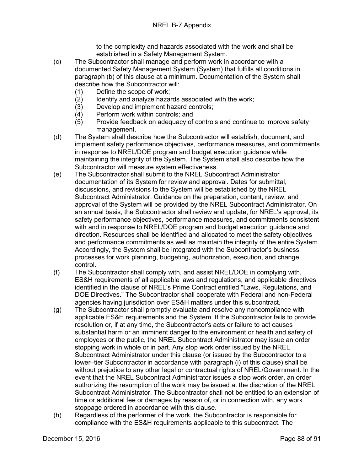to the complexity and hazards associated with the work and shall be established in a Safety Management System.

- (c) The Subcontractor shall manage and perform work in accordance with a documented Safety Management System (System) that fulfills all conditions in paragraph (b) of this clause at a minimum. Documentation of the System shall describe how the Subcontractor will:
	- (1) Define the scope of work;
	- (2) Identify and analyze hazards associated with the work;<br>(3) Develop and implement hazard controls;
	- (3) Develop and implement hazard controls;<br>(4) Perform work within controls; and
	- (4) Perform work within controls; and<br>(5) Provide feedback on adequacy of
	- Provide feedback on adequacy of controls and continue to improve safety management.
- (d) The System shall describe how the Subcontractor will establish, document, and implement safety performance objectives, performance measures, and commitments in response to NREL/DOE program and budget execution guidance while maintaining the integrity of the System. The System shall also describe how the Subcontractor will measure system effectiveness.
- (e) The Subcontractor shall submit to the NREL Subcontract Administrator documentation of its System for review and approval. Dates for submittal, discussions, and revisions to the System will be established by the NREL Subcontract Administrator. Guidance on the preparation, content, review, and approval of the System will be provided by the NREL Subcontract Administrator. On an annual basis, the Subcontractor shall review and update, for NREL's approval, its safety performance objectives, performance measures, and commitments consistent with and in response to NREL/DOE program and budget execution guidance and direction. Resources shall be identified and allocated to meet the safety objectives and performance commitments as well as maintain the integrity of the entire System. Accordingly, the System shall be integrated with the Subcontractor's business processes for work planning, budgeting, authorization, execution, and change control.
- (f) The Subcontractor shall comply with, and assist NREL/DOE in complying with, ES&H requirements of all applicable laws and regulations, and applicable directives identified in the clause of NREL's Prime Contract entitled "Laws, Regulations, and DOE Directives." The Subcontractor shall cooperate with Federal and non-Federal agencies having jurisdiction over ES&H matters under this subcontract.
- (g) The Subcontractor shall promptly evaluate and resolve any noncompliance with applicable ES&H requirements and the System. If the Subcontractor fails to provide resolution or, if at any time, the Subcontractor's acts or failure to act causes substantial harm or an imminent danger to the environment or health and safety of employees or the public, the NREL Subcontract Administrator may issue an order stopping work in whole or in part. Any stop work order issued by the NREL Subcontract Administrator under this clause (or issued by the Subcontractor to a lower–tier Subcontractor in accordance with paragraph (i) of this clause) shall be without prejudice to any other legal or contractual rights of NREL/Government. In the event that the NREL Subcontract Administrator issues a stop work order, an order authorizing the resumption of the work may be issued at the discretion of the NREL Subcontract Administrator. The Subcontractor shall not be entitled to an extension of time or additional fee or damages by reason of, or in connection with, any work stoppage ordered in accordance with this clause.
- (h) Regardless of the performer of the work, the Subcontractor is responsible for compliance with the ES&H requirements applicable to this subcontract. The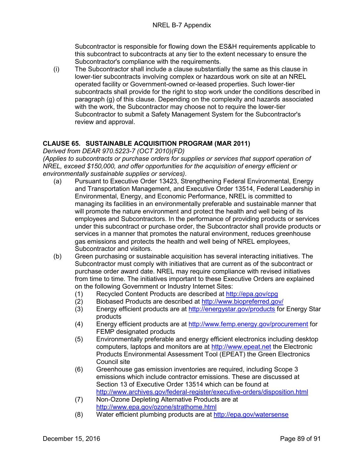Subcontractor is responsible for flowing down the ES&H requirements applicable to this subcontract to subcontracts at any tier to the extent necessary to ensure the Subcontractor's compliance with the requirements.

(i) The Subcontractor shall include a clause substantially the same as this clause in lower-tier subcontracts involving complex or hazardous work on site at an NREL operated facility or Government-owned or-leased properties. Such lower-tier subcontracts shall provide for the right to stop work under the conditions described in paragraph (g) of this clause. Depending on the complexity and hazards associated with the work, the Subcontractor may choose not to require the lower-tier Subcontractor to submit a Safety Management System for the Subcontractor's review and approval.

## **CLAUSE 65. SUSTAINABLE ACQUISITION PROGRAM (MAR 2011)**

*Derived from DEAR 970.5223-7 (OCT 2010)(FD)*

*(Applies to subcontracts or purchase orders for supplies or services that support operation of NREL, exceed \$150,000, and offer opportunities for the acquisition of energy efficient or environmentally sustainable supplies or services).*

- (a) Pursuant to Executive Order 13423, Strengthening Federal Environmental, Energy and Transportation Management, and Executive Order 13514, Federal Leadership in Environmental, Energy, and Economic Performance, NREL is committed to managing its facilities in an environmentally preferable and sustainable manner that will promote the nature environment and protect the health and well being of its employees and Subcontractors. In the performance of providing products or services under this subcontract or purchase order, the Subcontractor shall provide products or services in a manner that promotes the natural environment, reduces greenhouse gas emissions and protects the health and well being of NREL employees, Subcontractor and visitors.
- (b) Green purchasing or sustainable acquisition has several interacting initiatives. The Subcontractor must comply with initiatives that are current as of the subcontract or purchase order award date. NREL may require compliance with revised initiatives from time to time. The initiatives important to these Executive Orders are explained on the following Government or Industry Internet Sites:
	- (1) Recycled Content Products are described at<http://epa.gov/cpg>
	- (2) Biobased Products are described at<http://www.biopreferred.gov/>
	- (3) Energy efficient products are at<http://energystar.gov/products> for Energy Star products
	- (4) Energy efficient products are at<http://www.femp.energy.gov/procurement> for FEMP designated products
	- (5) Environmentally preferable and energy efficient electronics including desktop computers, laptops and monitors are at [http://www.epeat.net](http://www.epeat.net/) the Electronic Products Environmental Assessment Tool (EPEAT) the Green Electronics Council site
	- (6) Greenhouse gas emission inventories are required, including Scope 3 emissions which include contractor emissions. These are discussed at Section 13 of Executive Order 13514 which can be found at <http://www.archives.gov/federal-register/executive-orders/disposition.html>
	- (7) Non-Ozone Depleting Alternative Products are at <http://www.epa.gov/ozone/strathome.html>
	- (8) Water efficient plumbing products are at<http://epa.gov/watersense>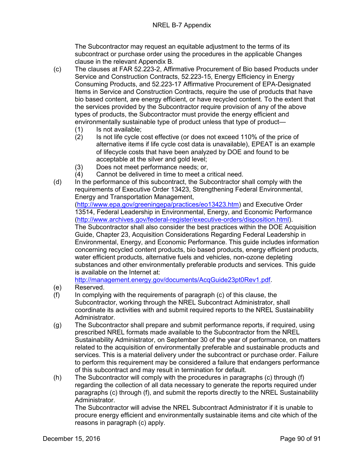The Subcontractor may request an equitable adjustment to the terms of its subcontract or purchase order using the procedures in the applicable Changes clause in the relevant Appendix B.

- (c) The clauses at FAR 52.223-2, Affirmative Procurement of Bio based Products under Service and Construction Contracts, 52.223-15, Energy Efficiency in Energy Consuming Products, and 52.223-17 Affirmative Procurement of EPA-Designated Items in Service and Construction Contracts, require the use of products that have bio based content, are energy efficient, or have recycled content. To the extent that the services provided by the Subcontractor require provision of any of the above types of products, the Subcontractor must provide the energy efficient and environmentally sustainable type of product unless that type of product—
	- (1) Is not available;
	- (2) Is not life cycle cost effective (or does not exceed 110% of the price of alternative items if life cycle cost data is unavailable), EPEAT is an example of lifecycle costs that have been analyzed by DOE and found to be acceptable at the silver and gold level;
	- (3) Does not meet performance needs; or,
	- (4) Cannot be delivered in time to meet a critical need.
- (d) In the performance of this subcontract, the Subcontractor shall comply with the requirements of Executive Order 13423, Strengthening Federal Environmental, Energy and Transportation Management,

[\(http://www.epa.gov/greeningepa/practices/eo13423.htm\)](http://www.epa.gov/greeningepa/practices/eo13423.htm) and Executive Order 13514, Federal Leadership in Environmental, Energy, and Economic Performance [\(http://www.archives.gov/federal-register/executive-orders/disposition.html\)](http://www.archives.gov/federal-register/executive-orders/disposition.html).

The Subcontractor shall also consider the best practices within the DOE Acquisition Guide, Chapter 23, Acquisition Considerations Regarding Federal Leadership in Environmental, Energy, and Economic Performance. This guide includes information concerning recycled content products, bio based products, energy efficient products, water efficient products, alternative fuels and vehicles, non-ozone depleting substances and other environmentally preferable products and services. This guide is available on the Internet at:

[http://management.energy.gov/documents/AcqGuide23pt0Rev1.pdf.](http://management.energy.gov/documents/AcqGuide23pt0Rev1.pdf)

- (e) Reserved.
- (f) In complying with the requirements of paragraph (c) of this clause, the Subcontractor, working through the NREL Subcontract Administrator, shall coordinate its activities with and submit required reports to the NREL Sustainability Administrator.
- (g) The Subcontractor shall prepare and submit performance reports, if required, using prescribed NREL formats made available to the Subcontractor from the NREL Sustainability Administrator, on September 30 of the year of performance, on matters related to the acquisition of environmentally preferable and sustainable products and services. This is a material delivery under the subcontract or purchase order. Failure to perform this requirement may be considered a failure that endangers performance of this subcontract and may result in termination for default.
- (h) The Subcontractor will comply with the procedures in paragraphs (c) through (f) regarding the collection of all data necessary to generate the reports required under paragraphs (c) through (f), and submit the reports directly to the NREL Sustainability Administrator.

The Subcontractor will advise the NREL Subcontract Administrator if it is unable to procure energy efficient and environmentally sustainable items and cite which of the reasons in paragraph (c) apply.